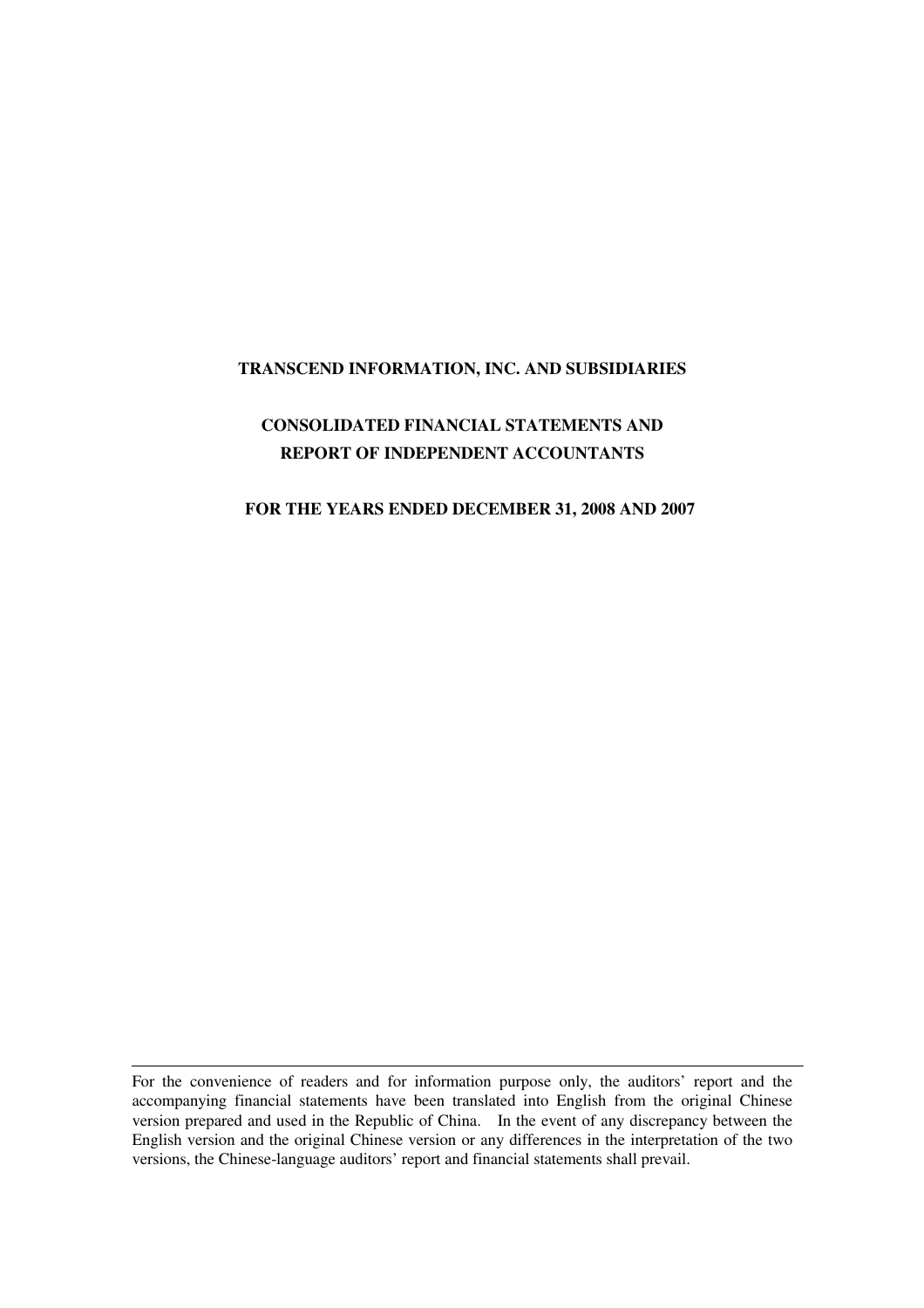### **TRANSCEND INFORMATION, INC. AND SUBSIDIARIES**

# **CONSOLIDATED FINANCIAL STATEMENTS AND REPORT OF INDEPENDENT ACCOUNTANTS**

### **FOR THE YEARS ENDED DECEMBER 31, 2008 AND 2007**

For the convenience of readers and for information purpose only, the auditors' report and the accompanying financial statements have been translated into English from the original Chinese version prepared and used in the Republic of China. In the event of any discrepancy between the English version and the original Chinese version or any differences in the interpretation of the two versions, the Chinese-language auditors' report and financial statements shall prevail.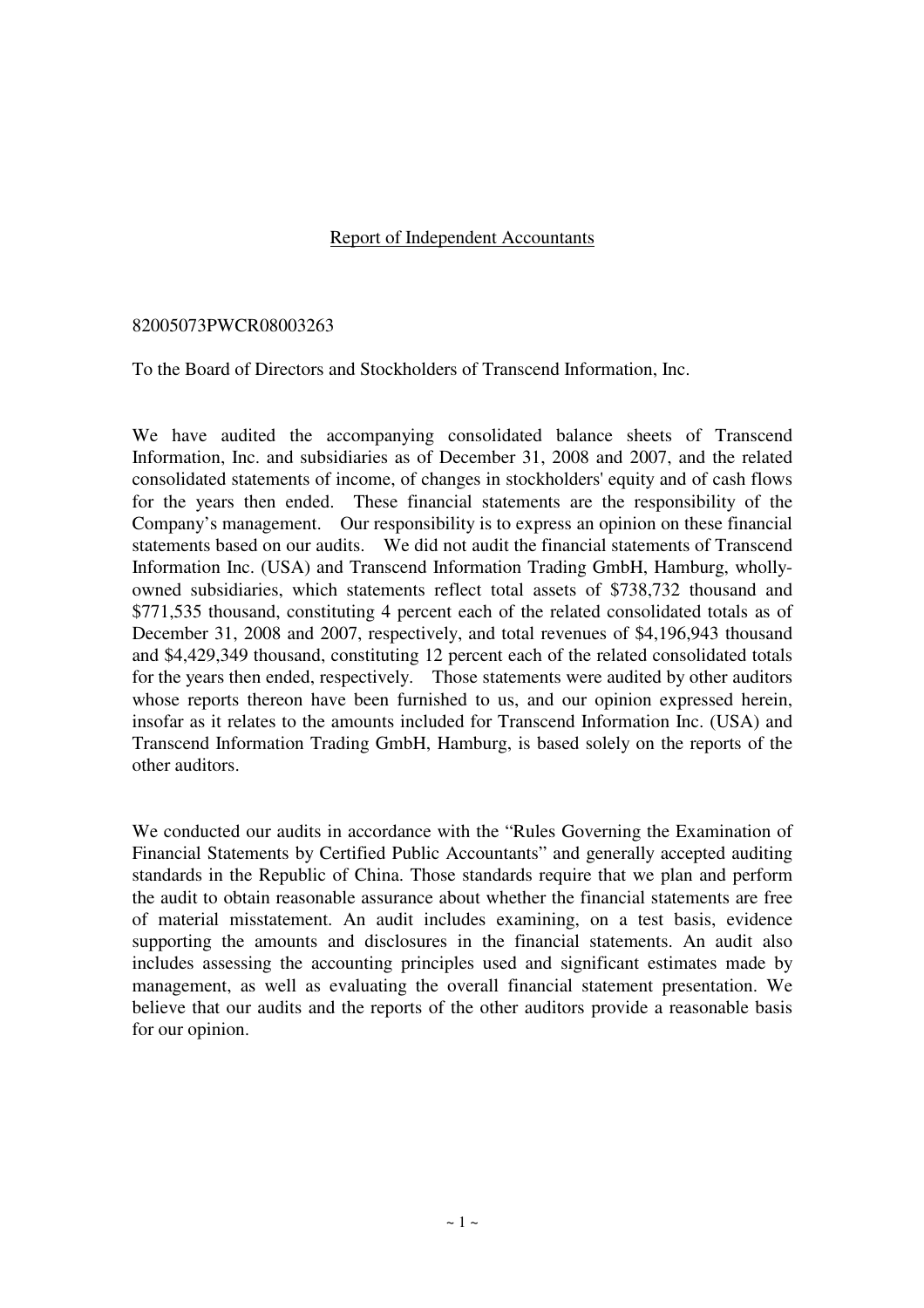## Report of Independent Accountants

### 82005073PWCR08003263

To the Board of Directors and Stockholders of Transcend Information, Inc.

We have audited the accompanying consolidated balance sheets of Transcend Information, Inc. and subsidiaries as of December 31, 2008 and 2007, and the related consolidated statements of income, of changes in stockholders' equity and of cash flows for the years then ended. These financial statements are the responsibility of the Company's management. Our responsibility is to express an opinion on these financial statements based on our audits. We did not audit the financial statements of Transcend Information Inc. (USA) and Transcend Information Trading GmbH, Hamburg, whollyowned subsidiaries, which statements reflect total assets of \$738,732 thousand and \$771,535 thousand, constituting 4 percent each of the related consolidated totals as of December 31, 2008 and 2007, respectively, and total revenues of \$4,196,943 thousand and \$4,429,349 thousand, constituting 12 percent each of the related consolidated totals for the years then ended, respectively. Those statements were audited by other auditors whose reports thereon have been furnished to us, and our opinion expressed herein, insofar as it relates to the amounts included for Transcend Information Inc. (USA) and Transcend Information Trading GmbH, Hamburg, is based solely on the reports of the other auditors.

We conducted our audits in accordance with the "Rules Governing the Examination of Financial Statements by Certified Public Accountants" and generally accepted auditing standards in the Republic of China. Those standards require that we plan and perform the audit to obtain reasonable assurance about whether the financial statements are free of material misstatement. An audit includes examining, on a test basis, evidence supporting the amounts and disclosures in the financial statements. An audit also includes assessing the accounting principles used and significant estimates made by management, as well as evaluating the overall financial statement presentation. We believe that our audits and the reports of the other auditors provide a reasonable basis for our opinion.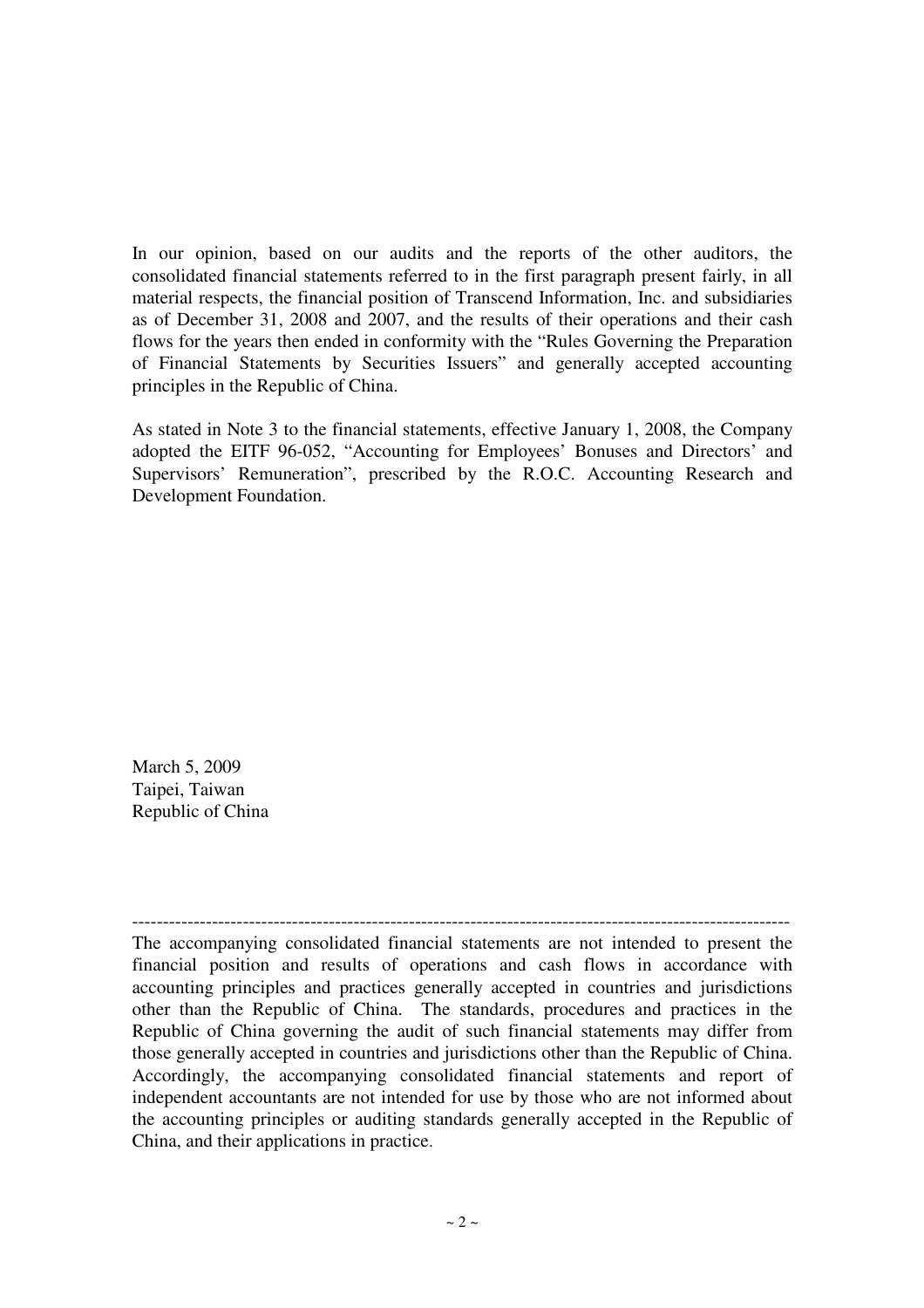In our opinion, based on our audits and the reports of the other auditors, the consolidated financial statements referred to in the first paragraph present fairly, in all material respects, the financial position of Transcend Information, Inc. and subsidiaries as of December 31, 2008 and 2007, and the results of their operations and their cash flows for the years then ended in conformity with the "Rules Governing the Preparation of Financial Statements by Securities Issuers" and generally accepted accounting principles in the Republic of China.

As stated in Note 3 to the financial statements, effective January 1, 2008, the Company adopted the EITF 96-052, "Accounting for Employees' Bonuses and Directors' and Supervisors' Remuneration", prescribed by the R.O.C. Accounting Research and Development Foundation.

March 5, 2009 Taipei, Taiwan Republic of China

----------------------------------------------------------------------------------------------------------- The accompanying consolidated financial statements are not intended to present the financial position and results of operations and cash flows in accordance with accounting principles and practices generally accepted in countries and jurisdictions other than the Republic of China. The standards, procedures and practices in the Republic of China governing the audit of such financial statements may differ from those generally accepted in countries and jurisdictions other than the Republic of China. Accordingly, the accompanying consolidated financial statements and report of independent accountants are not intended for use by those who are not informed about the accounting principles or auditing standards generally accepted in the Republic of China, and their applications in practice.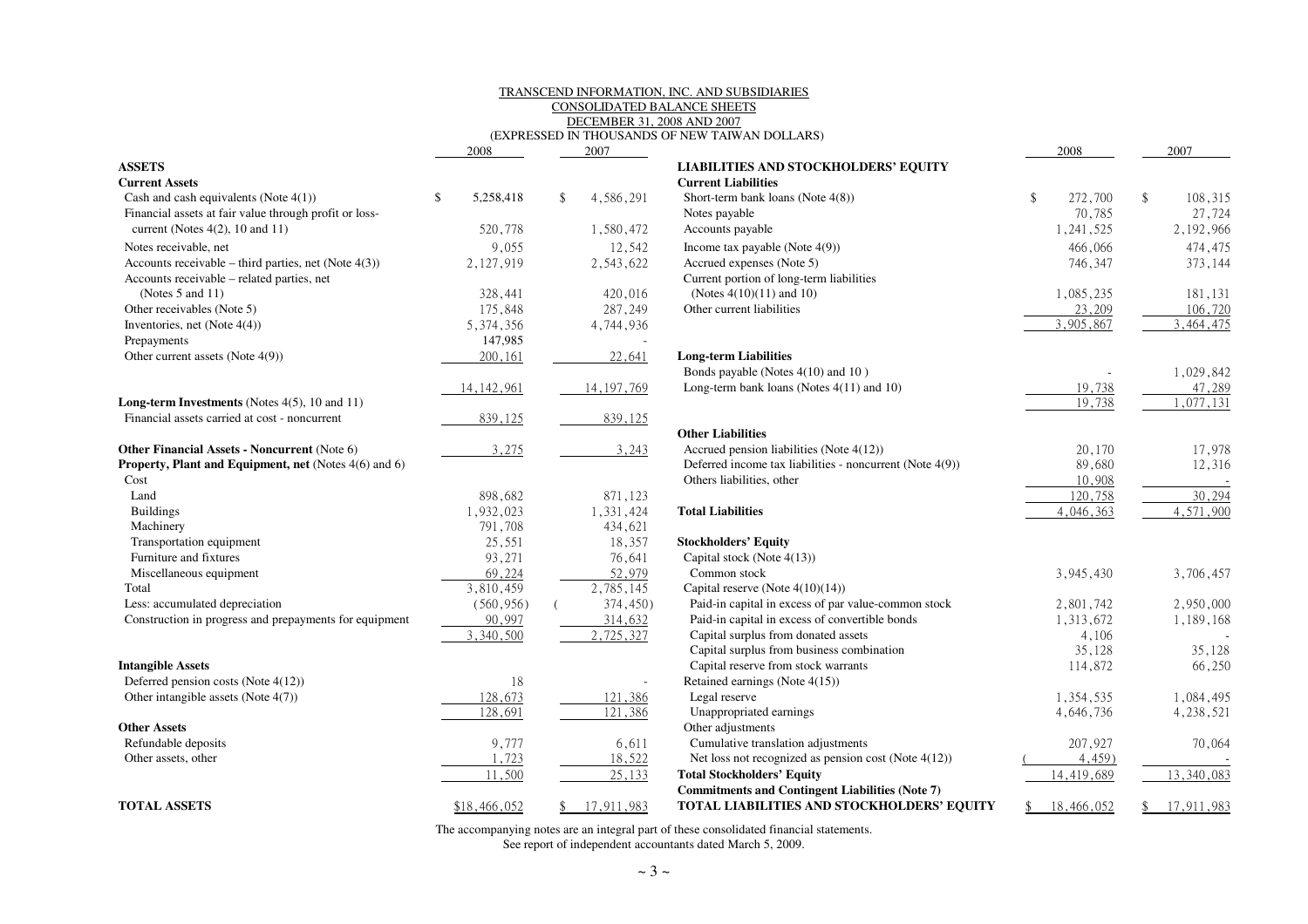## TRANSCEND INFORMATION, INC. AND SUBSIDIARIESCONSOLIDATED BALANCE SHEETSDECEMBER 31, 2008 AND 2007

|                                                              | 2008            | 2007             |                                                         |
|--------------------------------------------------------------|-----------------|------------------|---------------------------------------------------------|
| <b>ASSETS</b>                                                |                 |                  | <b>LIABILITIES AND STOCKHOLDERS' EQUITY</b>             |
| <b>Current Assets</b>                                        |                 |                  | <b>Current Liabilities</b>                              |
| Cash and cash equivalents (Note $4(1)$ )                     | \$<br>5,258,418 | \$<br>4,586,291  | Short-term bank loans (Note $4(8)$ )                    |
| Financial assets at fair value through profit or loss-       |                 |                  | Notes payable                                           |
| current (Notes $4(2)$ , 10 and 11)                           | 520,778         | 1,580,472        | Accounts payable                                        |
| Notes receivable, net                                        | 9,055           | 12,542           | Income tax payable (Note $4(9)$ )                       |
| Accounts receivable – third parties, net (Note $4(3)$ )      | 2,127,919       | 2,543,622        | Accrued expenses (Note 5)                               |
| Accounts receivable - related parties, net                   |                 |                  | Current portion of long-term liabilities                |
| (Notes $5$ and $11$ )                                        | 328,441         | 420,016          | (Notes $4(10)(11)$ and 10)                              |
| Other receivables (Note 5)                                   | 175,848         | 287,249          | Other current liabilities                               |
| Inventories, net (Note 4(4))                                 | 5,374,356       | 4,744,936        |                                                         |
| Prepayments                                                  | 147,985         |                  |                                                         |
| Other current assets (Note 4(9))                             | 200,161         | 22,641           | <b>Long-term Liabilities</b>                            |
|                                                              |                 |                  | Bonds payable (Notes 4(10) and 10)                      |
|                                                              | 14, 142, 961    | 14, 197, 769     | Long-term bank loans (Notes $4(11)$ and 10)             |
| <b>Long-term Investments</b> (Notes $4(5)$ , 10 and 11)      |                 |                  |                                                         |
| Financial assets carried at cost - noncurrent                | 839,125         | 839,125          |                                                         |
|                                                              |                 |                  | <b>Other Liabilities</b>                                |
| Other Financial Assets - Noncurrent (Note 6)                 | 3,275           | 3,243            | Accrued pension liabilities (Note 4(12))                |
| <b>Property, Plant and Equipment, net</b> (Notes 4(6) and 6) |                 |                  | Deferred income tax liabilities - noncurrent (Note 4(9) |
| Cost                                                         |                 |                  | Others liabilities, other                               |
| Land                                                         | 898,682         | 871,123          |                                                         |
| <b>Buildings</b>                                             | 1,932,023       | 1,331,424        | <b>Total Liabilities</b>                                |
| Machinery                                                    | 791,708         | 434,621          |                                                         |
| Transportation equipment                                     | 25,551          | 18,357           | <b>Stockholders' Equity</b>                             |
| Furniture and fixtures                                       | 93,271          | 76,641           | Capital stock (Note 4(13))                              |
| Miscellaneous equipment                                      | 69,224          | 52,979           | Common stock                                            |
| Total                                                        | 3,810,459       | 2,785,145        | Capital reserve (Note $4(10)(14)$ )                     |
| Less: accumulated depreciation                               | (560, 956)      | 374,450)         | Paid-in capital in excess of par value-common stock     |
| Construction in progress and prepayments for equipment       | 90,997          | 314,632          | Paid-in capital in excess of convertible bonds          |
|                                                              | 3,340,500       | 2,725,327        | Capital surplus from donated assets                     |
|                                                              |                 |                  | Capital surplus from business combination               |
| <b>Intangible Assets</b>                                     |                 |                  | Capital reserve from stock warrants                     |
| Deferred pension costs (Note 4(12))                          | 18              |                  | Retained earnings (Note 4(15))                          |
| Other intangible assets (Note 4(7))                          | 128,673         | 121,386          | Legal reserve                                           |
|                                                              | 128,691         | 121,386          | Unappropriated earnings                                 |
| <b>Other Assets</b>                                          |                 |                  | Other adjustments                                       |
| Refundable deposits                                          | 9,777           | 6,611            | Cumulative translation adjustments                      |
| Other assets, other                                          | 1,723           | 18,522           | Net loss not recognized as pension cost (Note $4(12)$ ) |
|                                                              | 11,500          | 25,133           | <b>Total Stockholders' Equity</b>                       |
|                                                              |                 |                  | <b>Commitments and Contingent Liabilities (Note 7)</b>  |
| <b>TOTAL ASSETS</b>                                          | \$18,466,052    | \$<br>17,911,983 | TOTAL LIABILITIES AND STOCKHOLDERS' I                   |

|                                                         |                 |               |              | (EXPRESSED IN THOUSANDS OF NEW TAIWAN DOLLARS)           |                          |               |
|---------------------------------------------------------|-----------------|---------------|--------------|----------------------------------------------------------|--------------------------|---------------|
|                                                         | 2008            |               | 2007         |                                                          | 2008                     | 2007          |
| <b>ASSETS</b>                                           |                 |               |              | <b>LIABILITIES AND STOCKHOLDERS' EQUITY</b>              |                          |               |
| <b>Current Assets</b>                                   |                 |               |              | <b>Current Liabilities</b>                               |                          |               |
| Cash and cash equivalents (Note $4(1)$ )                | 5,258,418<br>\$ | $\mathbf{\$}$ | 4,586,291    | Short-term bank loans (Note $4(8)$ )                     | $\mathbf{\$}$<br>272,700 | \$<br>108,315 |
| Financial assets at fair value through profit or loss-  |                 |               |              | Notes payable                                            | 70,785                   | 27,724        |
| current (Notes $4(2)$ , 10 and 11)                      | 520,778         |               | 1,580,472    | Accounts payable                                         | 1,241,525                | 2,192,966     |
| Notes receivable, net                                   | 9,055           |               | 12,542       | Income tax payable (Note $4(9)$ )                        | 466,066                  | 474,475       |
| Accounts receivable – third parties, net (Note $4(3)$ ) | 2,127,919       |               | 2,543,622    | Accrued expenses (Note 5)                                | 746,347                  | 373,144       |
| Accounts receivable – related parties, net              |                 |               |              | Current portion of long-term liabilities                 |                          |               |
| (Notes $5$ and $11$ )                                   | 328,441         |               | 420,016      | (Notes $4(10)(11)$ and 10)                               | 1,085,235                | 181,131       |
| Other receivables (Note 5)                              | 175,848         |               | 287,249      | Other current liabilities                                | 23,209                   | 106,720       |
| Inventories, net (Note $4(4)$ )                         | 5,374,356       |               | 4,744,936    |                                                          | 3,905,867                | 3,464,475     |
| Prepayments                                             | 147,985         |               |              |                                                          |                          |               |
| Other current assets (Note 4(9))                        | 200,161         |               | 22,641       | <b>Long-term Liabilities</b>                             |                          |               |
|                                                         |                 |               |              | Bonds payable (Notes 4(10) and 10)                       |                          | 1,029,842     |
|                                                         | 14, 142, 961    |               | 14, 197, 769 | Long-term bank loans (Notes $4(11)$ and 10)              | 19,738                   | 47,289        |
| Long-term Investments (Notes 4(5), 10 and 11)           |                 |               |              |                                                          | 19,738                   | 1,077,131     |
| Financial assets carried at cost - noncurrent           | 839,125         |               | 839,125      |                                                          |                          |               |
|                                                         |                 |               |              | <b>Other Liabilities</b>                                 |                          |               |
| Other Financial Assets - Noncurrent (Note 6)            | 3,275           |               | 3,243        | Accrued pension liabilities (Note 4(12))                 | 20,170                   | 17,978        |
| Property, Plant and Equipment, net (Notes 4(6) and 6)   |                 |               |              | Deferred income tax liabilities - noncurrent (Note 4(9)) | 89,680                   | 12,316        |
| Cost                                                    |                 |               |              | Others liabilities, other                                | 10,908                   |               |
| Land                                                    | 898,682         |               | 871,123      |                                                          | 120,758                  | 30,294        |
| <b>Buildings</b>                                        | 1,932,023       |               | 1,331,424    | <b>Total Liabilities</b>                                 | 4,046,363                | 4,571,900     |
| Machinery                                               | 791,708         |               | 434,621      |                                                          |                          |               |
| Transportation equipment                                | 25,551          |               | 18,357       | <b>Stockholders' Equity</b>                              |                          |               |
| Furniture and fixtures                                  | 93,271          |               | 76,641       | Capital stock (Note 4(13))                               |                          |               |
| Miscellaneous equipment                                 | 69,224          |               | 52,979       | Common stock                                             | 3,945,430                | 3,706,457     |
| Total                                                   | 3,810,459       |               | 2,785,145    | Capital reserve (Note $4(10)(14)$ )                      |                          |               |
| Less: accumulated depreciation                          | (560, 956)      |               | 374,450)     | Paid-in capital in excess of par value-common stock      | 2,801,742                | 2,950,000     |
| Construction in progress and prepayments for equipment  | 90,997          |               | 314,632      | Paid-in capital in excess of convertible bonds           | 1,313,672                | 1,189,168     |
|                                                         | 3,340,500       |               | 2,725,327    | Capital surplus from donated assets                      | 4,106                    |               |
|                                                         |                 |               |              | Capital surplus from business combination                | 35,128                   | 35,128        |
| <b>Intangible Assets</b>                                |                 |               |              | Capital reserve from stock warrants                      | 114,872                  | 66,250        |
| Deferred pension costs (Note 4(12))                     | 18              |               |              | Retained earnings (Note 4(15))                           |                          |               |
| Other intangible assets (Note 4(7))                     | 128,673         |               | 121,386      | Legal reserve                                            | 1,354,535                | 1,084,495     |
|                                                         | 128,691         |               | 121,386      | Unappropriated earnings                                  | 4,646,736                | 4,238,521     |
| Other Assets                                            |                 |               |              | Other adjustments                                        |                          |               |
| Refundable deposits                                     | 9,777           |               | 6,611        | Cumulative translation adjustments                       | 207,927                  | 70,064        |
| Other assets, other                                     | 1,723           |               | 18,522       | Net loss not recognized as pension cost (Note $4(12)$ )  | $4,459$ )                |               |
|                                                         | 11,500          |               | 25,133       | <b>Total Stockholders' Equity</b>                        | 14,419,689               | 13,340,083    |
|                                                         |                 |               |              | <b>Commitments and Contingent Liabilities (Note 7)</b>   |                          |               |
| <b>TOTAL ASSETS</b>                                     | \$18,466,052    |               | 17,911,983   | TOTAL LIABILITIES AND STOCKHOLDERS' EQUITY               | 18,466,052<br>\$         | 17,911,983    |

The accompanying notes are an integral part of these consolidated financial statements. See report of independent accountants dated March 5, 2009.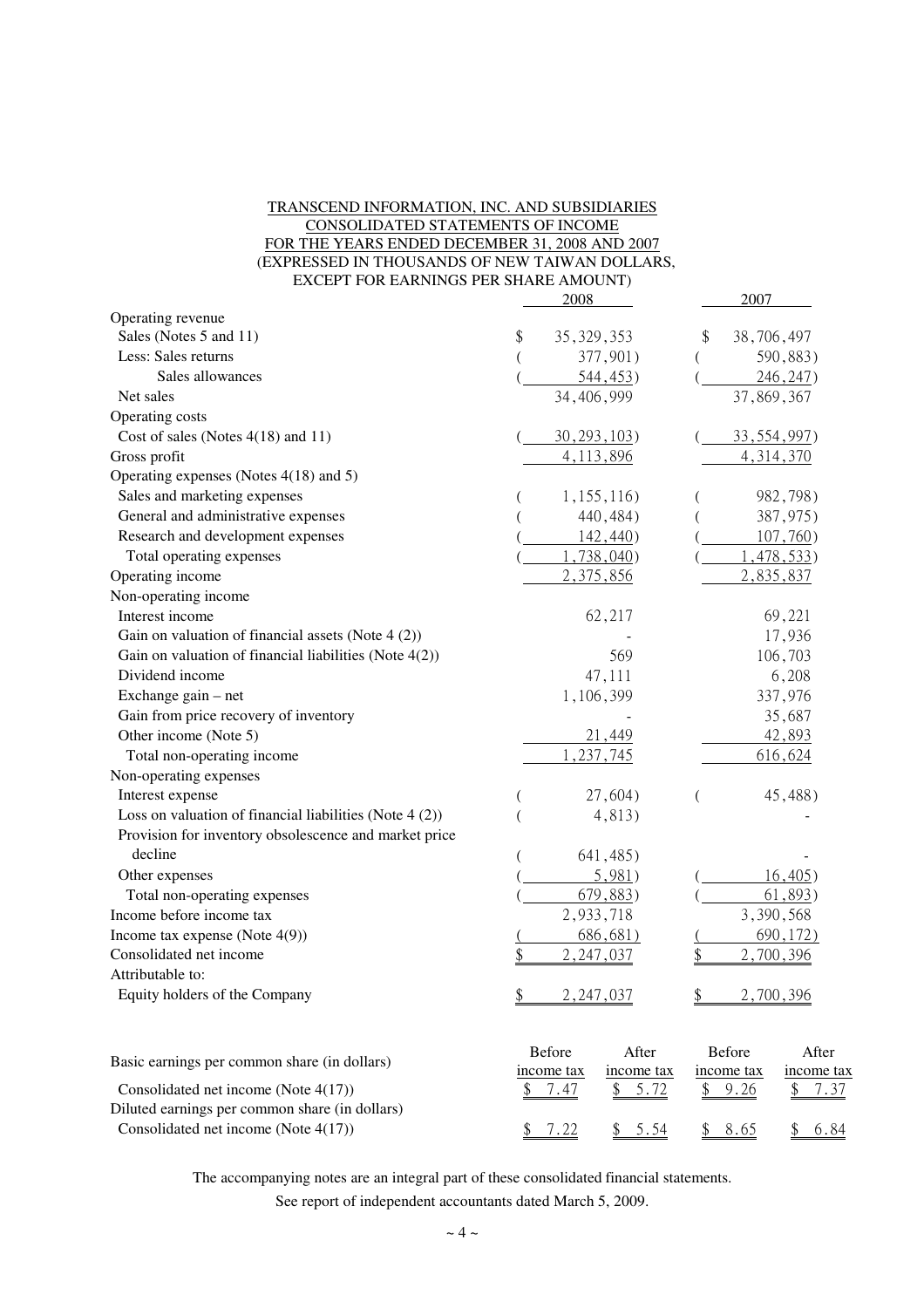### TRANSCEND INFORMATION, INC. AND SUBSIDIARIES CONSOLIDATED STATEMENTS OF INCOME FOR THE YEARS ENDED DECEMBER 31, 2008 AND 2007 (EXPRESSED IN THOUSANDS OF NEW TAIWAN DOLLARS, EXCEPT FOR EARNINGS PER SHARE AMOUNT)

|                                                           | 2008                             | 2007                       |
|-----------------------------------------------------------|----------------------------------|----------------------------|
| Operating revenue                                         |                                  |                            |
| Sales (Notes 5 and 11)                                    | 35, 329, 353<br>\$               | 38,706,497<br>S            |
| Less: Sales returns                                       | 377,901)                         | 590,883)                   |
| Sales allowances                                          | 544, 453)                        | 246, 247                   |
| Net sales                                                 | 34,406,999                       | 37,869,367                 |
| Operating costs                                           |                                  |                            |
| Cost of sales (Notes $4(18)$ and 11)                      | 30, 293, 103                     | 33, 554, 997               |
| Gross profit                                              | 4,113,896                        | 4, 314, 370                |
| Operating expenses (Notes 4(18) and 5)                    |                                  |                            |
| Sales and marketing expenses                              | 1,155,116)                       | 982,798)                   |
| General and administrative expenses                       | 440,484)                         | 387,975)                   |
| Research and development expenses                         | $142,440$ )                      | $107,760$ )                |
| Total operating expenses                                  | $1,738,040$ )                    | 1,478,533                  |
| Operating income                                          | 2,375,856                        | 2,835,837                  |
| Non-operating income                                      |                                  |                            |
| Interest income                                           | 62,217                           | 69,221                     |
| Gain on valuation of financial assets (Note $4(2)$ )      |                                  | 17,936                     |
| Gain on valuation of financial liabilities (Note $4(2)$ ) | 569                              | 106,703                    |
| Dividend income                                           | 47,111                           | 6,208                      |
| Exchange gain – net                                       | 1,106,399                        | 337,976                    |
| Gain from price recovery of inventory                     |                                  | 35,687                     |
| Other income (Note 5)                                     | 21,449                           | 42,893                     |
| Total non-operating income                                | , 237, 745                       | 616,624                    |
| Non-operating expenses                                    |                                  |                            |
| Interest expense                                          | 27,604)                          | 45,488)                    |
| Loss on valuation of financial liabilities (Note $4(2)$ ) | 4,813)                           |                            |
| Provision for inventory obsolescence and market price     |                                  |                            |
| decline                                                   | 641,485)                         |                            |
| Other expenses                                            | 5,981)                           | 16,405)                    |
| Total non-operating expenses                              | 679,883)                         | 61,893)                    |
| Income before income tax                                  | 2,933,718                        | 3,390,568                  |
| Income tax expense (Note $4(9)$ )                         | 686,681                          | 690, 172)                  |
| Consolidated net income                                   | 2, 247, 037                      | 2,700,396                  |
| Attributable to:                                          |                                  |                            |
| Equity holders of the Company                             | $\frac{1}{2}$<br>2,247,037       | 2,700,396                  |
|                                                           |                                  |                            |
| Basic earnings per common share (in dollars)              | <b>Before</b><br>After           | <b>Before</b><br>After     |
| Consolidated net income (Note 4(17))                      | income tax<br>income tax<br>5.72 | income tax<br>income tax   |
| Diluted earnings per common share (in dollars)            | <u>7.47</u>                      | <u>9.26</u><br><u>7.37</u> |
| Consolidated net income (Note 4(17))                      | 7.22<br>5.54<br>\$               | 8.65<br>\$<br>6.84<br>\$   |
|                                                           |                                  |                            |

The accompanying notes are an integral part of these consolidated financial statements.

See report of independent accountants dated March 5, 2009.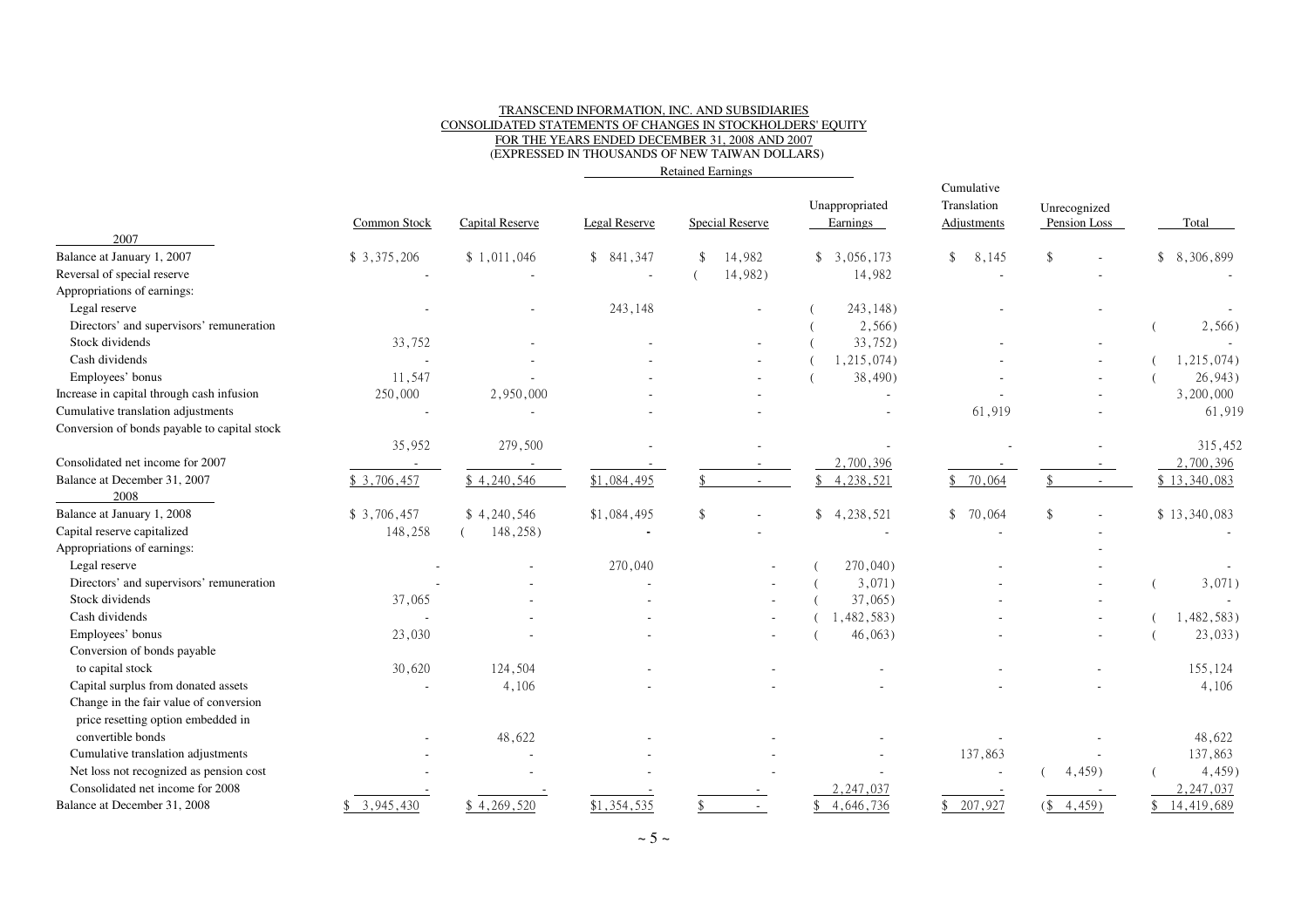#### TRANSCEND INFORMATION, INC. AND SUBSIDIARIES CONSOLIDATED STATEMENTS OF CHANGES IN STOCKHOLDERS' EQUITYFOR THE YEARS ENDED DECEMBER 31, 2008 AND 2007(EXPRESSED IN THOUSANDS OF NEW TAIWAN DOLLARS)

Retained Earnings

|                                              | Common Stock | Capital Reserve | Legal Reserve | <b>Special Reserve</b> | Unappropriated<br>Earnings | Cumulative<br>Translation<br><b>Adjustments</b> | Unrecognized<br>Pension Loss               | Total        |
|----------------------------------------------|--------------|-----------------|---------------|------------------------|----------------------------|-------------------------------------------------|--------------------------------------------|--------------|
| 2007<br>Balance at January 1, 2007           | \$3,375,206  | \$1,011,046     | \$841,347     | 14,982                 | \$3,056,173                | 8,145<br>\$                                     | \$                                         | \$8,306,899  |
| Reversal of special reserve                  |              |                 | ÷.            | 14,982)                | 14,982                     |                                                 |                                            |              |
| Appropriations of earnings:                  |              |                 |               |                        |                            |                                                 |                                            |              |
| Legal reserve                                |              |                 | 243,148       |                        | 243,148)                   |                                                 |                                            |              |
| Directors' and supervisors' remuneration     |              |                 |               |                        | 2,566)                     |                                                 |                                            | 2,566)       |
| Stock dividends                              | 33,752       |                 |               |                        | 33,752)                    |                                                 |                                            |              |
| Cash dividends                               | J.           |                 |               |                        | 1,215,074)                 |                                                 |                                            | 1,215,074)   |
| Employees' bonus                             | 11,547       |                 |               |                        | 38,490)                    |                                                 |                                            | 26,943)      |
| Increase in capital through cash infusion    | 250,000      | 2,950,000       |               |                        | $\sim$                     |                                                 |                                            | 3,200,000    |
| Cumulative translation adjustments           |              |                 |               |                        |                            | 61,919                                          |                                            | 61,919       |
| Conversion of bonds payable to capital stock |              |                 |               |                        |                            |                                                 |                                            |              |
|                                              | 35,952       | 279,500         |               |                        |                            |                                                 |                                            | 315,452      |
| Consolidated net income for 2007             |              |                 |               |                        | 2,700,396                  |                                                 |                                            | 2,700,396    |
| Balance at December 31, 2007                 | \$3,706,457  | \$4,240,546     | \$1,084,495   | $\sim$                 | 4, 238, 521<br>\$          | \$70,064                                        | \$.<br>$\sim$                              | \$13,340,083 |
| 2008                                         |              |                 |               |                        |                            |                                                 |                                            |              |
| Balance at January 1, 2008                   | \$3,706,457  | \$4,240,546     | \$1,084,495   | $\mathbf{\hat{S}}$     | \$4,238,521                | \$70,064                                        |                                            | \$13,340,083 |
| Capital reserve capitalized                  | 148,258      | 148,258)        |               |                        |                            |                                                 |                                            |              |
| Appropriations of earnings:                  |              |                 |               |                        |                            |                                                 |                                            |              |
| Legal reserve                                |              |                 | 270,040       |                        | 270,040)                   |                                                 |                                            |              |
| Directors' and supervisors' remuneration     |              |                 |               |                        | 3,071)                     |                                                 |                                            | 3,071)       |
| Stock dividends                              | 37,065       |                 |               |                        | $37,065$ )                 |                                                 |                                            |              |
| Cash dividends                               |              |                 |               |                        | 1,482,583)                 |                                                 |                                            | 1,482,583)   |
| Employees' bonus                             | 23,030       |                 |               |                        | 46,063)                    |                                                 |                                            | $23,033$ )   |
| Conversion of bonds payable                  |              |                 |               |                        |                            |                                                 |                                            |              |
| to capital stock                             | 30,620       | 124,504         |               |                        |                            |                                                 |                                            | 155,124      |
| Capital surplus from donated assets          |              | 4,106           |               |                        |                            |                                                 |                                            | 4,106        |
| Change in the fair value of conversion       |              |                 |               |                        |                            |                                                 |                                            |              |
| price resetting option embedded in           |              |                 |               |                        |                            |                                                 |                                            |              |
| convertible bonds                            |              | 48,622          |               |                        |                            |                                                 |                                            | 48,622       |
| Cumulative translation adjustments           |              |                 |               |                        |                            | 137,863                                         |                                            | 137,863      |
| Net loss not recognized as pension cost      |              |                 |               |                        |                            | $\sim$                                          | $4,459$ )                                  | 4,459)       |
| Consolidated net income for 2008             |              |                 |               |                        | 2,247,037                  |                                                 |                                            | 2, 247, 037  |
| Balance at December 31, 2008                 | \$3,945,430  | \$4,269,520     | \$1,354,535   | $\sim$                 | 4,646,736                  | 207,927                                         | $(\frac{1}{2}, \frac{4}{4}, \frac{45}{9})$ | 14,419,689   |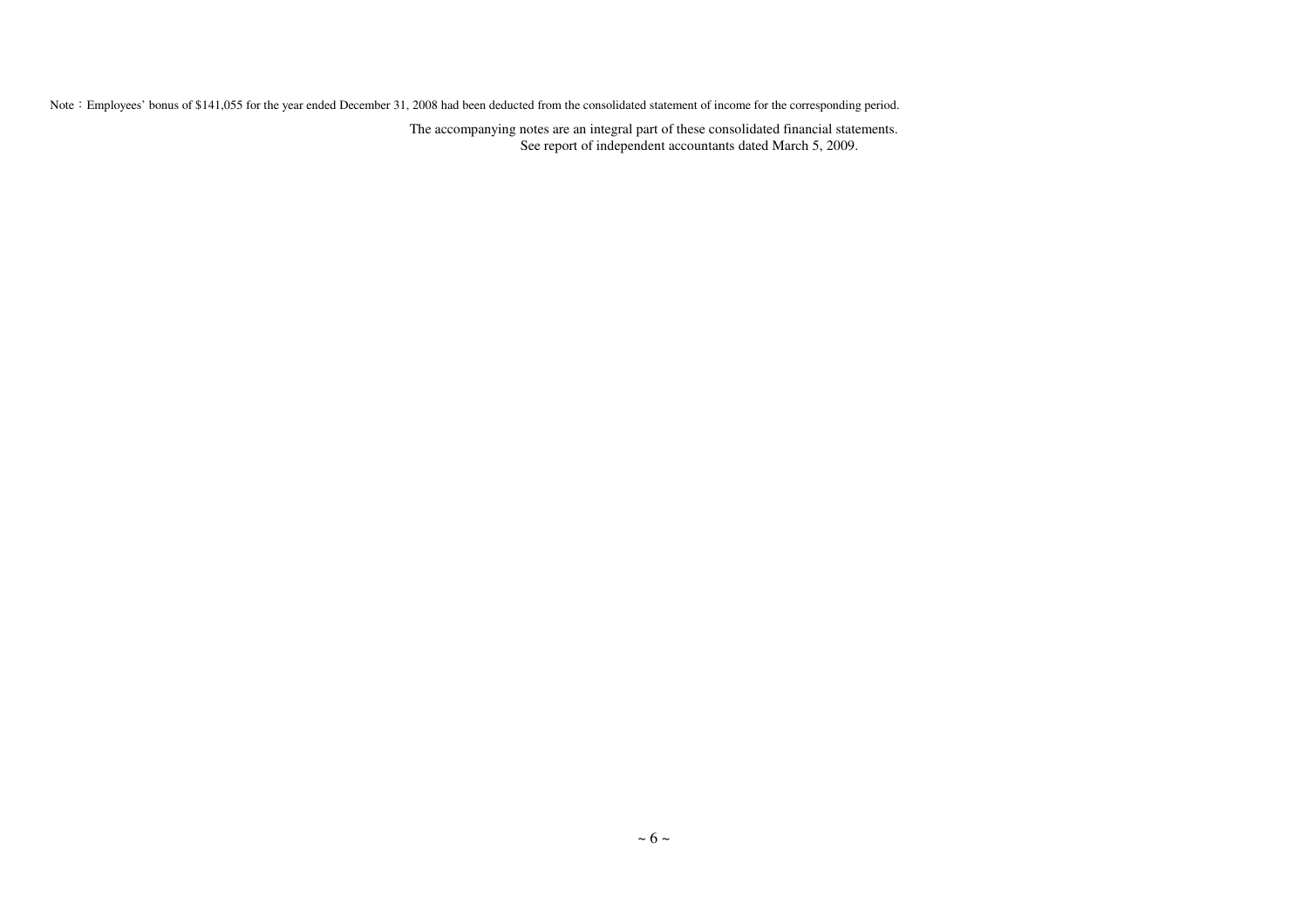Note: Employees' bonus of \$141,055 for the year ended December 31, 2008 had been deducted from the consolidated statement of income for the corresponding period.

The accompanying notes are an integral part of these consolidated financial statements. See report of independent accountants dated March 5, 2009.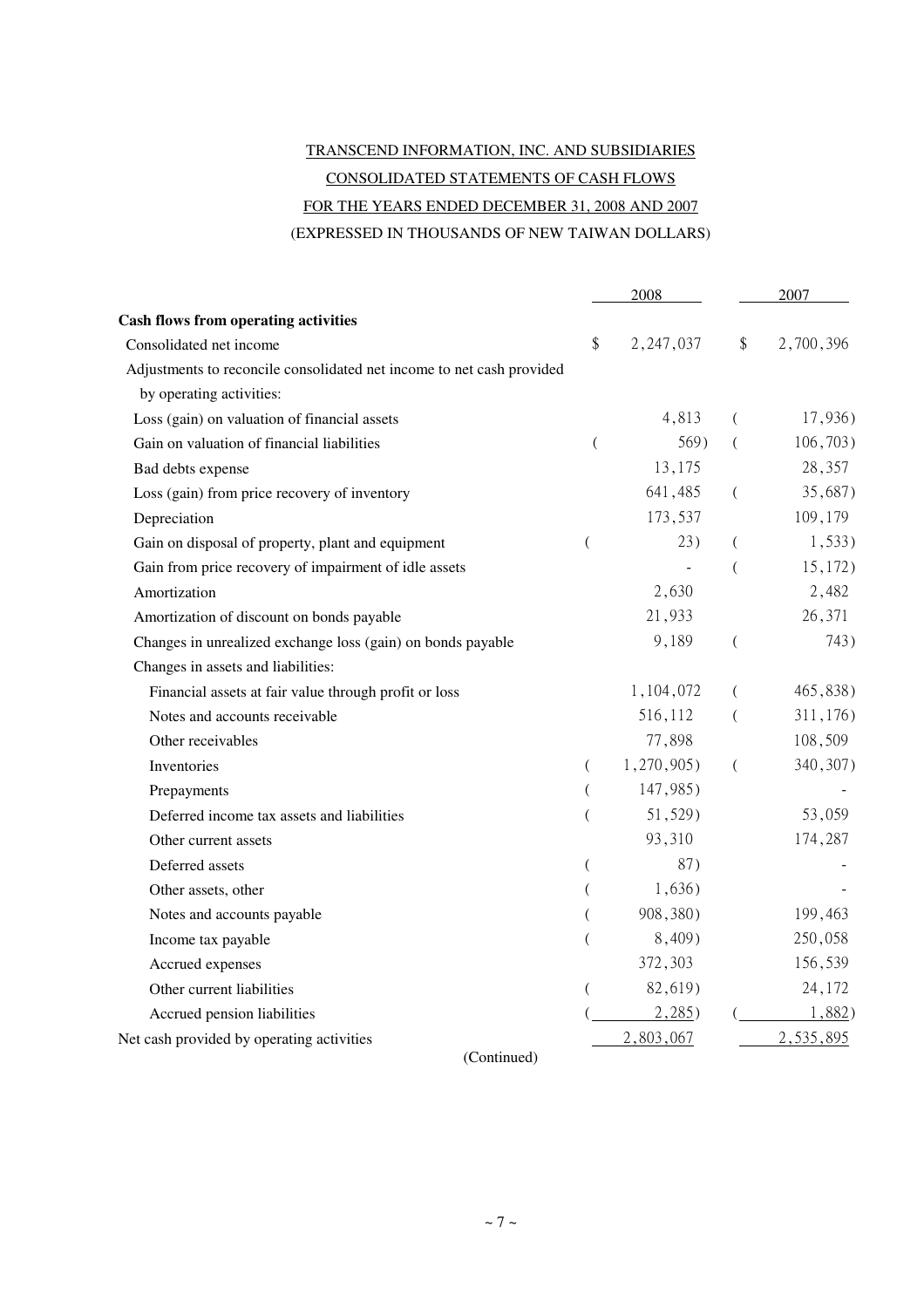# TRANSCEND INFORMATION, INC. AND SUBSIDIARIES CONSOLIDATED STATEMENTS OF CASH FLOWS FOR THE YEARS ENDED DECEMBER 31, 2008 AND 2007

(EXPRESSED IN THOUSANDS OF NEW TAIWAN DOLLARS)

|                                                                       | 2008                     |            | 2007           |           |  |
|-----------------------------------------------------------------------|--------------------------|------------|----------------|-----------|--|
| <b>Cash flows from operating activities</b>                           |                          |            |                |           |  |
| Consolidated net income                                               | \$                       | 2,247,037  | \$             | 2,700,396 |  |
| Adjustments to reconcile consolidated net income to net cash provided |                          |            |                |           |  |
| by operating activities:                                              |                          |            |                |           |  |
| Loss (gain) on valuation of financial assets                          |                          | 4,813      | (              | 17,936)   |  |
| Gain on valuation of financial liabilities                            | $\overline{(}$           | 569)       | (              | 106,703)  |  |
| Bad debts expense                                                     |                          | 13,175     |                | 28,357    |  |
| Loss (gain) from price recovery of inventory                          |                          | 641,485    | $\left($       | 35,687)   |  |
| Depreciation                                                          |                          | 173,537    |                | 109,179   |  |
| Gain on disposal of property, plant and equipment                     | $\overline{\phantom{a}}$ | 23)        | (              | 1,533)    |  |
| Gain from price recovery of impairment of idle assets                 |                          |            | $\overline{(}$ | 15,172)   |  |
| Amortization                                                          |                          | 2,630      |                | 2,482     |  |
| Amortization of discount on bonds payable                             |                          | 21,933     |                | 26,371    |  |
| Changes in unrealized exchange loss (gain) on bonds payable           |                          | 9,189      | $\left($       | 743)      |  |
| Changes in assets and liabilities:                                    |                          |            |                |           |  |
| Financial assets at fair value through profit or loss                 |                          | 1,104,072  | (              | 465,838)  |  |
| Notes and accounts receivable                                         |                          | 516,112    | $\left($       | 311,176)  |  |
| Other receivables                                                     |                          | 77,898     |                | 108,509   |  |
| Inventories                                                           | $\left($                 | 1,270,905) | $\left($       | 340, 307) |  |
| Prepayments                                                           | (                        | 147,985)   |                |           |  |
| Deferred income tax assets and liabilities                            | (                        | 51,529)    |                | 53,059    |  |
| Other current assets                                                  |                          | 93,310     |                | 174,287   |  |
| Deferred assets                                                       | (                        | 87)        |                |           |  |
| Other assets, other                                                   |                          | 1,636)     |                |           |  |
| Notes and accounts payable                                            |                          | 908,380)   |                | 199,463   |  |
| Income tax payable                                                    | (                        | 8,409)     |                | 250,058   |  |
| Accrued expenses                                                      |                          | 372,303    |                | 156,539   |  |
| Other current liabilities                                             |                          | 82,619)    |                | 24,172    |  |
| Accrued pension liabilities                                           |                          | 2,285)     |                | 1,882)    |  |
| Net cash provided by operating activities                             |                          | 2,803,067  |                | 2,535,895 |  |

(Continued)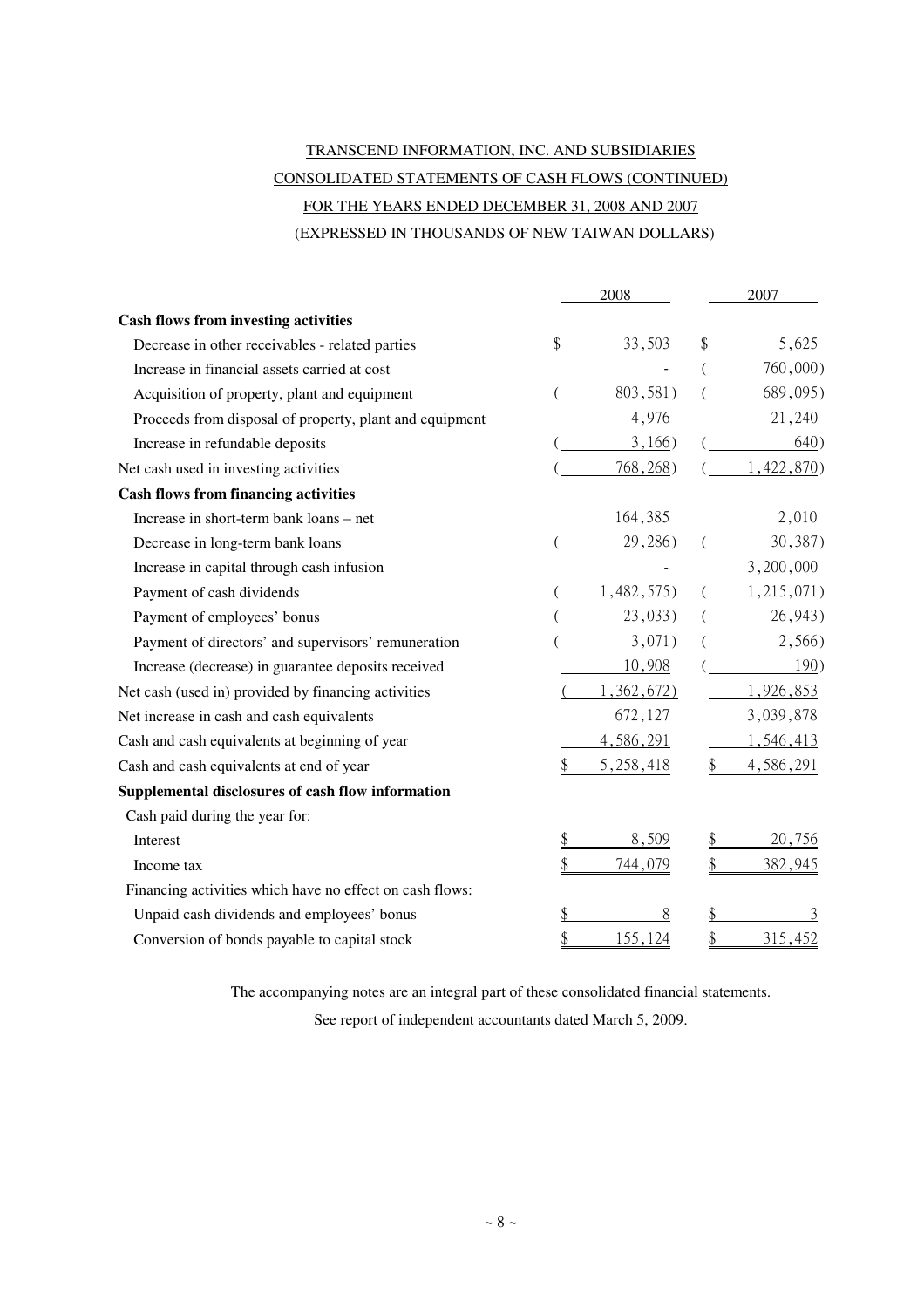# TRANSCEND INFORMATION, INC. AND SUBSIDIARIES CONSOLIDATED STATEMENTS OF CASH FLOWS (CONTINUED) FOR THE YEARS ENDED DECEMBER 31, 2008 AND 2007 (EXPRESSED IN THOUSANDS OF NEW TAIWAN DOLLARS)

|                                                          | 2008 |            | 2007          |              |
|----------------------------------------------------------|------|------------|---------------|--------------|
| <b>Cash flows from investing activities</b>              |      |            |               |              |
| Decrease in other receivables - related parties          | \$   | 33,503     | \$            | 5,625        |
| Increase in financial assets carried at cost             |      |            |               | $760,000$ )  |
| Acquisition of property, plant and equipment             |      | 803,581)   |               | 689,095)     |
| Proceeds from disposal of property, plant and equipment  |      | 4,976      |               | 21,240       |
| Increase in refundable deposits                          |      | 3,166)     |               | 640)         |
| Net cash used in investing activities                    |      | 768,268)   |               | 1,422,870)   |
| <b>Cash flows from financing activities</b>              |      |            |               |              |
| Increase in short-term bank loans – net                  |      | 164,385    |               | 2,010        |
| Decrease in long-term bank loans                         |      | 29,286)    | (             | 30,387)      |
| Increase in capital through cash infusion                |      |            |               | 3,200,000    |
| Payment of cash dividends                                |      | 1,482,575) | (             | 1, 215, 071) |
| Payment of employees' bonus                              |      | $23,033$ ) |               | 26,943)      |
| Payment of directors' and supervisors' remuneration      |      | 3,071)     |               | 2,566)       |
| Increase (decrease) in guarantee deposits received       |      | 10,908     |               | 190)         |
| Net cash (used in) provided by financing activities      |      | 1,362,672) |               | 1,926,853    |
| Net increase in cash and cash equivalents                |      | 672,127    |               | 3,039,878    |
| Cash and cash equivalents at beginning of year           |      | 4,586,291  |               | 1,546,413    |
| Cash and cash equivalents at end of year                 |      | 5,258,418  | \$            | 4,586,291    |
| Supplemental disclosures of cash flow information        |      |            |               |              |
| Cash paid during the year for:                           |      |            |               |              |
| Interest                                                 |      | 8,509      | $\frac{1}{2}$ | 20,756       |
| Income tax                                               |      | 744,079    | \$            | 382,945      |
| Financing activities which have no effect on cash flows: |      |            |               |              |
| Unpaid cash dividends and employees' bonus               |      | 8          | \$            |              |
| Conversion of bonds payable to capital stock             |      | 155,124    | $\frac{1}{2}$ | 315,452      |

The accompanying notes are an integral part of these consolidated financial statements.

See report of independent accountants dated March 5, 2009.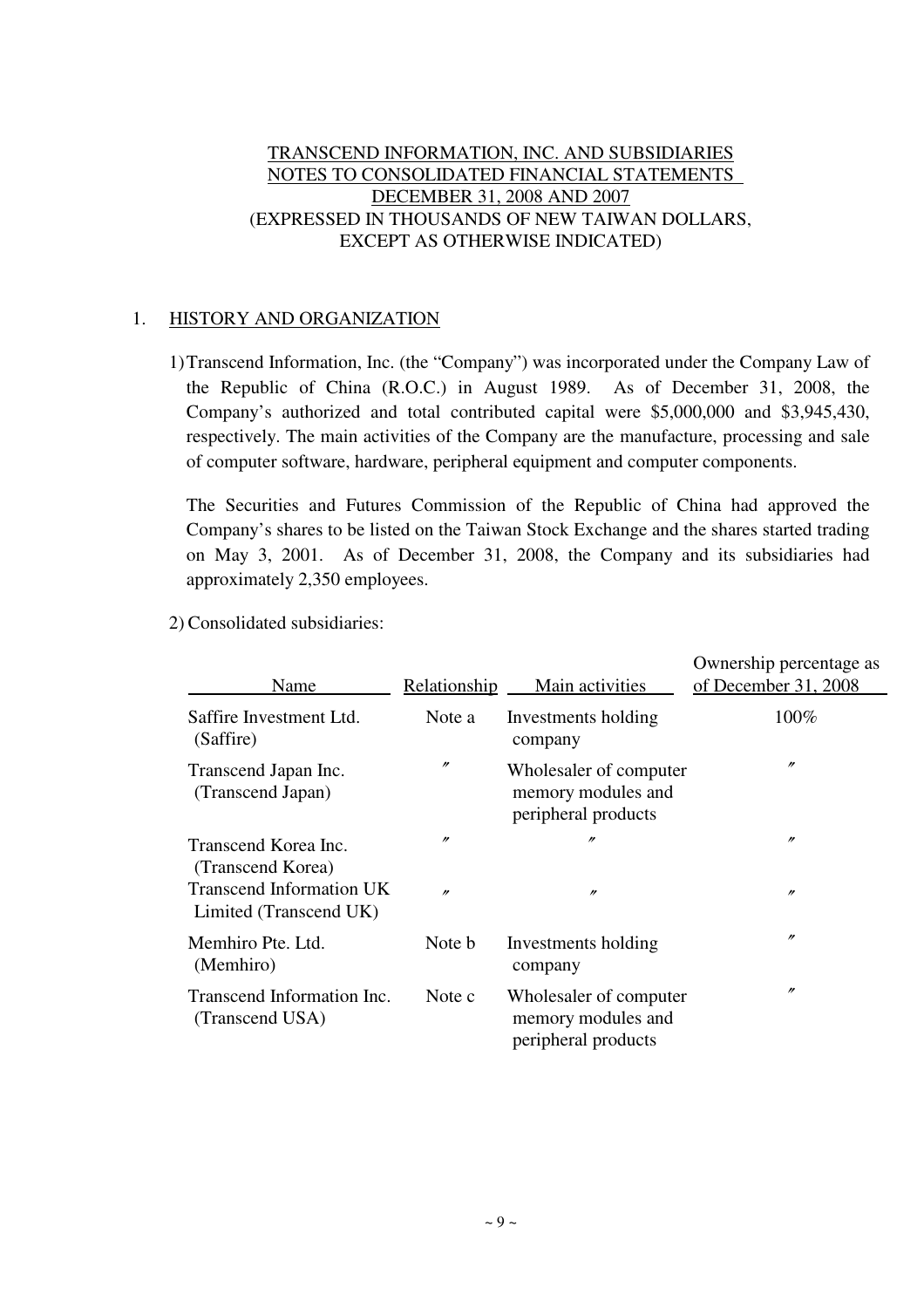## TRANSCEND INFORMATION, INC. AND SUBSIDIARIES NOTES TO CONSOLIDATED FINANCIAL STATEMENTS DECEMBER 31, 2008 AND 2007 (EXPRESSED IN THOUSANDS OF NEW TAIWAN DOLLARS, EXCEPT AS OTHERWISE INDICATED)

## 1. HISTORY AND ORGANIZATION

1)Transcend Information, Inc. (the "Company") was incorporated under the Company Law of the Republic of China (R.O.C.) in August 1989. As of December 31, 2008, the Company's authorized and total contributed capital were \$5,000,000 and \$3,945,430, respectively. The main activities of the Company are the manufacture, processing and sale of computer software, hardware, peripheral equipment and computer components.

The Securities and Futures Commission of the Republic of China had approved the Company's shares to be listed on the Taiwan Stock Exchange and the shares started trading on May 3, 2001. As of December 31, 2008, the Company and its subsidiaries had approximately 2,350 employees.

2) Consolidated subsidiaries:

| Name                                                                         | Relationship                  | Main activities                                                     | Ownership percentage as<br>of December 31, 2008 |
|------------------------------------------------------------------------------|-------------------------------|---------------------------------------------------------------------|-------------------------------------------------|
| Saffire Investment Ltd.<br>(Saffire)                                         | Note a                        | Investments holding<br>company                                      | 100%                                            |
| Transcend Japan Inc.<br>(Transcend Japan)                                    | $^{\prime\prime}$             | Wholesaler of computer<br>memory modules and<br>peripheral products | $^{\prime\prime}$                               |
| Transcend Korea Inc.<br>(Transcend Korea)<br><b>Transcend Information UK</b> | $^{\prime\prime}$<br>$\prime$ | $\prime$<br>$\prime\prime$                                          | $\prime\prime$<br>$^{\prime\prime}$             |
| Limited (Transcend UK)                                                       |                               |                                                                     |                                                 |
| Memhiro Pte. Ltd.<br>(Memhiro)                                               | Note b                        | Investments holding<br>company                                      | $^{\prime\prime}$                               |
| Transcend Information Inc.<br>(Transcend USA)                                | Note c                        | Wholesaler of computer<br>memory modules and<br>peripheral products | $^{\prime\prime}$                               |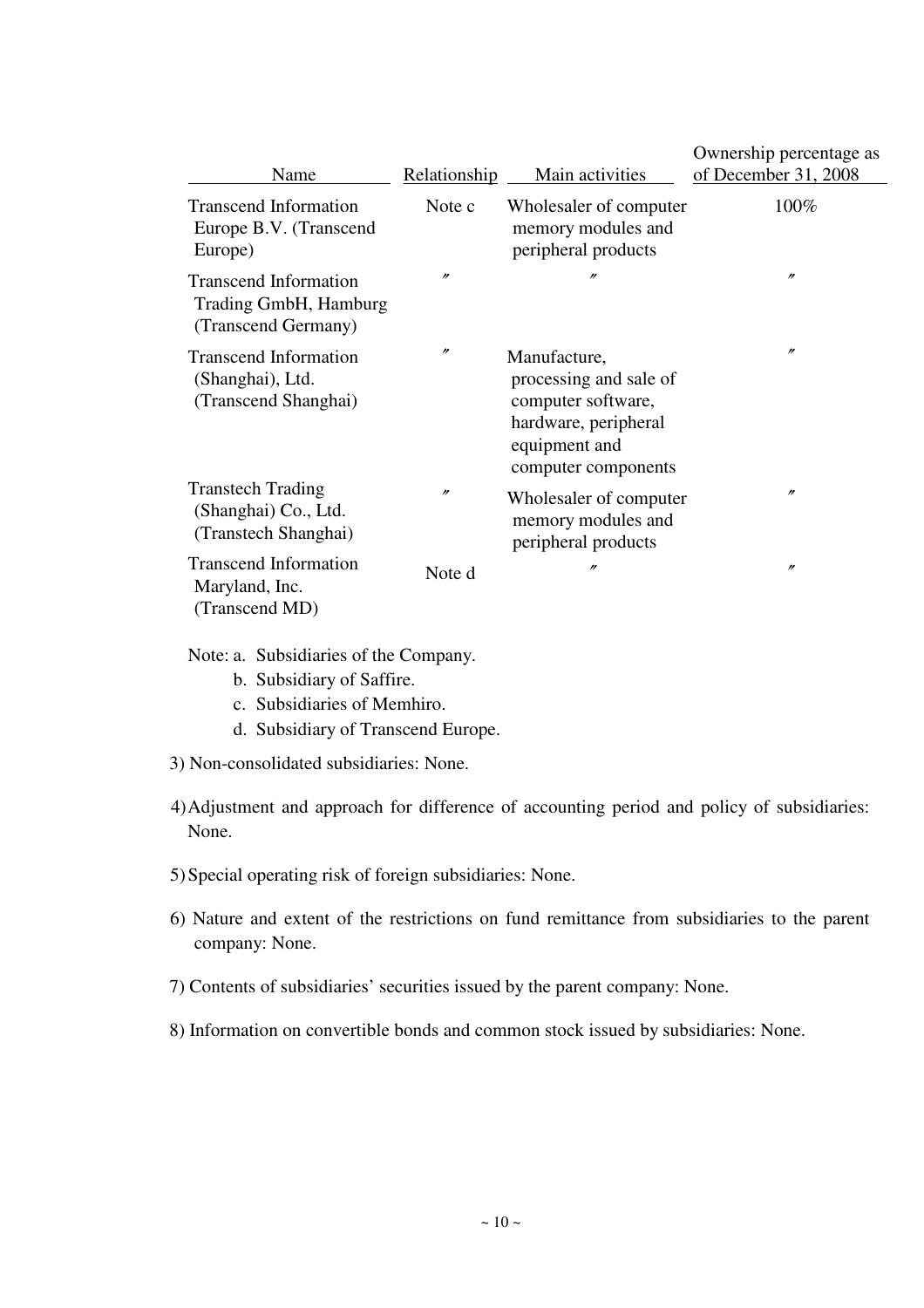| Name                                                                         | Relationship      | Main activities                                                                                                              | Ownership percentage as<br>of December 31, 2008 |
|------------------------------------------------------------------------------|-------------------|------------------------------------------------------------------------------------------------------------------------------|-------------------------------------------------|
| <b>Transcend Information</b><br>Europe B.V. (Transcend<br>Europe)            | Note c            | Wholesaler of computer<br>memory modules and<br>peripheral products                                                          | 100%                                            |
| <b>Transcend Information</b><br>Trading GmbH, Hamburg<br>(Transcend Germany) | $^{\prime\prime}$ | $\prime\prime$                                                                                                               | $^{\prime\prime}$                               |
| <b>Transcend Information</b><br>(Shanghai), Ltd.<br>(Transcend Shanghai)     | $^{\prime\prime}$ | Manufacture,<br>processing and sale of<br>computer software,<br>hardware, peripheral<br>equipment and<br>computer components | $^{\prime\prime}$                               |
| <b>Transtech Trading</b><br>(Shanghai) Co., Ltd.<br>(Transtech Shanghai)     | $\prime\prime$    | Wholesaler of computer<br>memory modules and<br>peripheral products                                                          | $\prime\prime$                                  |
| <b>Transcend Information</b><br>Maryland, Inc.<br>(Transcend MD)             | Note d            | $^{\prime\prime}$                                                                                                            | $^{\prime\prime}$                               |

Note: a. Subsidiaries of the Company.

- b. Subsidiary of Saffire.
- c. Subsidiaries of Memhiro.
- d. Subsidiary of Transcend Europe.

3) Non-consolidated subsidiaries: None.

- 4) Adjustment and approach for difference of accounting period and policy of subsidiaries: None.
- 5) Special operating risk of foreign subsidiaries: None.
- 6) Nature and extent of the restrictions on fund remittance from subsidiaries to the parent company: None.
- 7) Contents of subsidiaries' securities issued by the parent company: None.
- 8) Information on convertible bonds and common stock issued by subsidiaries: None.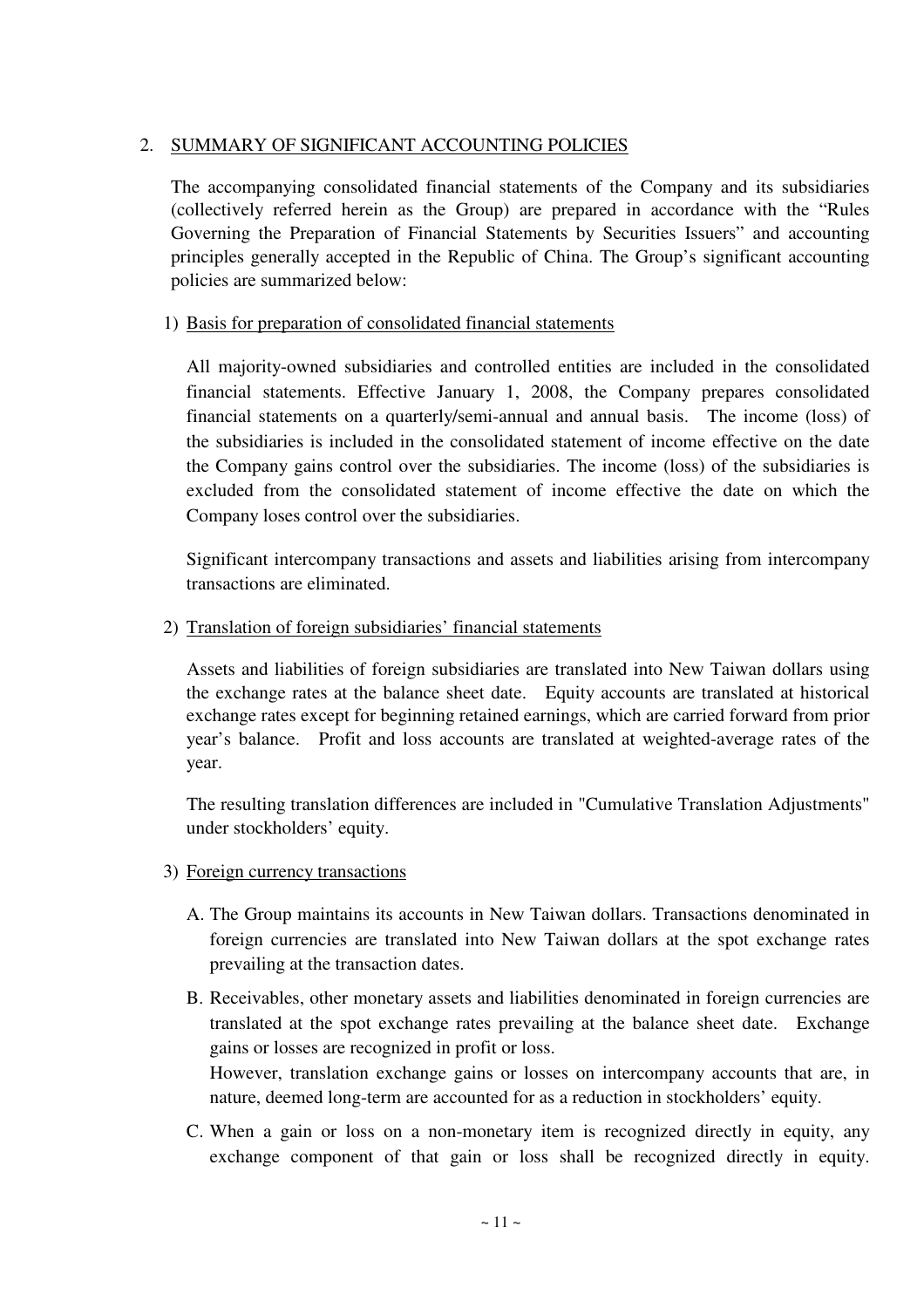## 2. SUMMARY OF SIGNIFICANT ACCOUNTING POLICIES

The accompanying consolidated financial statements of the Company and its subsidiaries (collectively referred herein as the Group) are prepared in accordance with the "Rules Governing the Preparation of Financial Statements by Securities Issuers" and accounting principles generally accepted in the Republic of China. The Group's significant accounting policies are summarized below:

## 1) Basis for preparation of consolidated financial statements

All majority-owned subsidiaries and controlled entities are included in the consolidated financial statements. Effective January 1, 2008, the Company prepares consolidated financial statements on a quarterly/semi-annual and annual basis. The income (loss) of the subsidiaries is included in the consolidated statement of income effective on the date the Company gains control over the subsidiaries. The income (loss) of the subsidiaries is excluded from the consolidated statement of income effective the date on which the Company loses control over the subsidiaries.

Significant intercompany transactions and assets and liabilities arising from intercompany transactions are eliminated.

## 2) Translation of foreign subsidiaries' financial statements

Assets and liabilities of foreign subsidiaries are translated into New Taiwan dollars using the exchange rates at the balance sheet date. Equity accounts are translated at historical exchange rates except for beginning retained earnings, which are carried forward from prior year's balance. Profit and loss accounts are translated at weighted-average rates of the year.

The resulting translation differences are included in "Cumulative Translation Adjustments" under stockholders' equity.

## 3) Foreign currency transactions

- A. The Group maintains its accounts in New Taiwan dollars. Transactions denominated in foreign currencies are translated into New Taiwan dollars at the spot exchange rates prevailing at the transaction dates.
- B. Receivables, other monetary assets and liabilities denominated in foreign currencies are translated at the spot exchange rates prevailing at the balance sheet date. Exchange gains or losses are recognized in profit or loss. However, translation exchange gains or losses on intercompany accounts that are, in nature, deemed long-term are accounted for as a reduction in stockholders' equity.
- C. When a gain or loss on a non-monetary item is recognized directly in equity, any exchange component of that gain or loss shall be recognized directly in equity.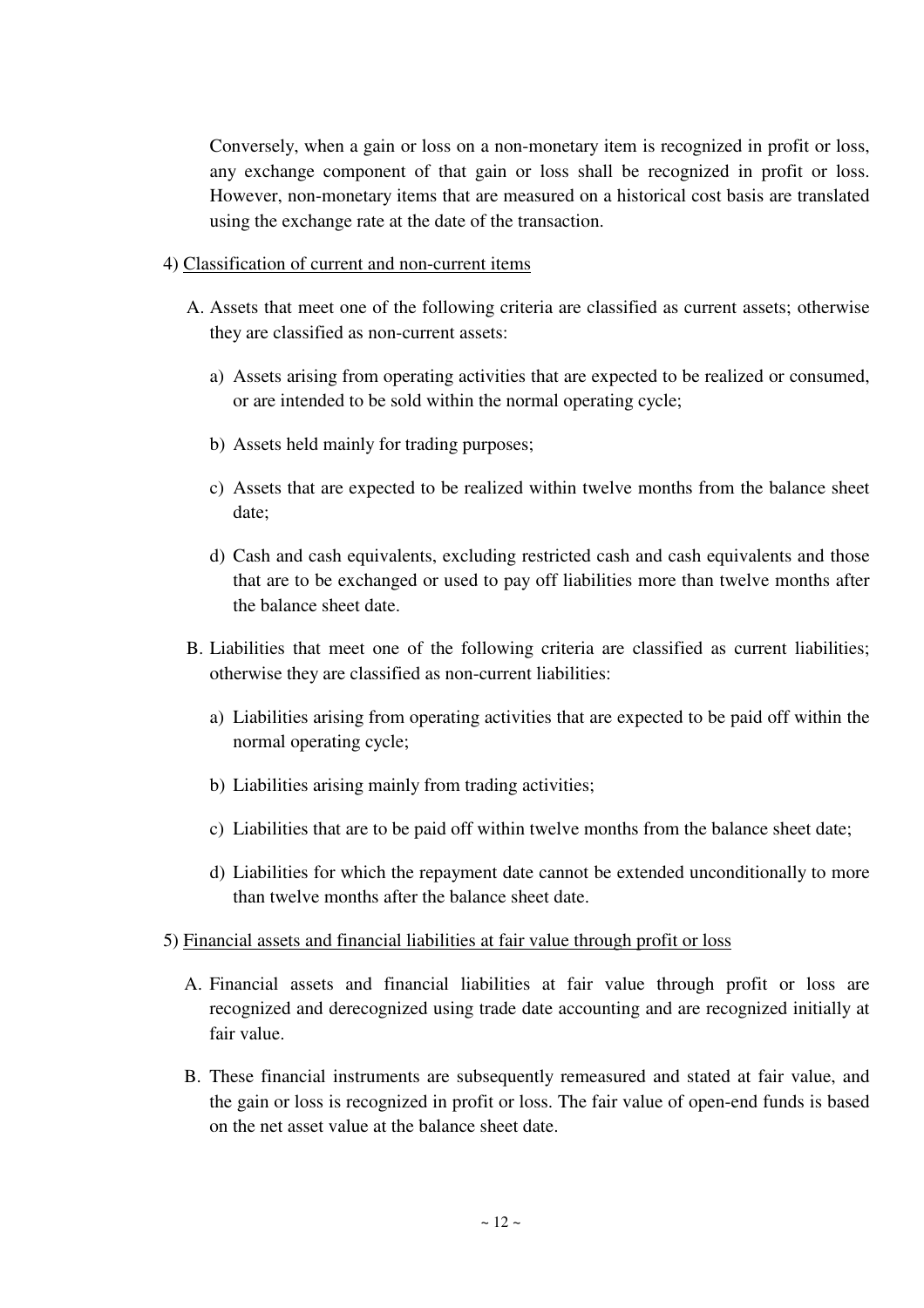Conversely, when a gain or loss on a non-monetary item is recognized in profit or loss, any exchange component of that gain or loss shall be recognized in profit or loss. However, non-monetary items that are measured on a historical cost basis are translated using the exchange rate at the date of the transaction.

## 4) Classification of current and non-current items

- A. Assets that meet one of the following criteria are classified as current assets; otherwise they are classified as non-current assets:
	- a) Assets arising from operating activities that are expected to be realized or consumed, or are intended to be sold within the normal operating cycle;
	- b) Assets held mainly for trading purposes;
	- c) Assets that are expected to be realized within twelve months from the balance sheet date;
	- d) Cash and cash equivalents, excluding restricted cash and cash equivalents and those that are to be exchanged or used to pay off liabilities more than twelve months after the balance sheet date.
- B. Liabilities that meet one of the following criteria are classified as current liabilities; otherwise they are classified as non-current liabilities:
	- a) Liabilities arising from operating activities that are expected to be paid off within the normal operating cycle;
	- b) Liabilities arising mainly from trading activities;
	- c) Liabilities that are to be paid off within twelve months from the balance sheet date;
	- d) Liabilities for which the repayment date cannot be extended unconditionally to more than twelve months after the balance sheet date.

## 5) Financial assets and financial liabilities at fair value through profit or loss

- A. Financial assets and financial liabilities at fair value through profit or loss are recognized and derecognized using trade date accounting and are recognized initially at fair value.
- B. These financial instruments are subsequently remeasured and stated at fair value, and the gain or loss is recognized in profit or loss. The fair value of open-end funds is based on the net asset value at the balance sheet date.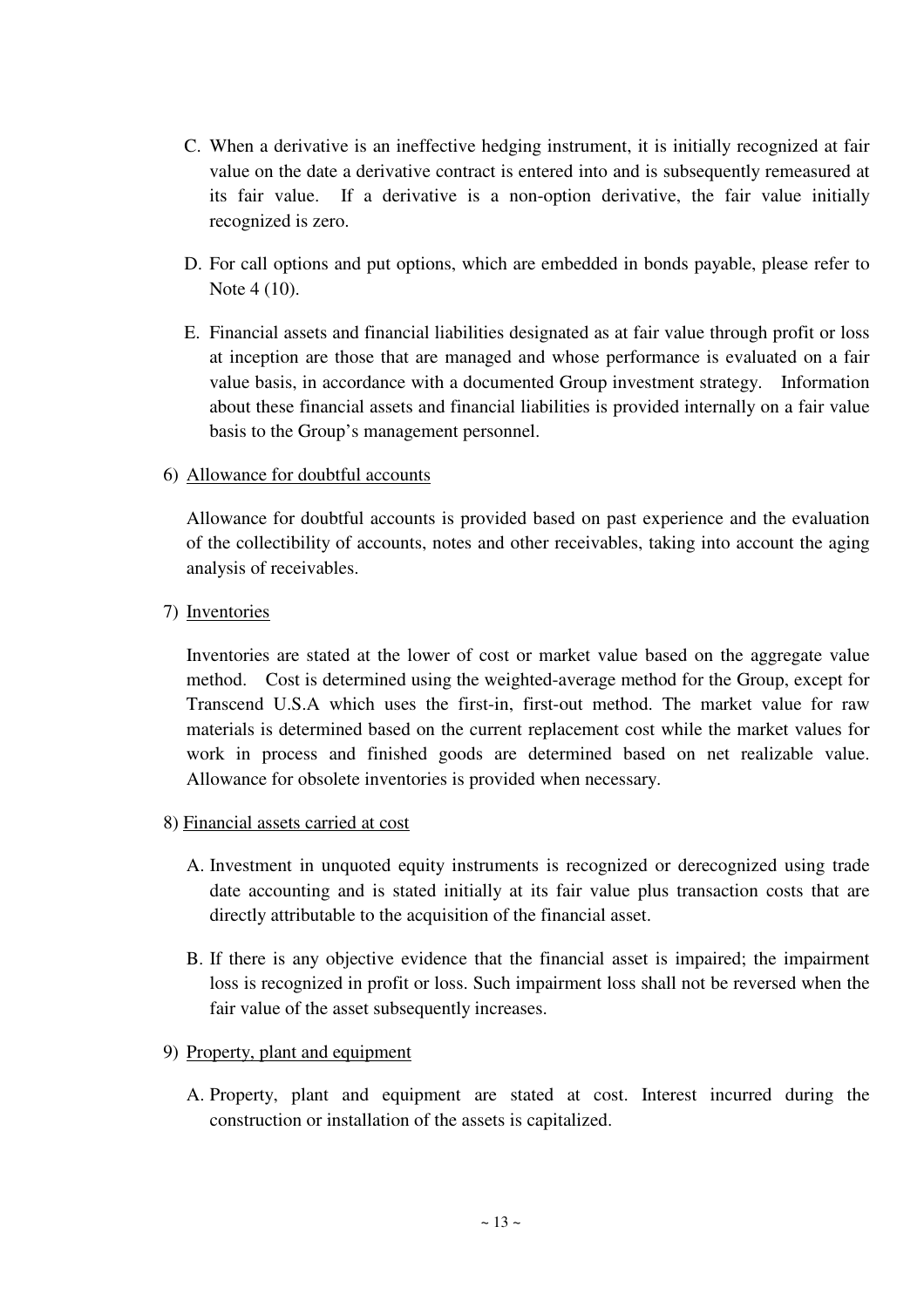- C. When a derivative is an ineffective hedging instrument, it is initially recognized at fair value on the date a derivative contract is entered into and is subsequently remeasured at its fair value. If a derivative is a non-option derivative, the fair value initially recognized is zero.
- D. For call options and put options, which are embedded in bonds payable, please refer to Note 4 (10).
- E. Financial assets and financial liabilities designated as at fair value through profit or loss at inception are those that are managed and whose performance is evaluated on a fair value basis, in accordance with a documented Group investment strategy. Information about these financial assets and financial liabilities is provided internally on a fair value basis to the Group's management personnel.

## 6) Allowance for doubtful accounts

Allowance for doubtful accounts is provided based on past experience and the evaluation of the collectibility of accounts, notes and other receivables, taking into account the aging analysis of receivables.

## 7) Inventories

Inventories are stated at the lower of cost or market value based on the aggregate value method. Cost is determined using the weighted-average method for the Group, except for Transcend U.S.A which uses the first-in, first-out method. The market value for raw materials is determined based on the current replacement cost while the market values for work in process and finished goods are determined based on net realizable value. Allowance for obsolete inventories is provided when necessary.

## 8) Financial assets carried at cost

- A. Investment in unquoted equity instruments is recognized or derecognized using trade date accounting and is stated initially at its fair value plus transaction costs that are directly attributable to the acquisition of the financial asset.
- B. If there is any objective evidence that the financial asset is impaired; the impairment loss is recognized in profit or loss. Such impairment loss shall not be reversed when the fair value of the asset subsequently increases.

## 9) Property, plant and equipment

A. Property, plant and equipment are stated at cost. Interest incurred during the construction or installation of the assets is capitalized.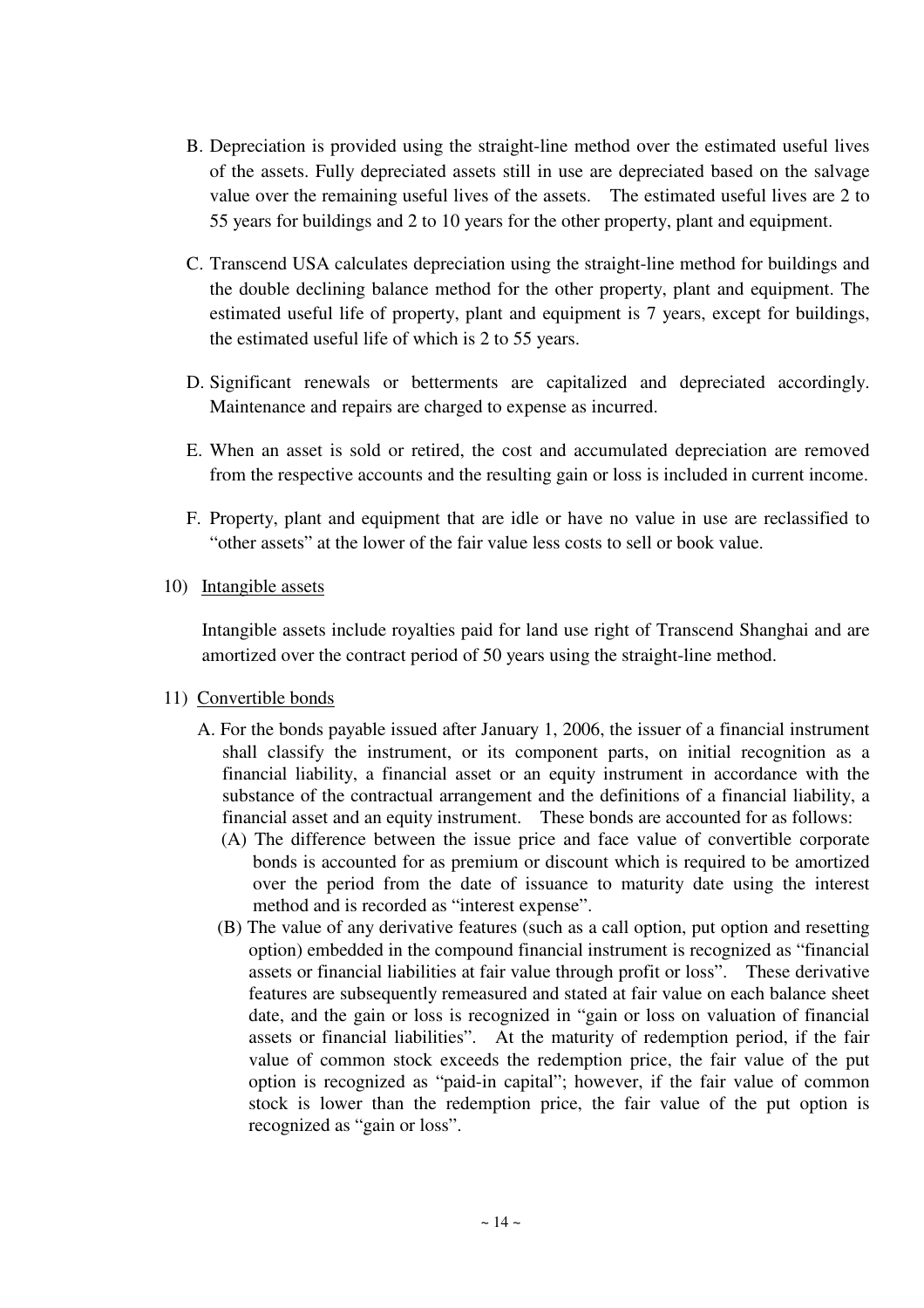- B. Depreciation is provided using the straight-line method over the estimated useful lives of the assets. Fully depreciated assets still in use are depreciated based on the salvage value over the remaining useful lives of the assets. The estimated useful lives are 2 to 55 years for buildings and 2 to 10 years for the other property, plant and equipment.
- C. Transcend USA calculates depreciation using the straight-line method for buildings and the double declining balance method for the other property, plant and equipment. The estimated useful life of property, plant and equipment is 7 years, except for buildings, the estimated useful life of which is 2 to 55 years.
- D. Significant renewals or betterments are capitalized and depreciated accordingly. Maintenance and repairs are charged to expense as incurred.
- E. When an asset is sold or retired, the cost and accumulated depreciation are removed from the respective accounts and the resulting gain or loss is included in current income.
- F. Property, plant and equipment that are idle or have no value in use are reclassified to "other assets" at the lower of the fair value less costs to sell or book value.
- 10) Intangible assets

Intangible assets include royalties paid for land use right of Transcend Shanghai and are amortized over the contract period of 50 years using the straight-line method.

- 11) Convertible bonds
	- A. For the bonds payable issued after January 1, 2006, the issuer of a financial instrument shall classify the instrument, or its component parts, on initial recognition as a financial liability, a financial asset or an equity instrument in accordance with the substance of the contractual arrangement and the definitions of a financial liability, a financial asset and an equity instrument. These bonds are accounted for as follows:
		- (A) The difference between the issue price and face value of convertible corporate bonds is accounted for as premium or discount which is required to be amortized over the period from the date of issuance to maturity date using the interest method and is recorded as "interest expense".
		- (B) The value of any derivative features (such as a call option, put option and resetting option) embedded in the compound financial instrument is recognized as "financial assets or financial liabilities at fair value through profit or loss". These derivative features are subsequently remeasured and stated at fair value on each balance sheet date, and the gain or loss is recognized in "gain or loss on valuation of financial assets or financial liabilities". At the maturity of redemption period, if the fair value of common stock exceeds the redemption price, the fair value of the put option is recognized as "paid-in capital"; however, if the fair value of common stock is lower than the redemption price, the fair value of the put option is recognized as "gain or loss".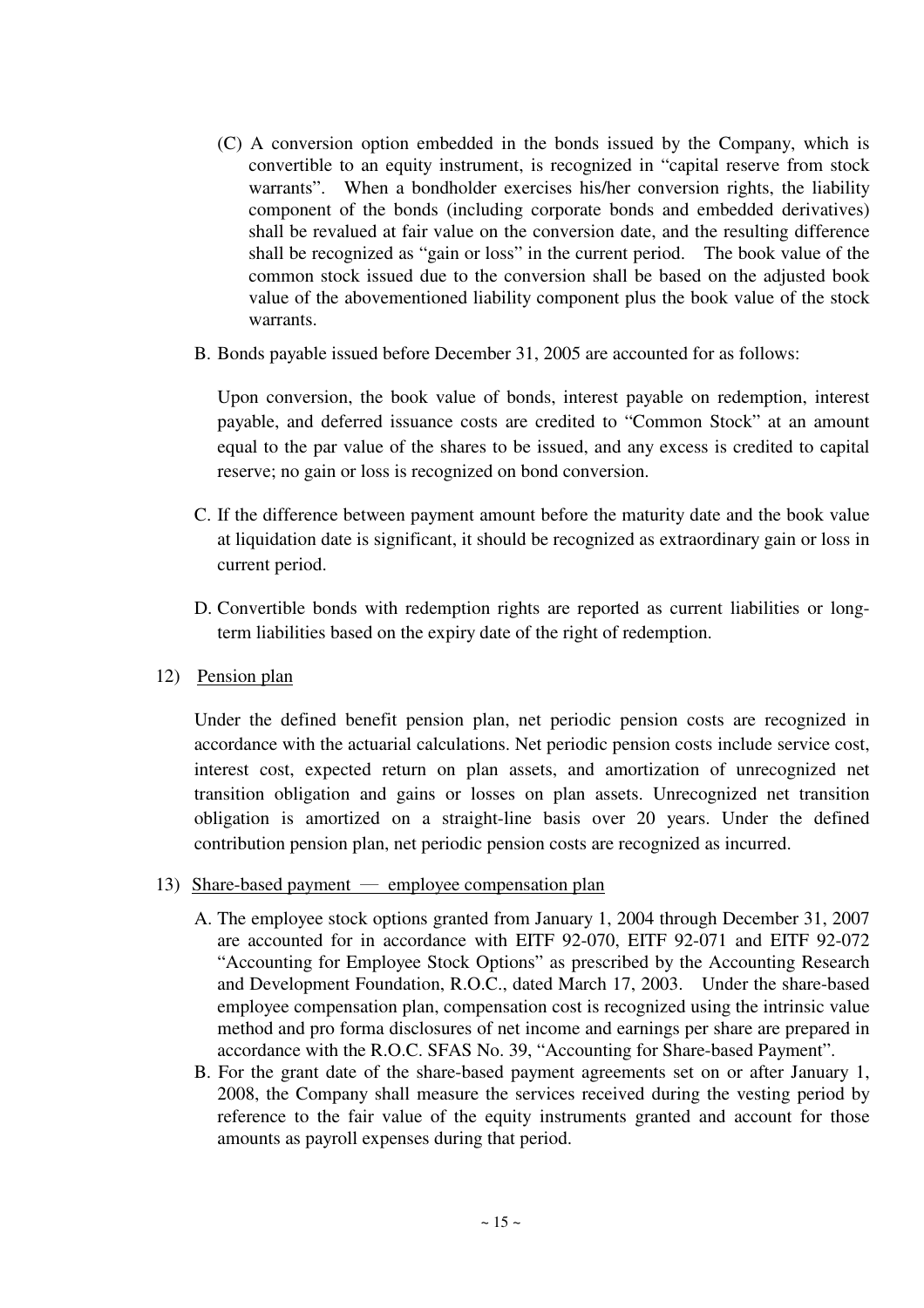- (C) A conversion option embedded in the bonds issued by the Company, which is convertible to an equity instrument, is recognized in "capital reserve from stock warrants". When a bondholder exercises his/her conversion rights, the liability component of the bonds (including corporate bonds and embedded derivatives) shall be revalued at fair value on the conversion date, and the resulting difference shall be recognized as "gain or loss" in the current period. The book value of the common stock issued due to the conversion shall be based on the adjusted book value of the abovementioned liability component plus the book value of the stock warrants.
- B. Bonds payable issued before December 31, 2005 are accounted for as follows:

Upon conversion, the book value of bonds, interest payable on redemption, interest payable, and deferred issuance costs are credited to "Common Stock" at an amount equal to the par value of the shares to be issued, and any excess is credited to capital reserve; no gain or loss is recognized on bond conversion.

- C. If the difference between payment amount before the maturity date and the book value at liquidation date is significant, it should be recognized as extraordinary gain or loss in current period.
- D. Convertible bonds with redemption rights are reported as current liabilities or longterm liabilities based on the expiry date of the right of redemption.
- 12) Pension plan

Under the defined benefit pension plan, net periodic pension costs are recognized in accordance with the actuarial calculations. Net periodic pension costs include service cost, interest cost, expected return on plan assets, and amortization of unrecognized net transition obligation and gains or losses on plan assets. Unrecognized net transition obligation is amortized on a straight-line basis over 20 years. Under the defined contribution pension plan, net periodic pension costs are recognized as incurred.

- 13) Share-based payment  $-$  employee compensation plan
	- A. The employee stock options granted from January 1, 2004 through December 31, 2007 are accounted for in accordance with EITF 92-070, EITF 92-071 and EITF 92-072 "Accounting for Employee Stock Options" as prescribed by the Accounting Research and Development Foundation, R.O.C., dated March 17, 2003. Under the share-based employee compensation plan, compensation cost is recognized using the intrinsic value method and pro forma disclosures of net income and earnings per share are prepared in accordance with the R.O.C. SFAS No. 39, "Accounting for Share-based Payment".
	- B. For the grant date of the share-based payment agreements set on or after January 1, 2008, the Company shall measure the services received during the vesting period by reference to the fair value of the equity instruments granted and account for those amounts as payroll expenses during that period.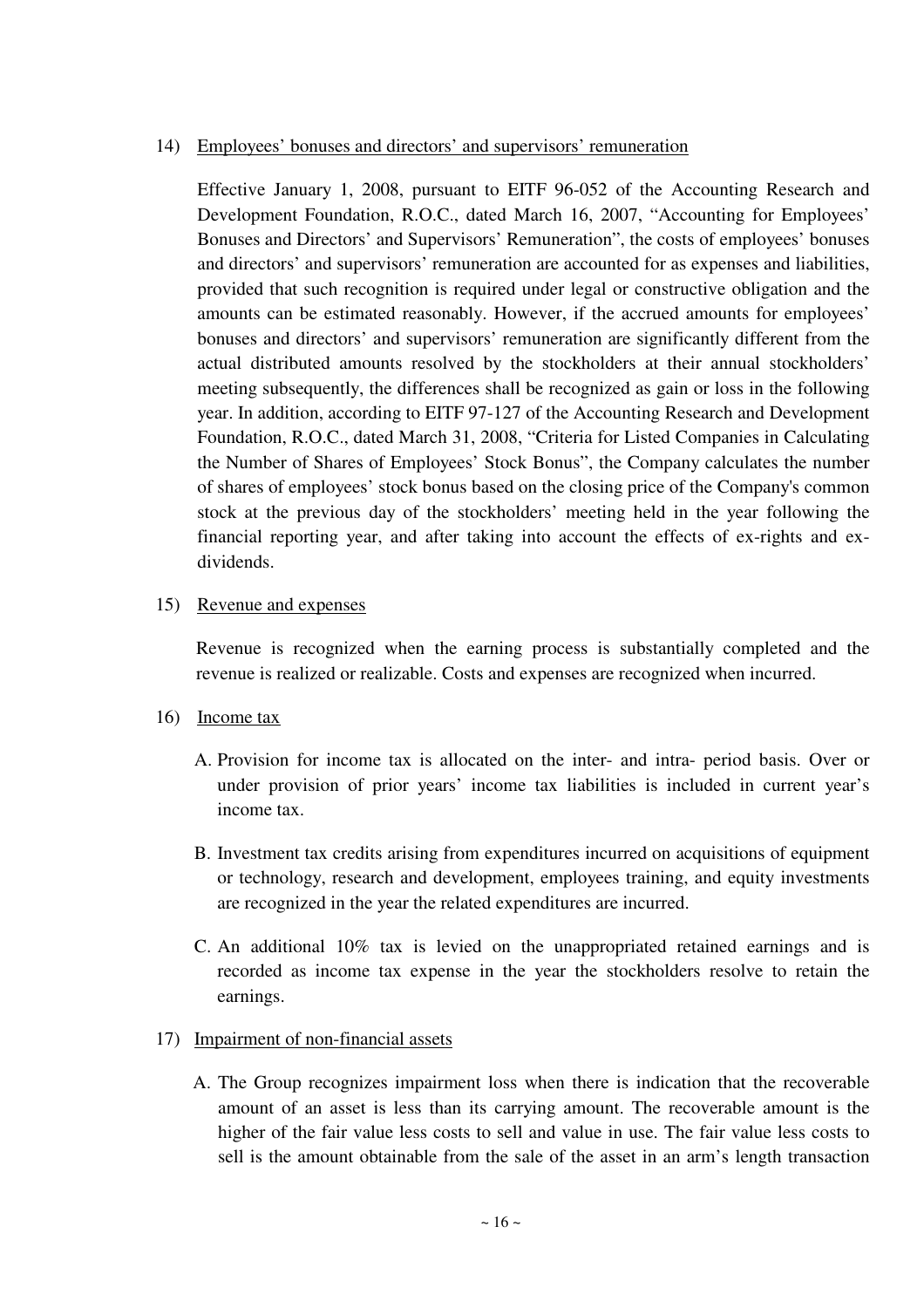## 14) Employees' bonuses and directors' and supervisors' remuneration

Effective January 1, 2008, pursuant to EITF 96-052 of the Accounting Research and Development Foundation, R.O.C., dated March 16, 2007, "Accounting for Employees' Bonuses and Directors' and Supervisors' Remuneration", the costs of employees' bonuses and directors' and supervisors' remuneration are accounted for as expenses and liabilities, provided that such recognition is required under legal or constructive obligation and the amounts can be estimated reasonably. However, if the accrued amounts for employees' bonuses and directors' and supervisors' remuneration are significantly different from the actual distributed amounts resolved by the stockholders at their annual stockholders' meeting subsequently, the differences shall be recognized as gain or loss in the following year. In addition, according to EITF 97-127 of the Accounting Research and Development Foundation, R.O.C., dated March 31, 2008, "Criteria for Listed Companies in Calculating the Number of Shares of Employees' Stock Bonus", the Company calculates the number of shares of employees' stock bonus based on the closing price of the Company's common stock at the previous day of the stockholders' meeting held in the year following the financial reporting year, and after taking into account the effects of ex-rights and exdividends.

## 15) Revenue and expenses

Revenue is recognized when the earning process is substantially completed and the revenue is realized or realizable. Costs and expenses are recognized when incurred.

## 16) Income tax

- A. Provision for income tax is allocated on the inter- and intra- period basis. Over or under provision of prior years' income tax liabilities is included in current year's income tax.
- B. Investment tax credits arising from expenditures incurred on acquisitions of equipment or technology, research and development, employees training, and equity investments are recognized in the year the related expenditures are incurred.
- C. An additional 10% tax is levied on the unappropriated retained earnings and is recorded as income tax expense in the year the stockholders resolve to retain the earnings.

## 17) Impairment of non-financial assets

A. The Group recognizes impairment loss when there is indication that the recoverable amount of an asset is less than its carrying amount. The recoverable amount is the higher of the fair value less costs to sell and value in use. The fair value less costs to sell is the amount obtainable from the sale of the asset in an arm's length transaction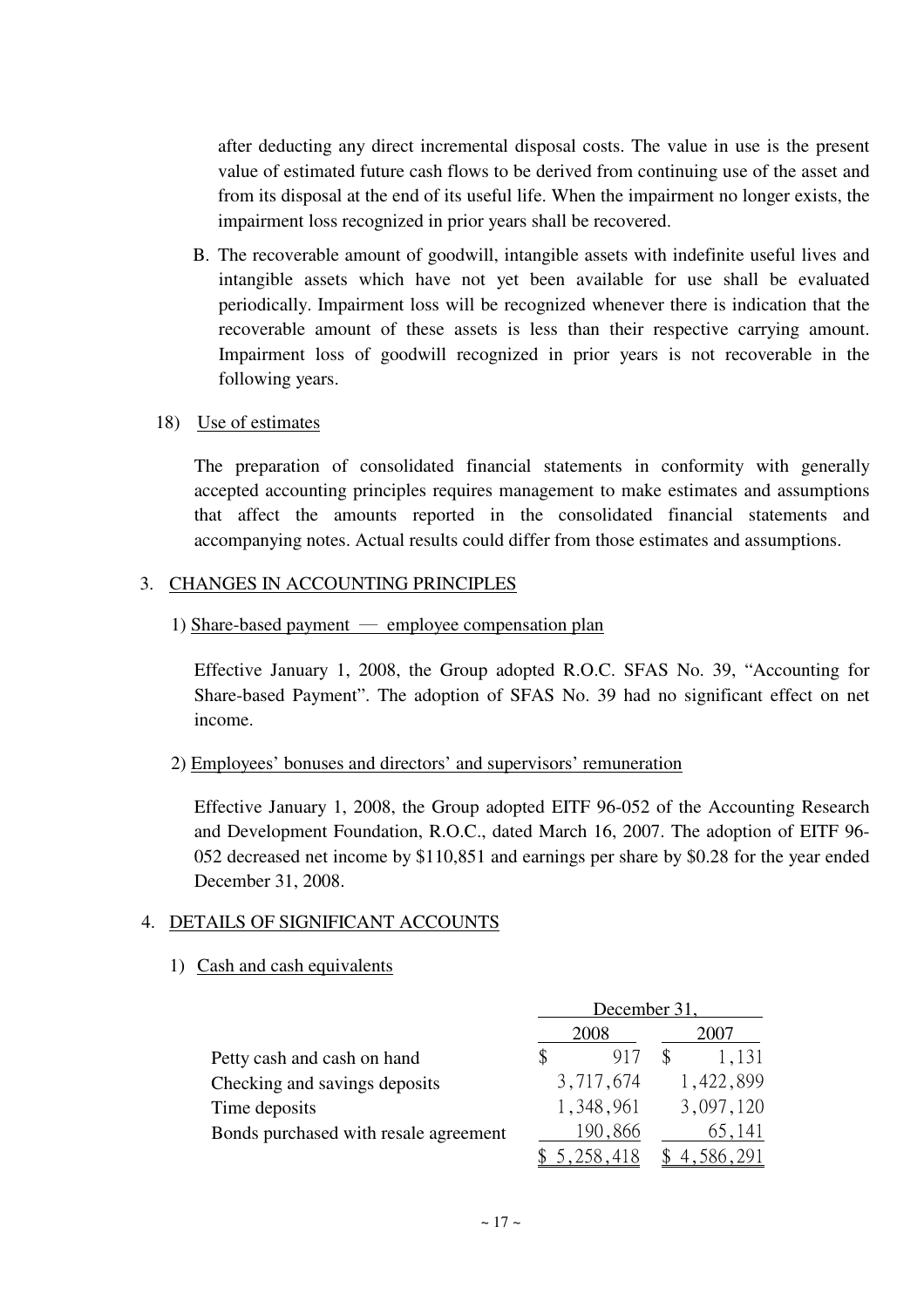after deducting any direct incremental disposal costs. The value in use is the present value of estimated future cash flows to be derived from continuing use of the asset and from its disposal at the end of its useful life. When the impairment no longer exists, the impairment loss recognized in prior years shall be recovered.

B. The recoverable amount of goodwill, intangible assets with indefinite useful lives and intangible assets which have not yet been available for use shall be evaluated periodically. Impairment loss will be recognized whenever there is indication that the recoverable amount of these assets is less than their respective carrying amount. Impairment loss of goodwill recognized in prior years is not recoverable in the following years.

### 18) Use of estimates

The preparation of consolidated financial statements in conformity with generally accepted accounting principles requires management to make estimates and assumptions that affect the amounts reported in the consolidated financial statements and accompanying notes. Actual results could differ from those estimates and assumptions.

### 3. CHANGES IN ACCOUNTING PRINCIPLES

1) Share-based payment  $-$  employee compensation plan

Effective January 1, 2008, the Group adopted R.O.C. SFAS No. 39, "Accounting for Share-based Payment". The adoption of SFAS No. 39 had no significant effect on net income.

### 2) Employees' bonuses and directors' and supervisors' remuneration

Effective January 1, 2008, the Group adopted EITF 96-052 of the Accounting Research and Development Foundation, R.O.C., dated March 16, 2007. The adoption of EITF 96- 052 decreased net income by \$110,851 and earnings per share by \$0.28 for the year ended December 31, 2008.

## 4. DETAILS OF SIGNIFICANT ACCOUNTS

### 1) Cash and cash equivalents

|                                       | December 31, |             |  |  |
|---------------------------------------|--------------|-------------|--|--|
|                                       | 2008         | 2007        |  |  |
| Petty cash and cash on hand           | 917          | 1.131       |  |  |
| Checking and savings deposits         | 3,717,674    | 1,422,899   |  |  |
| Time deposits                         | 1,348,961    | 3,097,120   |  |  |
| Bonds purchased with resale agreement | 190,866      | 65,141      |  |  |
|                                       | 5.258.418    | \$4.586.291 |  |  |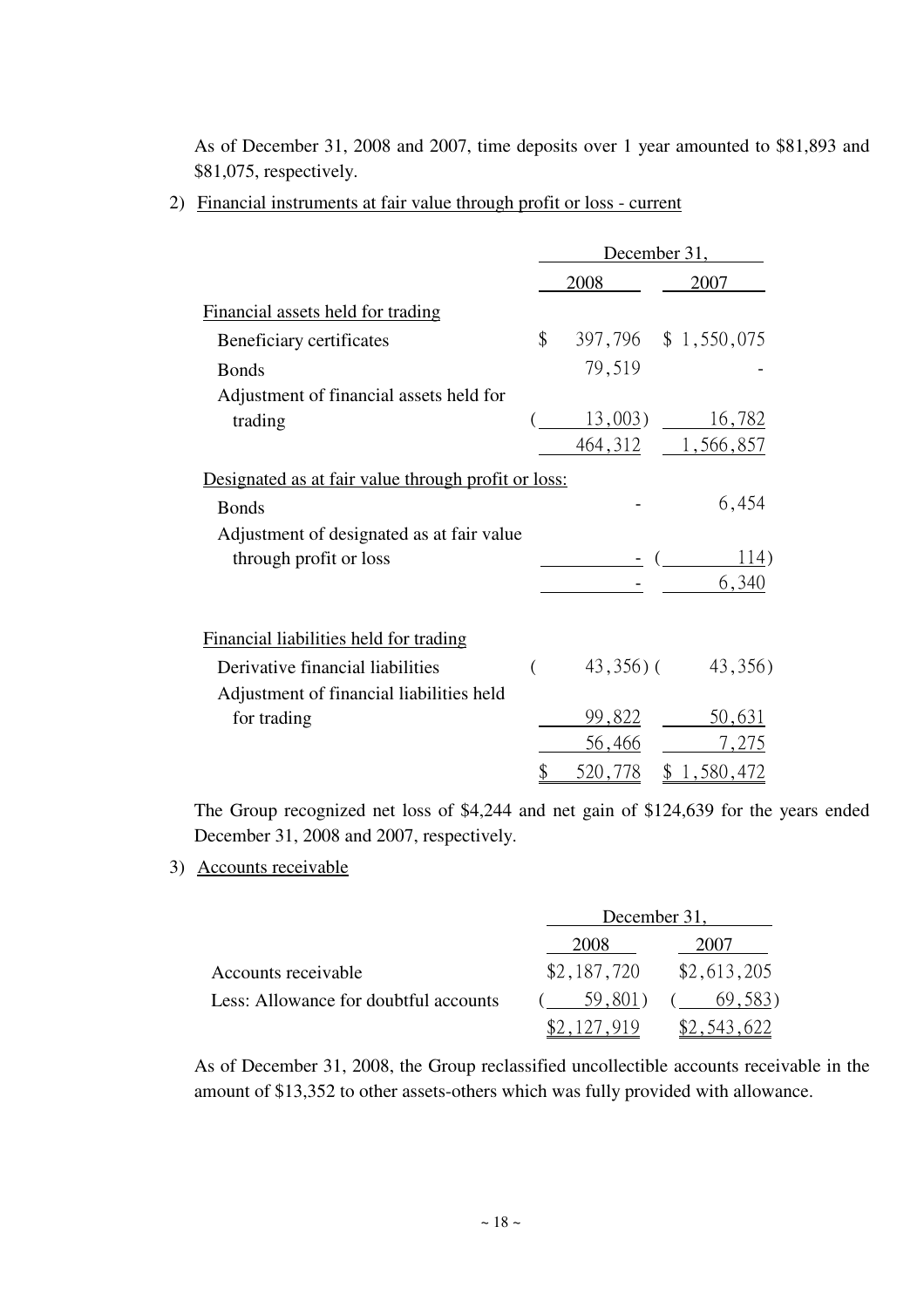As of December 31, 2008 and 2007, time deposits over 1 year amounted to \$81,893 and \$81,075, respectively.

2) Financial instruments at fair value through profit or loss - current

|                                                     | December 31, |               |                     |  |
|-----------------------------------------------------|--------------|---------------|---------------------|--|
|                                                     |              | 2008          | 2007                |  |
| Financial assets held for trading                   |              |               |                     |  |
| Beneficiary certificates                            | \$           |               | 397,796 \$1,550,075 |  |
| <b>Bonds</b>                                        |              | 79,519        |                     |  |
| Adjustment of financial assets held for             |              |               |                     |  |
| trading                                             |              | $13,003$ )    | <u>16,782</u>       |  |
|                                                     |              | 464,312       | 1,566,857           |  |
| Designated as at fair value through profit or loss: |              |               |                     |  |
| <b>Bonds</b>                                        |              |               | 6,454               |  |
| Adjustment of designated as at fair value           |              |               |                     |  |
| through profit or loss                              |              |               | 114)                |  |
|                                                     |              |               | 6,340               |  |
|                                                     |              |               |                     |  |
| Financial liabilities held for trading              |              |               |                     |  |
| Derivative financial liabilities                    |              | $43,356$ ) (  | 43,356)             |  |
| Adjustment of financial liabilities held            |              |               |                     |  |
| for trading                                         |              | <u>99,822</u> | 50,631              |  |
|                                                     |              | 56,466        | 7,275               |  |
|                                                     | \$           | 520,778       | \$<br>1,580,472     |  |

The Group recognized net loss of \$4,244 and net gain of \$124,639 for the years ended December 31, 2008 and 2007, respectively.

3) Accounts receivable

|                                       | December 31, |             |  |
|---------------------------------------|--------------|-------------|--|
|                                       | 2008         | 2007        |  |
| Accounts receivable                   | \$2,187,720  | \$2,613,205 |  |
| Less: Allowance for doubtful accounts | 59.801)      | 69,583)     |  |
|                                       | \$2.127.919  | \$2.543.622 |  |

As of December 31, 2008, the Group reclassified uncollectible accounts receivable in the amount of \$13,352 to other assets-others which was fully provided with allowance.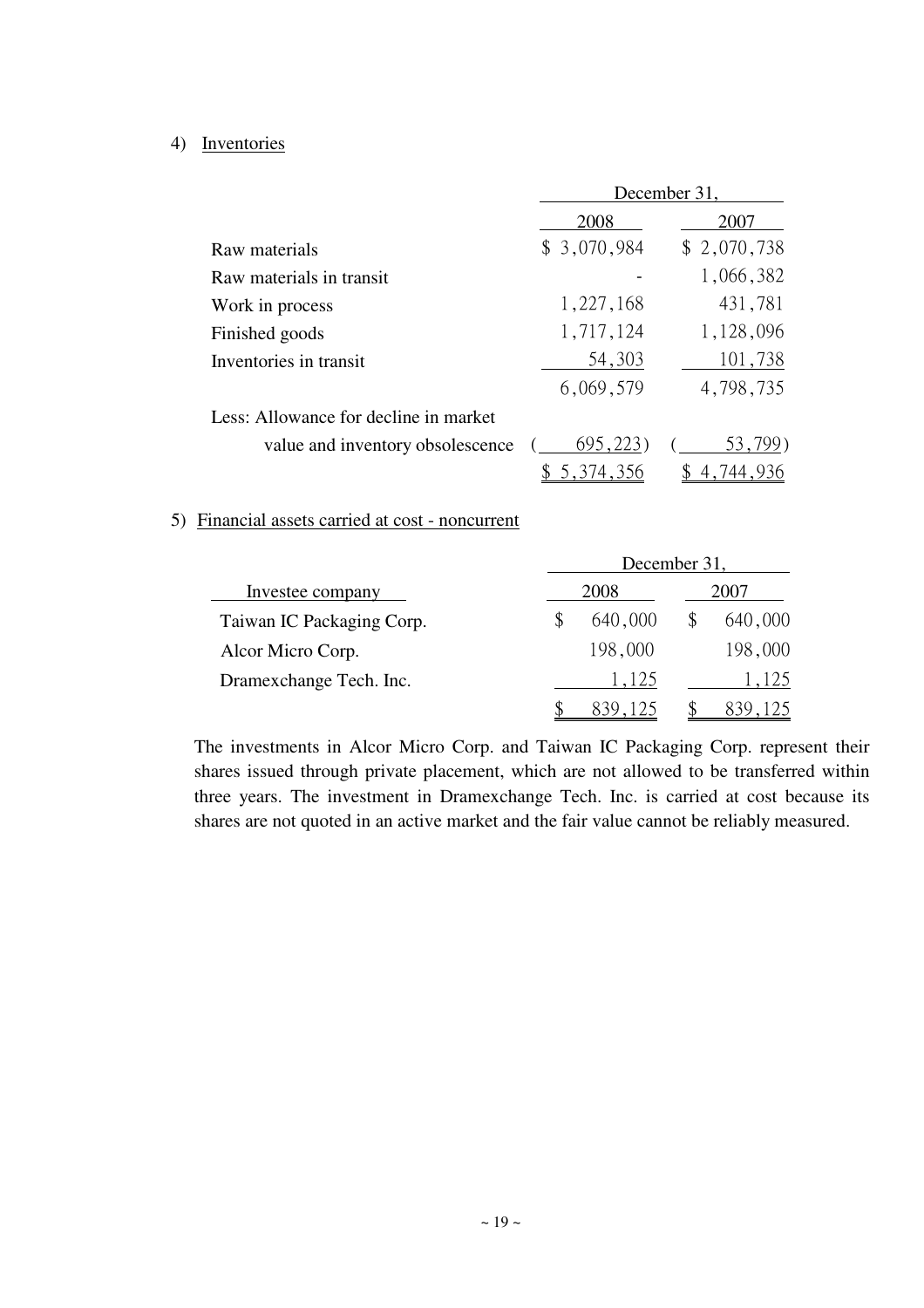### 4) Inventories

|                                       | December 31, |             |  |  |  |
|---------------------------------------|--------------|-------------|--|--|--|
|                                       | 2008         | 2007        |  |  |  |
| Raw materials                         | \$3,070,984  | \$2,070,738 |  |  |  |
| Raw materials in transit              |              | 1,066,382   |  |  |  |
| Work in process                       | 1,227,168    | 431,781     |  |  |  |
| Finished goods                        | 1,717,124    | 1,128,096   |  |  |  |
| Inventories in transit                | 54,303       | 101,738     |  |  |  |
|                                       | 6,069,579    | 4,798,735   |  |  |  |
| Less: Allowance for decline in market |              |             |  |  |  |
| value and inventory obsolescence      | 695,223      | 53,799)     |  |  |  |
|                                       | \$5,374,356  | 4,744,936   |  |  |  |

### 5) Financial assets carried at cost - noncurrent

|                           | December 31. |         |      |         |  |  |  |
|---------------------------|--------------|---------|------|---------|--|--|--|
| Investee company          |              | 2008    | 2007 |         |  |  |  |
| Taiwan IC Packaging Corp. |              | 640,000 |      | 640,000 |  |  |  |
| Alcor Micro Corp.         |              | 198,000 |      | 198,000 |  |  |  |
| Dramexchange Tech. Inc.   |              | 1,125   |      | 1,125   |  |  |  |
|                           |              |         |      |         |  |  |  |

The investments in Alcor Micro Corp. and Taiwan IC Packaging Corp. represent their shares issued through private placement, which are not allowed to be transferred within three years. The investment in Dramexchange Tech. Inc. is carried at cost because its shares are not quoted in an active market and the fair value cannot be reliably measured.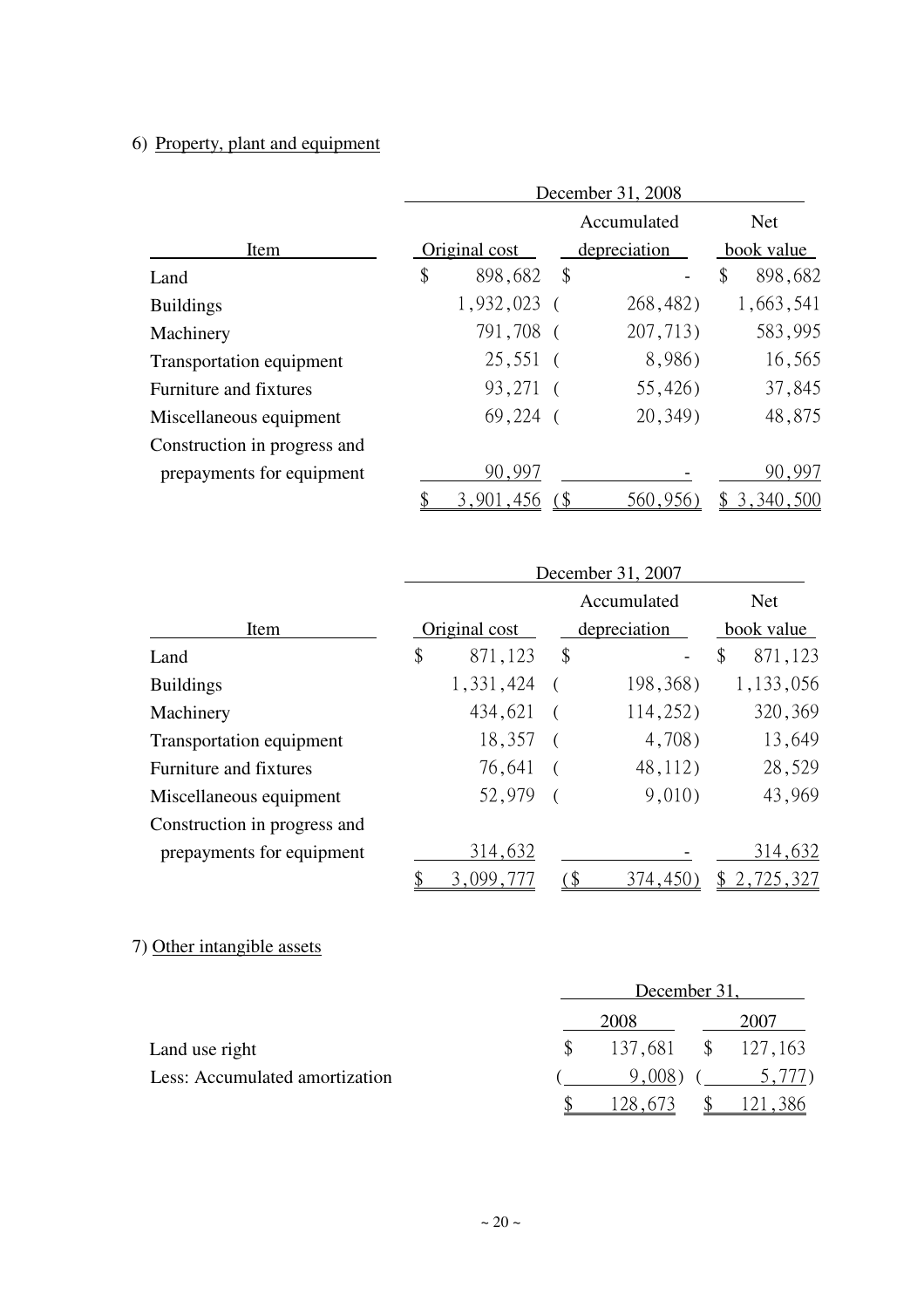# 6) Property, plant and equipment

|                              | December 31, 2008 |               |                         |              |               |  |  |
|------------------------------|-------------------|---------------|-------------------------|--------------|---------------|--|--|
|                              |                   |               |                         | Accumulated  | <b>Net</b>    |  |  |
| Item                         |                   | Original cost |                         | depreciation | book value    |  |  |
| Land                         | \$                | 898,682       | $\sqrt[6]{\frac{1}{2}}$ |              | \$<br>898,682 |  |  |
| <b>Buildings</b>             |                   | $1,932,023$ ( |                         | 268,482)     | 1,663,541     |  |  |
| Machinery                    |                   | 791,708 (     |                         | 207,713)     | 583,995       |  |  |
| Transportation equipment     |                   | 25,551        |                         | 8,986)       | 16,565        |  |  |
| Furniture and fixtures       |                   | 93,271 (      |                         | 55,426)      | 37,845        |  |  |
| Miscellaneous equipment      |                   | $69,224$ (    |                         | 20, 349)     | 48,875        |  |  |
| Construction in progress and |                   |               |                         |              |               |  |  |
| prepayments for equipment    |                   | 90,997        |                         |              | 90,997        |  |  |
|                              |                   | 3,901,456     |                         | 560,956      | \$3,340,500   |  |  |

|                              | December 31, 2007 |               |     |              |               |  |  |
|------------------------------|-------------------|---------------|-----|--------------|---------------|--|--|
|                              |                   |               |     | Accumulated  | <b>Net</b>    |  |  |
| Item                         |                   | Original cost |     | depreciation | book value    |  |  |
| Land                         | \$                | 871,123       | \$  |              | \$<br>871,123 |  |  |
| <b>Buildings</b>             |                   | 1,331,424     |     | 198,368)     | 1,133,056     |  |  |
| Machinery                    |                   | 434,621       |     | 114,252)     | 320,369       |  |  |
| Transportation equipment     |                   | 18,357        |     | 4,708)       | 13,649        |  |  |
| Furniture and fixtures       |                   | 76,641        |     | 48,112)      | 28,529        |  |  |
| Miscellaneous equipment      |                   | 52,979        |     | 9,010)       | 43,969        |  |  |
| Construction in progress and |                   |               |     |              |               |  |  |
| prepayments for equipment    |                   | 314,632       |     |              | 314,632       |  |  |
|                              | \$                | 3,099,777     | ั\$ | 374,450)     | \$2,725,327   |  |  |

# 7) Other intangible assets

|                                |  | December 31, |  |                    |  |  |  |
|--------------------------------|--|--------------|--|--------------------|--|--|--|
|                                |  | 2007         |  |                    |  |  |  |
| Land use right                 |  |              |  | 137,681 \$ 127,163 |  |  |  |
| Less: Accumulated amortization |  | 9,008)       |  | 5.777              |  |  |  |
|                                |  | 28.673       |  | 121.386            |  |  |  |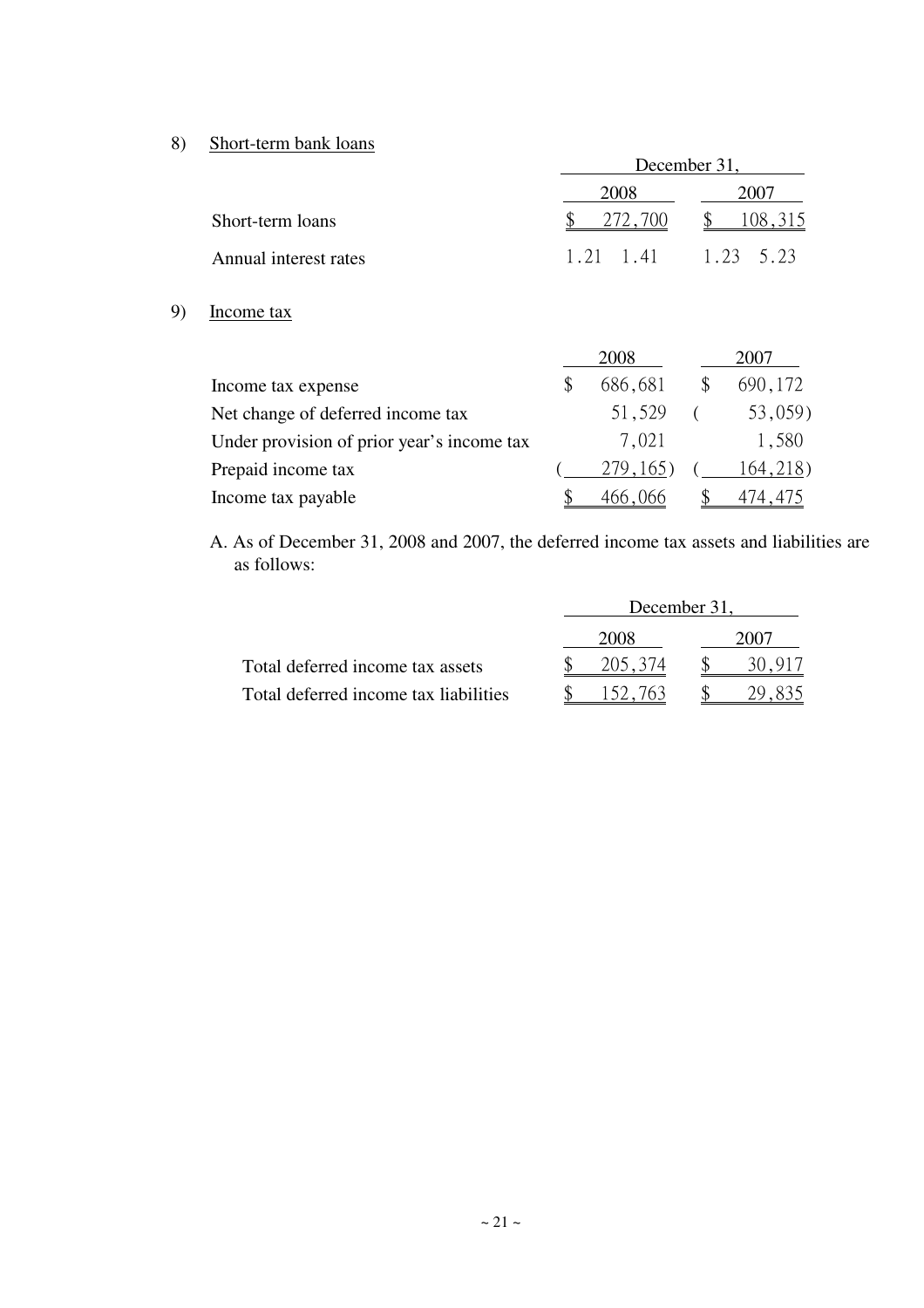8) Short-term bank loans

9)

|                                            | December 31 |           |      |          |  |  |
|--------------------------------------------|-------------|-----------|------|----------|--|--|
|                                            |             | 2008      | 2007 |          |  |  |
| Short-term loans                           |             | 272,700   |      | 108,315  |  |  |
| Annual interest rates                      | 1.21        | 1.41      | 1.23 | 5.23     |  |  |
| Income tax                                 |             |           |      |          |  |  |
|                                            |             | 2008      |      | 2007     |  |  |
| Income tax expense                         | \$          | 686,681   | \$   | 690,172  |  |  |
| Net change of deferred income tax          |             | 51,529    |      | 53,059)  |  |  |
| Under provision of prior year's income tax |             | 7,021     |      | 1,580    |  |  |
| Prepaid income tax                         |             | 279, 165) |      | 164,218) |  |  |
| Income tax payable                         |             | 466,066   |      | 474,475  |  |  |

A. As of December 31, 2008 and 2007, the deferred income tax assets and liabilities are as follows:

|                                       | December 31. |  |  |  |  |
|---------------------------------------|--------------|--|--|--|--|
|                                       | 2008         |  |  |  |  |
| Total deferred income tax assets      | 205.374      |  |  |  |  |
| Total deferred income tax liabilities |              |  |  |  |  |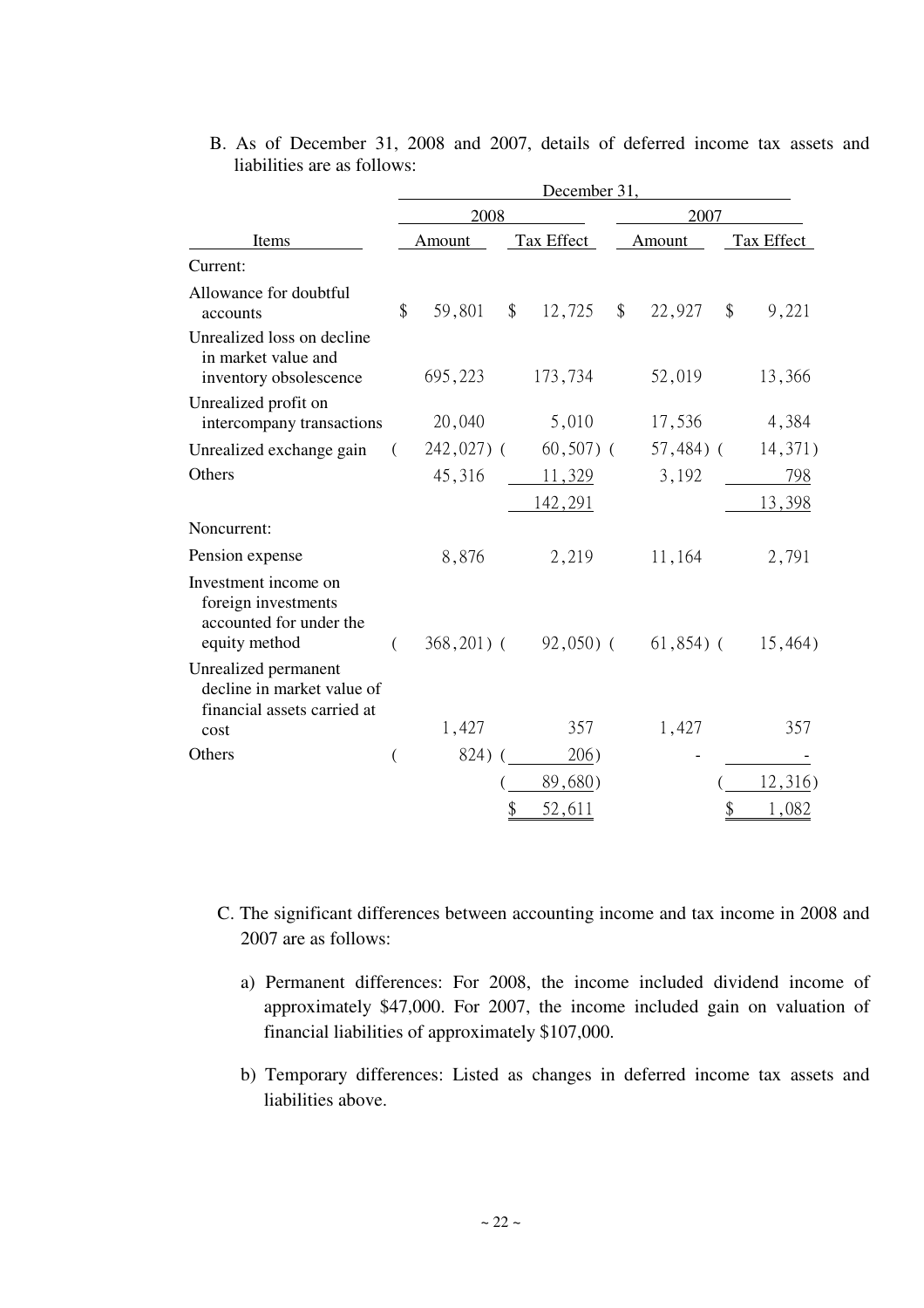|                                                                                         | December 31, |              |               |                |               |              |    |            |  |  |  |
|-----------------------------------------------------------------------------------------|--------------|--------------|---------------|----------------|---------------|--------------|----|------------|--|--|--|
| Items                                                                                   |              | 2008         |               |                | 2007          |              |    |            |  |  |  |
|                                                                                         |              | Amount       |               | Tax Effect     |               | Amount       |    | Tax Effect |  |  |  |
| Current:                                                                                |              |              |               |                |               |              |    |            |  |  |  |
| Allowance for doubtful<br>accounts                                                      | \$           | 59,801       | $\mathcal{S}$ | 12,725         | $\frac{1}{2}$ | 22,927       | \$ | 9,221      |  |  |  |
| Unrealized loss on decline<br>in market value and<br>inventory obsolescence             |              | 695,223      |               | 173,734        |               | 52,019       |    | 13,366     |  |  |  |
| Unrealized profit on<br>intercompany transactions                                       |              | 20,040       |               | 5,010          |               | 17,536       |    | 4,384      |  |  |  |
| Unrealized exchange gain                                                                | €            | 242,027) (   |               | $60,507)$ (    |               | $57,484$ ) ( |    | 14,371)    |  |  |  |
| Others                                                                                  |              | 45,316       |               | 11,329         |               | 3,192        |    | 798        |  |  |  |
|                                                                                         |              |              |               | <u>142,291</u> |               |              |    | 13,398     |  |  |  |
| Noncurrent:                                                                             |              |              |               |                |               |              |    |            |  |  |  |
| Pension expense                                                                         |              | 8,876        |               | 2,219          |               | 11,164       |    | 2,791      |  |  |  |
| Investment income on<br>foreign investments<br>accounted for under the<br>equity method |              | $368,201)$ ( |               | $92,050$ (     |               | $61,854$ ) ( |    | 15,464)    |  |  |  |
| Unrealized permanent<br>decline in market value of<br>financial assets carried at       |              |              |               |                |               |              |    |            |  |  |  |
| cost                                                                                    |              | 1,427        |               | 357            |               | 1,427        |    | 357        |  |  |  |
| Others                                                                                  | $\left($     | 824) (       |               | 206)           |               |              |    |            |  |  |  |
|                                                                                         |              |              |               | 89,680         |               |              |    | 2,316)     |  |  |  |
|                                                                                         |              |              | \$            | 52,611         |               |              | \$ | 1,082      |  |  |  |

B. As of December 31, 2008 and 2007, details of deferred income tax assets and liabilities are as follows:

- C. The significant differences between accounting income and tax income in 2008 and 2007 are as follows:
	- a) Permanent differences: For 2008, the income included dividend income of approximately \$47,000. For 2007, the income included gain on valuation of financial liabilities of approximately \$107,000.
	- b) Temporary differences: Listed as changes in deferred income tax assets and liabilities above.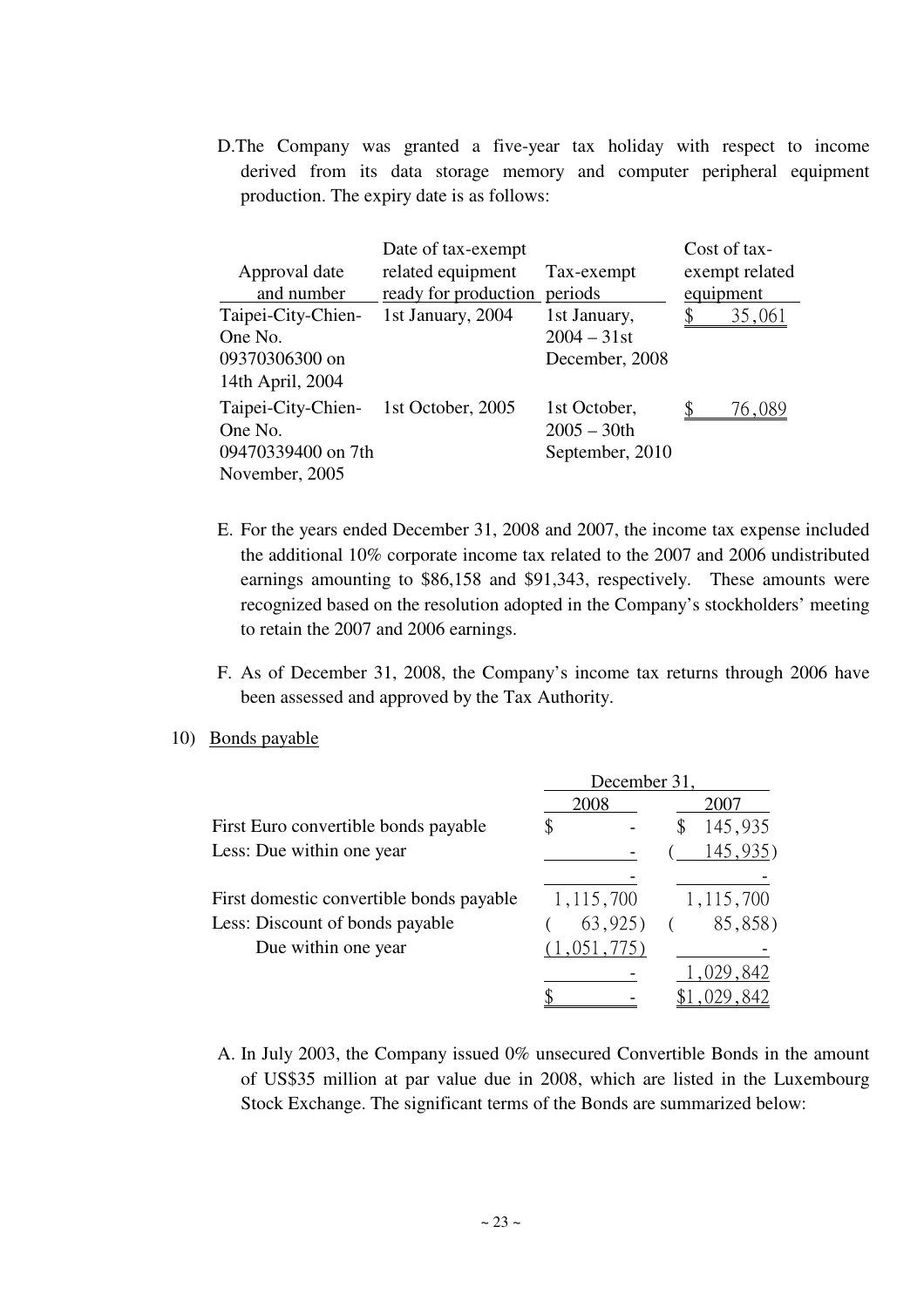D.The Company was granted a five-year tax holiday with respect to income derived from its data storage memory and computer peripheral equipment production. The expiry date is as follows:

| Approval date<br>and number                                           | Date of tax-exempt<br>related equipment<br>ready for production | Tax-exempt<br>periods                             | equipment | Cost of tax-<br>exempt related |
|-----------------------------------------------------------------------|-----------------------------------------------------------------|---------------------------------------------------|-----------|--------------------------------|
| Taipei-City-Chien-<br>One No.<br>09370306300 on<br>14th April, 2004   | 1st January, 2004                                               | 1st January,<br>$2004 - 31$ st<br>December, 2008  |           | 35,061                         |
| Taipei-City-Chien-<br>One No.<br>09470339400 on 7th<br>November, 2005 | 1st October, 2005                                               | 1st October,<br>$2005 - 30$ th<br>September, 2010 |           | 76,089                         |

- E. For the years ended December 31, 2008 and 2007, the income tax expense included the additional 10% corporate income tax related to the 2007 and 2006 undistributed earnings amounting to \$86,158 and \$91,343, respectively. These amounts were recognized based on the resolution adopted in the Company's stockholders' meeting to retain the 2007 and 2006 earnings.
- F. As of December 31, 2008, the Company's income tax returns through 2006 have been assessed and approved by the Tax Authority.
- 10) Bonds payable

|                                          | December 31, |               |  |  |  |  |  |
|------------------------------------------|--------------|---------------|--|--|--|--|--|
|                                          | 2008         | 2007          |  |  |  |  |  |
| First Euro convertible bonds payable     |              | 145,935<br>\$ |  |  |  |  |  |
| Less: Due within one year                |              | 145,935)      |  |  |  |  |  |
|                                          |              |               |  |  |  |  |  |
| First domestic convertible bonds payable | 1,115,700    | 1,115,700     |  |  |  |  |  |
| Less: Discount of bonds payable          | 63,925       | 85,858)       |  |  |  |  |  |
| Due within one year                      | (1,051,775)  |               |  |  |  |  |  |
|                                          |              | 1,029,842     |  |  |  |  |  |
|                                          |              |               |  |  |  |  |  |

A. In July 2003, the Company issued 0% unsecured Convertible Bonds in the amount of US\$35 million at par value due in 2008, which are listed in the Luxembourg Stock Exchange. The significant terms of the Bonds are summarized below: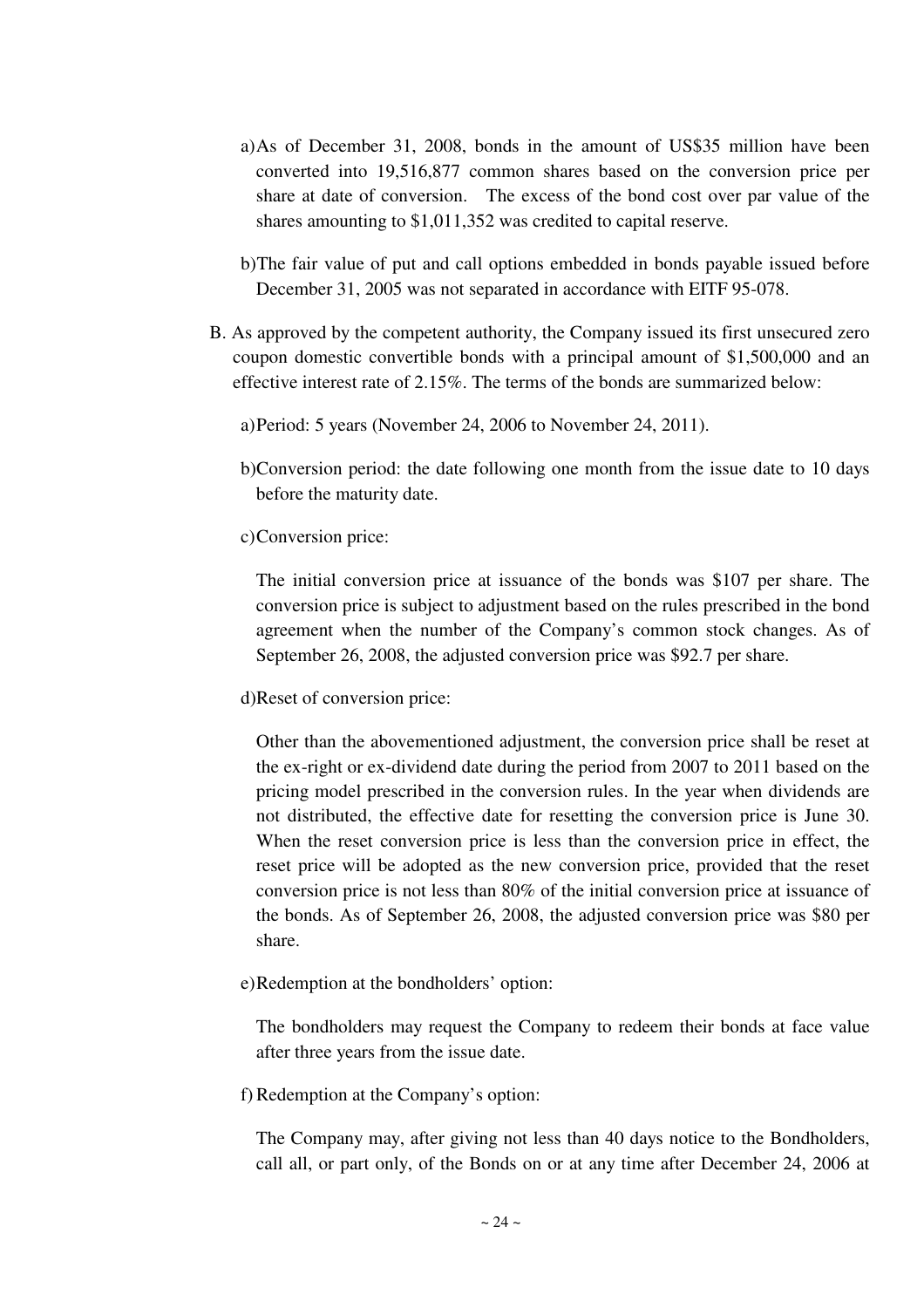- a) As of December 31, 2008, bonds in the amount of US\$35 million have been converted into 19,516,877 common shares based on the conversion price per share at date of conversion. The excess of the bond cost over par value of the shares amounting to \$1,011,352 was credited to capital reserve.
- b) The fair value of put and call options embedded in bonds payable issued before December 31, 2005 was not separated in accordance with EITF 95-078.
- B. As approved by the competent authority, the Company issued its first unsecured zero coupon domestic convertible bonds with a principal amount of \$1,500,000 and an effective interest rate of 2.15%. The terms of the bonds are summarized below:

a)Period: 5 years (November 24, 2006 to November 24, 2011).

b)Conversion period: the date following one month from the issue date to 10 days before the maturity date.

c)Conversion price:

The initial conversion price at issuance of the bonds was \$107 per share. The conversion price is subject to adjustment based on the rules prescribed in the bond agreement when the number of the Company's common stock changes. As of September 26, 2008, the adjusted conversion price was \$92.7 per share.

d)Reset of conversion price:

Other than the abovementioned adjustment, the conversion price shall be reset at the ex-right or ex-dividend date during the period from 2007 to 2011 based on the pricing model prescribed in the conversion rules. In the year when dividends are not distributed, the effective date for resetting the conversion price is June 30. When the reset conversion price is less than the conversion price in effect, the reset price will be adopted as the new conversion price, provided that the reset conversion price is not less than 80% of the initial conversion price at issuance of the bonds. As of September 26, 2008, the adjusted conversion price was \$80 per share.

e)Redemption at the bondholders' option:

The bondholders may request the Company to redeem their bonds at face value after three years from the issue date.

f) Redemption at the Company's option:

The Company may, after giving not less than 40 days notice to the Bondholders, call all, or part only, of the Bonds on or at any time after December 24, 2006 at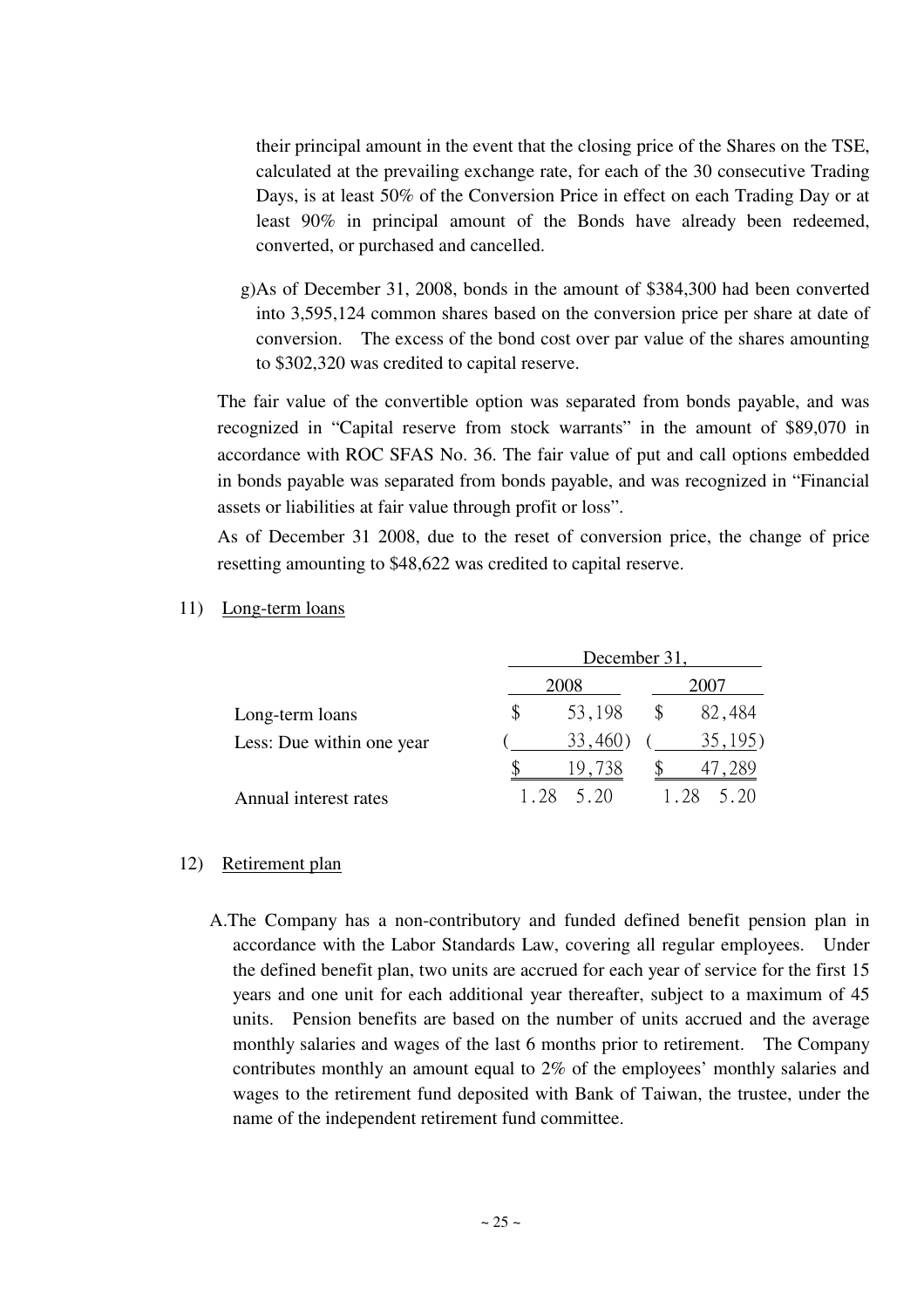their principal amount in the event that the closing price of the Shares on the TSE, calculated at the prevailing exchange rate, for each of the 30 consecutive Trading Days, is at least 50% of the Conversion Price in effect on each Trading Day or at least 90% in principal amount of the Bonds have already been redeemed, converted, or purchased and cancelled.

g)As of December 31, 2008, bonds in the amount of \$384,300 had been converted into 3,595,124 common shares based on the conversion price per share at date of conversion. The excess of the bond cost over par value of the shares amounting to \$302,320 was credited to capital reserve.

The fair value of the convertible option was separated from bonds payable, and was recognized in "Capital reserve from stock warrants" in the amount of \$89,070 in accordance with ROC SFAS No. 36. The fair value of put and call options embedded in bonds payable was separated from bonds payable, and was recognized in "Financial assets or liabilities at fair value through profit or loss".

As of December 31 2008, due to the reset of conversion price, the change of price resetting amounting to \$48,622 was credited to capital reserve.

- December 31, 2008 2007 Long-term loans \$ 53,198 \$ 82,484 Less: Due within one year  $(33,460)$   $(35,195)$ \$ 19,738 \$ 47,289 Annual interest rates 1.28 5.20 1.28 5.20
- 11) Long-term loans

## 12) Retirement plan

A.The Company has a non-contributory and funded defined benefit pension plan in accordance with the Labor Standards Law, covering all regular employees. Under the defined benefit plan, two units are accrued for each year of service for the first 15 years and one unit for each additional year thereafter, subject to a maximum of 45 units. Pension benefits are based on the number of units accrued and the average monthly salaries and wages of the last 6 months prior to retirement. The Company contributes monthly an amount equal to 2% of the employees' monthly salaries and wages to the retirement fund deposited with Bank of Taiwan, the trustee, under the name of the independent retirement fund committee.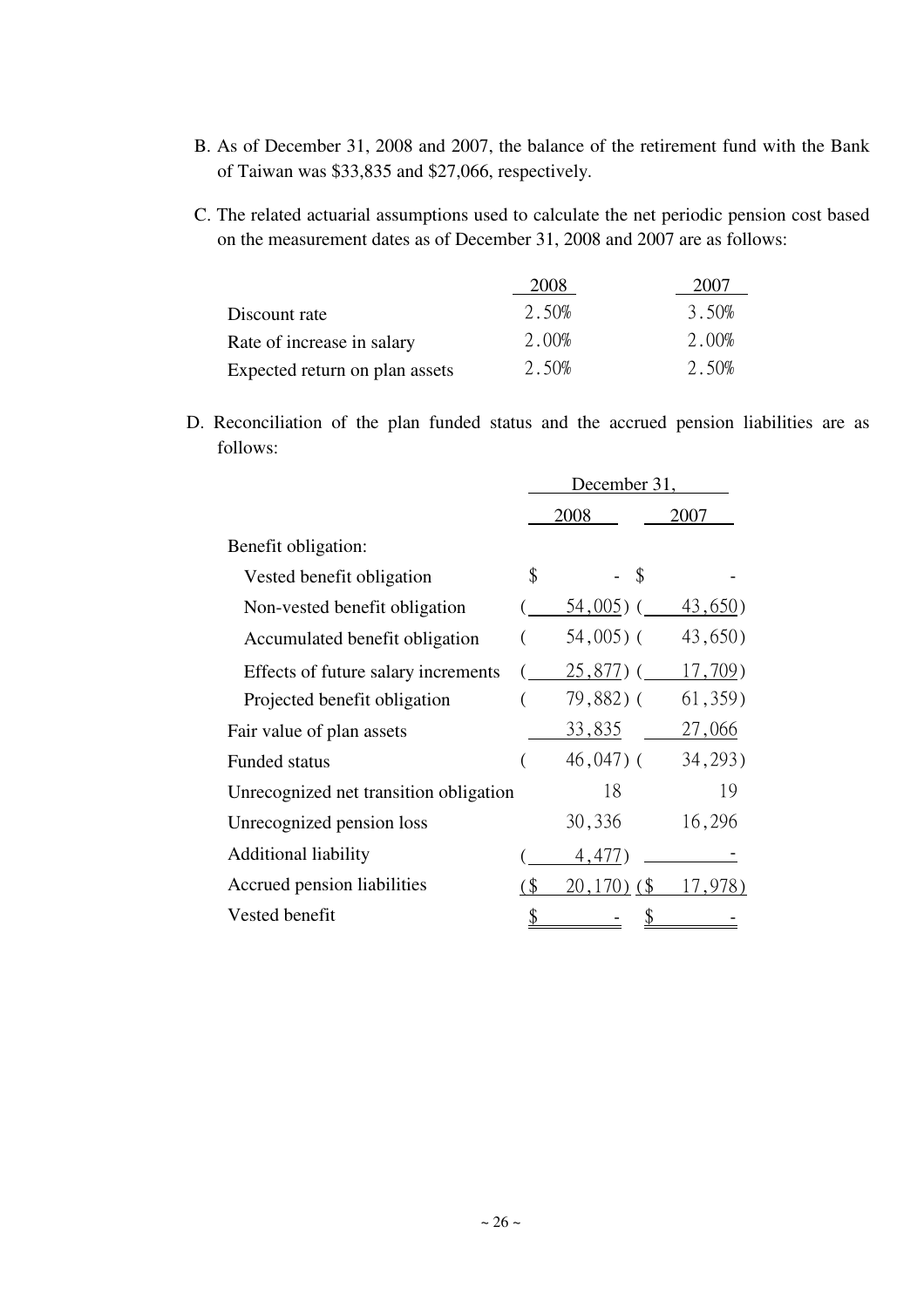- B. As of December 31, 2008 and 2007, the balance of the retirement fund with the Bank of Taiwan was \$33,835 and \$27,066, respectively.
- C. The related actuarial assumptions used to calculate the net periodic pension cost based on the measurement dates as of December 31, 2008 and 2007 are as follows:

|                                | 2008  | 2007  |
|--------------------------------|-------|-------|
| Discount rate                  | 2.50% | 3.50% |
| Rate of increase in salary     | 2.00% | 2.00% |
| Expected return on plan assets | 2.50% | 2.50% |

D. Reconciliation of the plan funded status and the accrued pension liabilities are as follows:

|                                        | December 31,                                |                  |          |  |  |  |  |
|----------------------------------------|---------------------------------------------|------------------|----------|--|--|--|--|
|                                        |                                             | 2008             | 2007     |  |  |  |  |
| Benefit obligation:                    |                                             |                  |          |  |  |  |  |
| Vested benefit obligation              | \$                                          | - \$             |          |  |  |  |  |
| Non-vested benefit obligation          |                                             | $54,005$ ) (     | 43,650)  |  |  |  |  |
| Accumulated benefit obligation         |                                             | $54,005$ ) (     | 43,650)  |  |  |  |  |
| Effects of future salary increments    |                                             | $25,877$ ) (     | 17,709)  |  |  |  |  |
| Projected benefit obligation           |                                             | 79,882) (        | 61, 359) |  |  |  |  |
| Fair value of plan assets              |                                             | <u>33,835</u>    | 27,066   |  |  |  |  |
| <b>Funded status</b>                   |                                             | $46,047$ ) (     | 34, 293) |  |  |  |  |
| Unrecognized net transition obligation |                                             | 18               | 19       |  |  |  |  |
| Unrecognized pension loss              |                                             | 30,336           | 16,296   |  |  |  |  |
| <b>Additional liability</b>            |                                             | 4,477)           |          |  |  |  |  |
| Accrued pension liabilities            | $\left( \text{\textcirc }\mathbb{S}\right)$ | $(20, 170)$ (\$) | 17,978)  |  |  |  |  |
| Vested benefit                         |                                             |                  |          |  |  |  |  |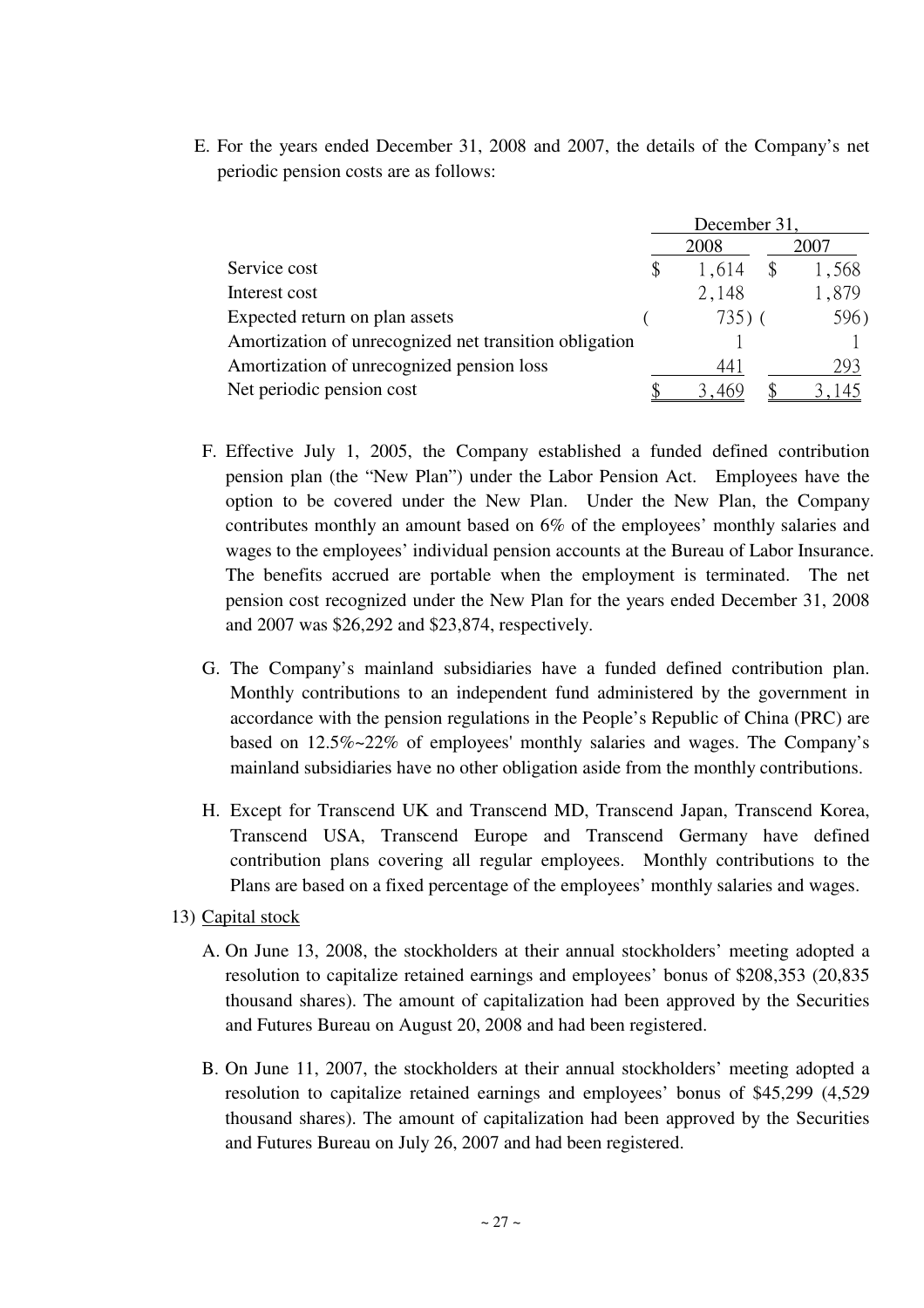E. For the years ended December 31, 2008 and 2007, the details of the Company's net periodic pension costs are as follows:

|                                                        | December 31, |      |       |  |  |
|--------------------------------------------------------|--------------|------|-------|--|--|
|                                                        | 2008         | 2007 |       |  |  |
| Service cost                                           | 1,614        |      | 1,568 |  |  |
| Interest cost                                          | 2,148        |      | 1,879 |  |  |
| Expected return on plan assets                         | $735)$ (     |      | 596)  |  |  |
| Amortization of unrecognized net transition obligation |              |      |       |  |  |
| Amortization of unrecognized pension loss              | 44 J         |      | 293   |  |  |
| Net periodic pension cost                              |              |      |       |  |  |

- F. Effective July 1, 2005, the Company established a funded defined contribution pension plan (the "New Plan") under the Labor Pension Act. Employees have the option to be covered under the New Plan. Under the New Plan, the Company contributes monthly an amount based on 6% of the employees' monthly salaries and wages to the employees' individual pension accounts at the Bureau of Labor Insurance. The benefits accrued are portable when the employment is terminated. The net pension cost recognized under the New Plan for the years ended December 31, 2008 and 2007 was \$26,292 and \$23,874, respectively.
- G. The Company's mainland subsidiaries have a funded defined contribution plan. Monthly contributions to an independent fund administered by the government in accordance with the pension regulations in the People's Republic of China (PRC) are based on 12.5%~22% of employees' monthly salaries and wages. The Company's mainland subsidiaries have no other obligation aside from the monthly contributions.
- H. Except for Transcend UK and Transcend MD, Transcend Japan, Transcend Korea, Transcend USA, Transcend Europe and Transcend Germany have defined contribution plans covering all regular employees. Monthly contributions to the Plans are based on a fixed percentage of the employees' monthly salaries and wages.
- 13) Capital stock
	- A. On June 13, 2008, the stockholders at their annual stockholders' meeting adopted a resolution to capitalize retained earnings and employees' bonus of \$208,353 (20,835 thousand shares). The amount of capitalization had been approved by the Securities and Futures Bureau on August 20, 2008 and had been registered.
	- B. On June 11, 2007, the stockholders at their annual stockholders' meeting adopted a resolution to capitalize retained earnings and employees' bonus of \$45,299 (4,529 thousand shares). The amount of capitalization had been approved by the Securities and Futures Bureau on July 26, 2007 and had been registered.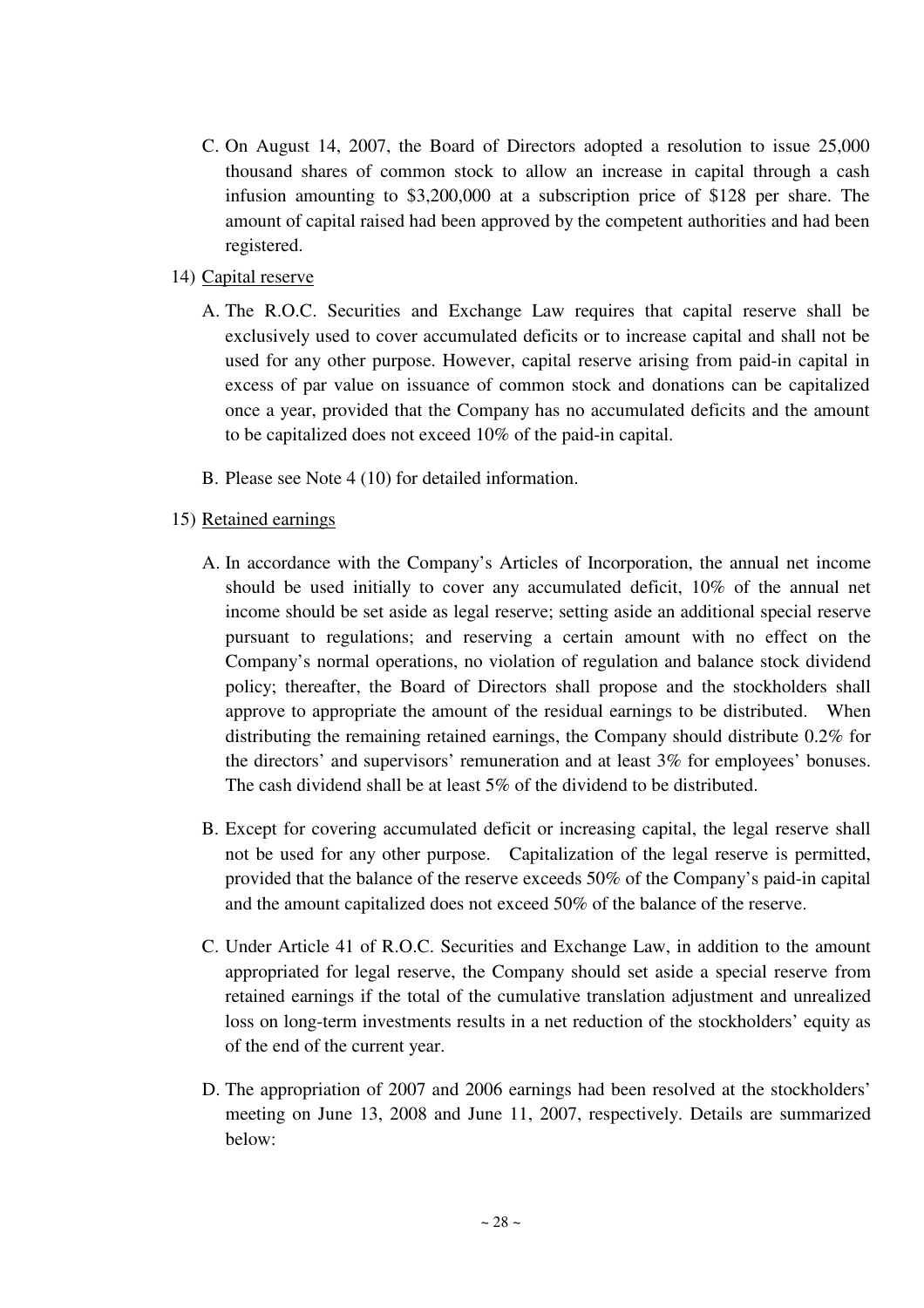- C. On August 14, 2007, the Board of Directors adopted a resolution to issue 25,000 thousand shares of common stock to allow an increase in capital through a cash infusion amounting to \$3,200,000 at a subscription price of \$128 per share. The amount of capital raised had been approved by the competent authorities and had been registered.
- 14) Capital reserve
	- A. The R.O.C. Securities and Exchange Law requires that capital reserve shall be exclusively used to cover accumulated deficits or to increase capital and shall not be used for any other purpose. However, capital reserve arising from paid-in capital in excess of par value on issuance of common stock and donations can be capitalized once a year, provided that the Company has no accumulated deficits and the amount to be capitalized does not exceed 10% of the paid-in capital.
	- B. Please see Note 4 (10) for detailed information.
- 15) Retained earnings
	- A. In accordance with the Company's Articles of Incorporation, the annual net income should be used initially to cover any accumulated deficit, 10% of the annual net income should be set aside as legal reserve; setting aside an additional special reserve pursuant to regulations; and reserving a certain amount with no effect on the Company's normal operations, no violation of regulation and balance stock dividend policy; thereafter, the Board of Directors shall propose and the stockholders shall approve to appropriate the amount of the residual earnings to be distributed. When distributing the remaining retained earnings, the Company should distribute 0.2% for the directors' and supervisors' remuneration and at least 3% for employees' bonuses. The cash dividend shall be at least 5% of the dividend to be distributed.
	- B. Except for covering accumulated deficit or increasing capital, the legal reserve shall not be used for any other purpose. Capitalization of the legal reserve is permitted, provided that the balance of the reserve exceeds 50% of the Company's paid-in capital and the amount capitalized does not exceed 50% of the balance of the reserve.
	- C. Under Article 41 of R.O.C. Securities and Exchange Law, in addition to the amount appropriated for legal reserve, the Company should set aside a special reserve from retained earnings if the total of the cumulative translation adjustment and unrealized loss on long-term investments results in a net reduction of the stockholders' equity as of the end of the current year.
	- D. The appropriation of 2007 and 2006 earnings had been resolved at the stockholders' meeting on June 13, 2008 and June 11, 2007, respectively. Details are summarized below: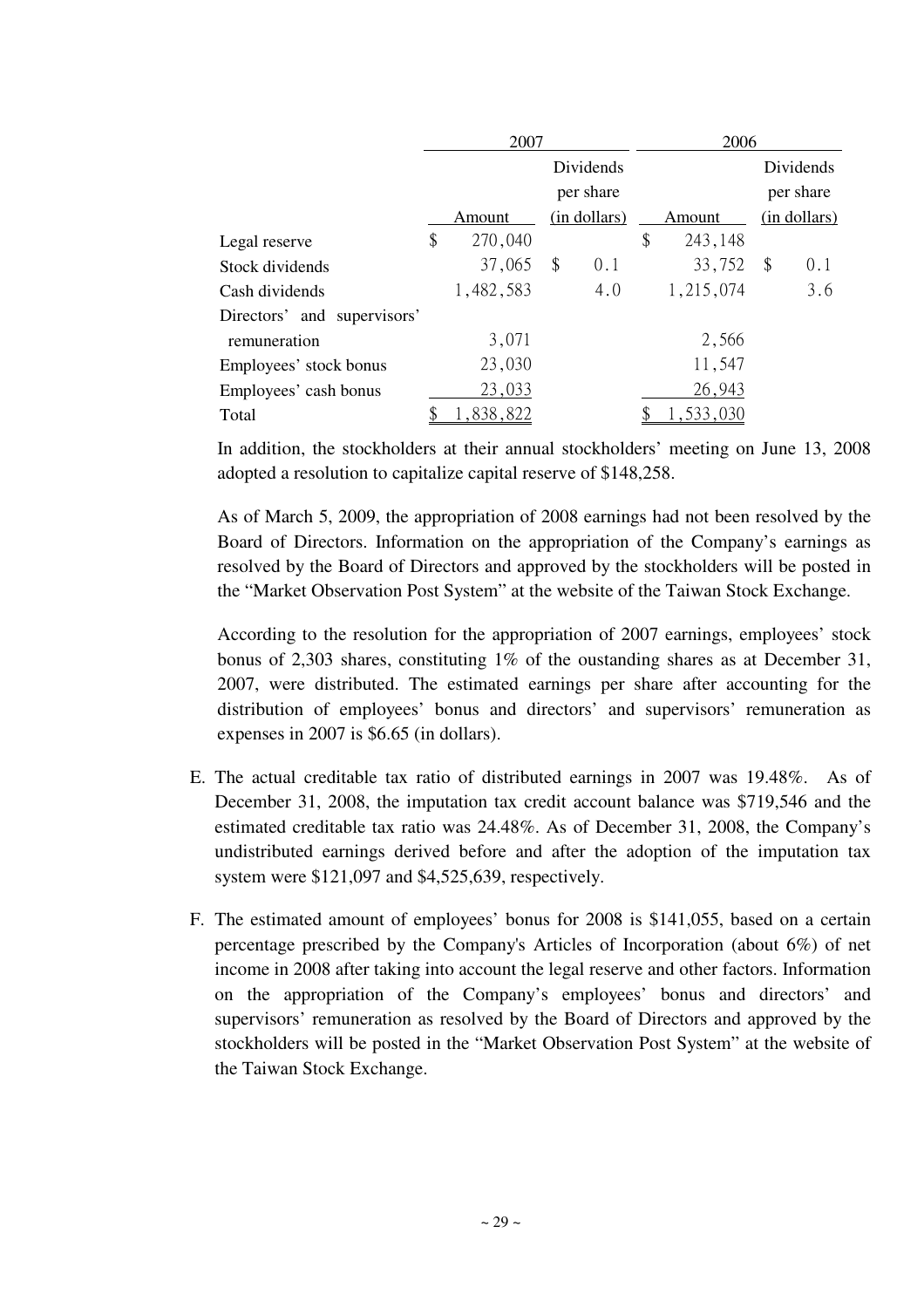|                             | 2007          |              | 2006 |           |    |              |
|-----------------------------|---------------|--------------|------|-----------|----|--------------|
|                             |               | Dividends    |      |           |    | Dividends    |
|                             |               | per share    |      |           |    | per share    |
|                             | Amount        | (in dollars) |      | Amount    |    | (in dollars) |
| Legal reserve               | \$<br>270,040 |              | \$   | 243,148   |    |              |
| Stock dividends             | 37,065        | \$<br>0.1    |      | 33,752    | \$ | 0.1          |
| Cash dividends              | 1,482,583     | 4.0          |      | 1,215,074 |    | 3.6          |
| Directors' and supervisors' |               |              |      |           |    |              |
| remuneration                | 3,071         |              |      | 2,566     |    |              |
| Employees' stock bonus      | 23,030        |              |      | 11,547    |    |              |
| Employees' cash bonus       | 23,033        |              |      | 26,943    |    |              |
| Total                       | 1,838,822     |              |      | ,533,030  |    |              |

In addition, the stockholders at their annual stockholders' meeting on June 13, 2008 adopted a resolution to capitalize capital reserve of \$148,258.

As of March 5, 2009, the appropriation of 2008 earnings had not been resolved by the Board of Directors. Information on the appropriation of the Company's earnings as resolved by the Board of Directors and approved by the stockholders will be posted in the "Market Observation Post System" at the website of the Taiwan Stock Exchange.

According to the resolution for the appropriation of 2007 earnings, employees' stock bonus of 2,303 shares, constituting 1% of the oustanding shares as at December 31, 2007, were distributed. The estimated earnings per share after accounting for the distribution of employees' bonus and directors' and supervisors' remuneration as expenses in 2007 is \$6.65 (in dollars).

- E. The actual creditable tax ratio of distributed earnings in 2007 was 19.48%. As of December 31, 2008, the imputation tax credit account balance was \$719,546 and the estimated creditable tax ratio was 24.48%. As of December 31, 2008, the Company's undistributed earnings derived before and after the adoption of the imputation tax system were \$121,097 and \$4,525,639, respectively.
- F. The estimated amount of employees' bonus for 2008 is \$141,055, based on a certain percentage prescribed by the Company's Articles of Incorporation (about 6%) of net income in 2008 after taking into account the legal reserve and other factors. Information on the appropriation of the Company's employees' bonus and directors' and supervisors' remuneration as resolved by the Board of Directors and approved by the stockholders will be posted in the "Market Observation Post System" at the website of the Taiwan Stock Exchange.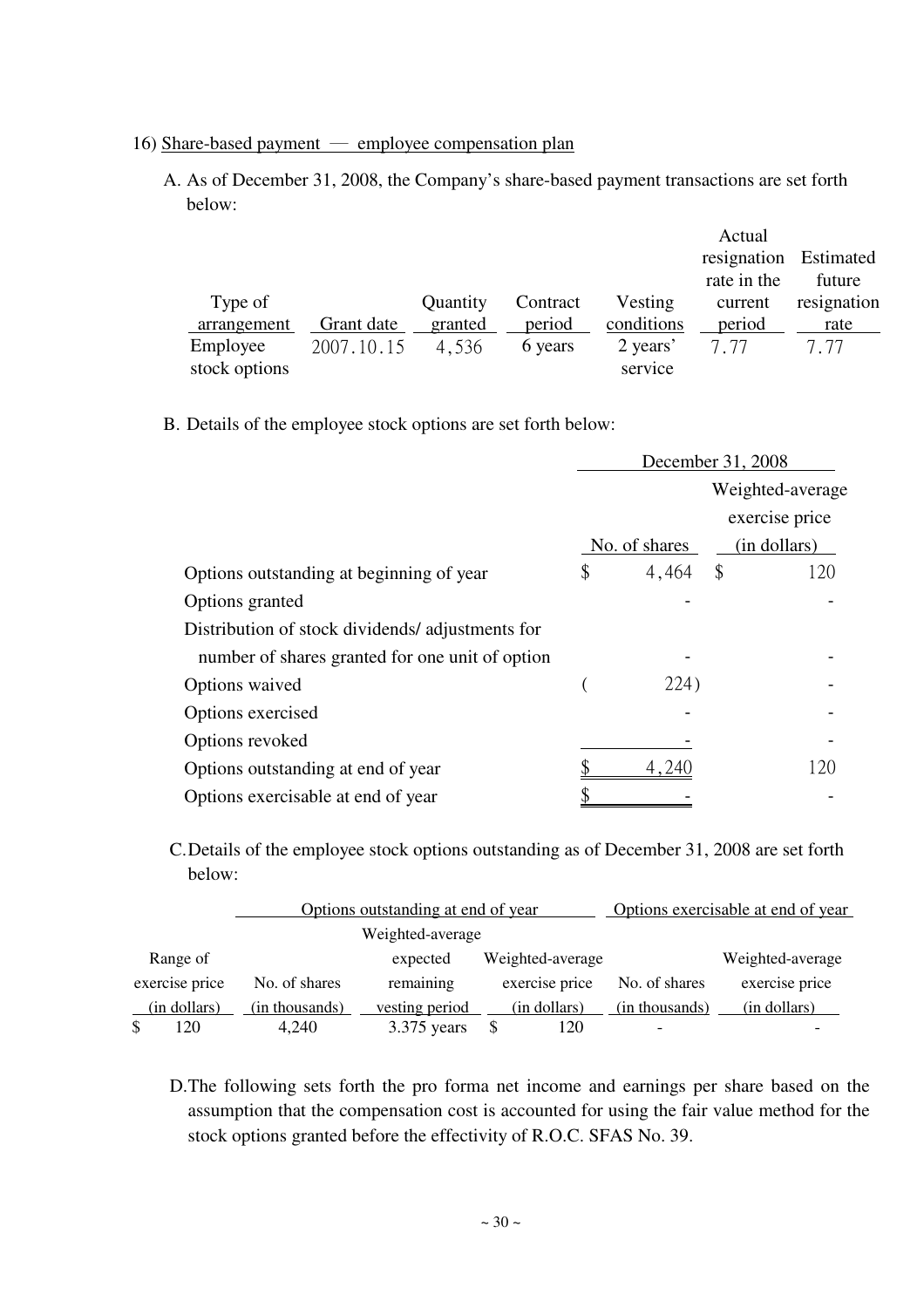- 16) Share-based payment employee compensation plan
	- A. As of December 31, 2008, the Company's share-based payment transactions are set forth below:

|               |            |          |          |            | Actual                |             |
|---------------|------------|----------|----------|------------|-----------------------|-------------|
|               |            |          |          |            | resignation Estimated |             |
|               |            |          |          |            | rate in the           | future      |
| Type of       |            | Quantity | Contract | Vesting    | current               | resignation |
| arrangement   | Grant date | granted  | period   | conditions | period                | rate        |
| Employee      | 2007.10.15 | 4,536    | 6 years  | 2 years'   | 777                   | 7.77        |
| stock options |            |          |          | service    |                       |             |

B. Details of the employee stock options are set forth below:

| December 31, 2008 |       |               |                  |  |
|-------------------|-------|---------------|------------------|--|
|                   |       |               | Weighted-average |  |
|                   |       |               | exercise price   |  |
|                   |       |               | (in dollars)     |  |
| \$                |       |               | 120              |  |
|                   |       |               |                  |  |
|                   |       |               |                  |  |
|                   |       |               |                  |  |
|                   | 224)  |               |                  |  |
|                   |       |               |                  |  |
|                   |       |               |                  |  |
|                   | 4,240 |               | 120              |  |
|                   |       |               |                  |  |
|                   |       | No. of shares | $4,464$ \$       |  |

C. Details of the employee stock options outstanding as of December 31, 2008 are set forth below:

|                |                | Options outstanding at end of year |                  | Options exercisable at end of year |                  |
|----------------|----------------|------------------------------------|------------------|------------------------------------|------------------|
|                |                | Weighted-average                   |                  |                                    |                  |
| Range of       |                | expected                           | Weighted-average |                                    | Weighted-average |
| exercise price | No. of shares  | remaining                          | exercise price   | No. of shares                      | exercise price   |
| (in dollars)   | (in thousands) | vesting period                     | (in dollars)     | (in thousands)                     | (in dollars)     |
| 120            | 4,240          | 3.375 years                        | 120              |                                    |                  |

D. The following sets forth the pro forma net income and earnings per share based on the assumption that the compensation cost is accounted for using the fair value method for the stock options granted before the effectivity of R.O.C. SFAS No. 39.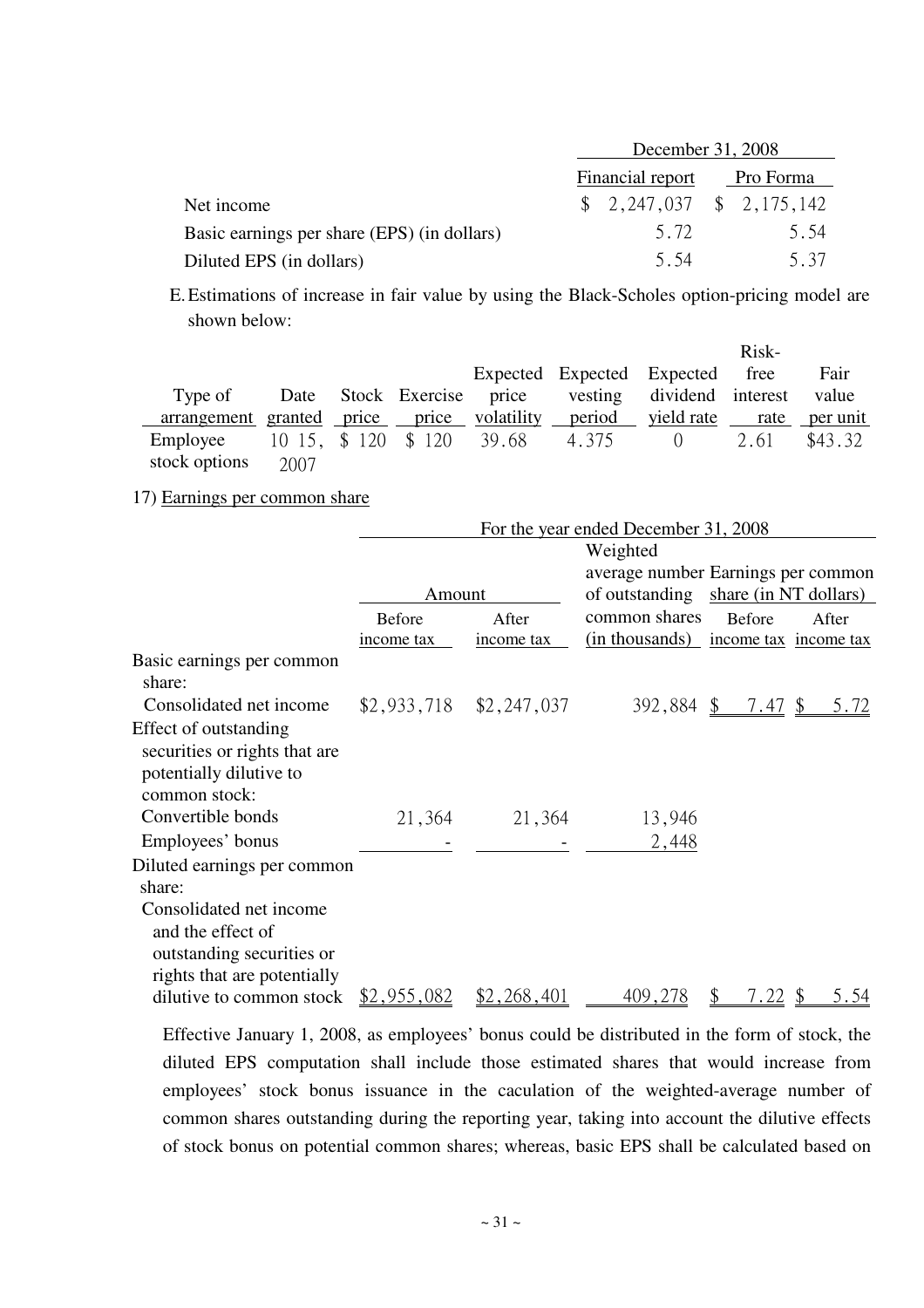|                                             | December 31, 2008 |                                                         |  |           |  |
|---------------------------------------------|-------------------|---------------------------------------------------------|--|-----------|--|
|                                             |                   | Financial report                                        |  | Pro Forma |  |
| Net income                                  |                   | $\frac{1}{2}$ , 2, 247, 037 $\frac{1}{2}$ , 2, 175, 142 |  |           |  |
| Basic earnings per share (EPS) (in dollars) |                   | 5.72                                                    |  | 5.54      |  |
| Diluted EPS (in dollars)                    |                   | 5.54                                                    |  | 5.37      |  |

E. Estimations of increase in fair value by using the Black-Scholes option-pricing model are shown below:

|                                            |      |  |                                                     |              | Risk- |         |
|--------------------------------------------|------|--|-----------------------------------------------------|--------------|-------|---------|
|                                            |      |  | Expected Expected Expected free                     |              |       | Fair    |
| Type of                                    |      |  | Date Stock Exercise price vesting dividend interest |              |       | value   |
| arrangement granted price price volatility |      |  | period <u>vield rate</u> rate per unit              |              |       |         |
| Employee                                   |      |  | 10 15, \$120 \$120 39.68 4.375                      | $\bigcirc$ 0 | 2.61  | \$43.32 |
| stock options                              | 2007 |  |                                                     |              |       |         |

## 17) Earnings per common share

|                                              | For the year ended December 31, 2008 |                           |                                      |                       |       |  |
|----------------------------------------------|--------------------------------------|---------------------------|--------------------------------------|-----------------------|-------|--|
|                                              |                                      |                           | Weighted                             |                       |       |  |
|                                              |                                      |                           | average number Earnings per common   |                       |       |  |
|                                              | Amount                               |                           | of outstanding share (in NT dollars) |                       |       |  |
|                                              | <b>Before</b>                        | After                     | common shares                        | <b>Before</b>         | After |  |
|                                              | income tax                           | income tax                | (in thousands)                       | income tax income tax |       |  |
| Basic earnings per common<br>share:          |                                      |                           |                                      |                       |       |  |
| Consolidated net income                      |                                      | $$2,933,718$ $$2,247,037$ |                                      | $392,884$ \$ 7.47 \$  |       |  |
| Effect of outstanding                        |                                      |                           |                                      |                       |       |  |
| securities or rights that are                |                                      |                           |                                      |                       |       |  |
| potentially dilutive to<br>common stock:     |                                      |                           |                                      |                       |       |  |
| Convertible bonds                            |                                      |                           |                                      |                       |       |  |
|                                              | 21,364                               | 21,364                    | 13,946                               |                       |       |  |
| Employees' bonus                             |                                      |                           | 2,448                                |                       |       |  |
| Diluted earnings per common                  |                                      |                           |                                      |                       |       |  |
| share:                                       |                                      |                           |                                      |                       |       |  |
| Consolidated net income<br>and the effect of |                                      |                           |                                      |                       |       |  |
| outstanding securities or                    |                                      |                           |                                      |                       |       |  |
| rights that are potentially                  |                                      |                           |                                      |                       |       |  |
| dilutive to common stock                     | <u>\$2,955,082</u>                   | \$2,268,401               | 409,278                              | <u>7.22</u>           | 5.54  |  |

Effective January 1, 2008, as employees' bonus could be distributed in the form of stock, the diluted EPS computation shall include those estimated shares that would increase from employees' stock bonus issuance in the caculation of the weighted-average number of common shares outstanding during the reporting year, taking into account the dilutive effects of stock bonus on potential common shares; whereas, basic EPS shall be calculated based on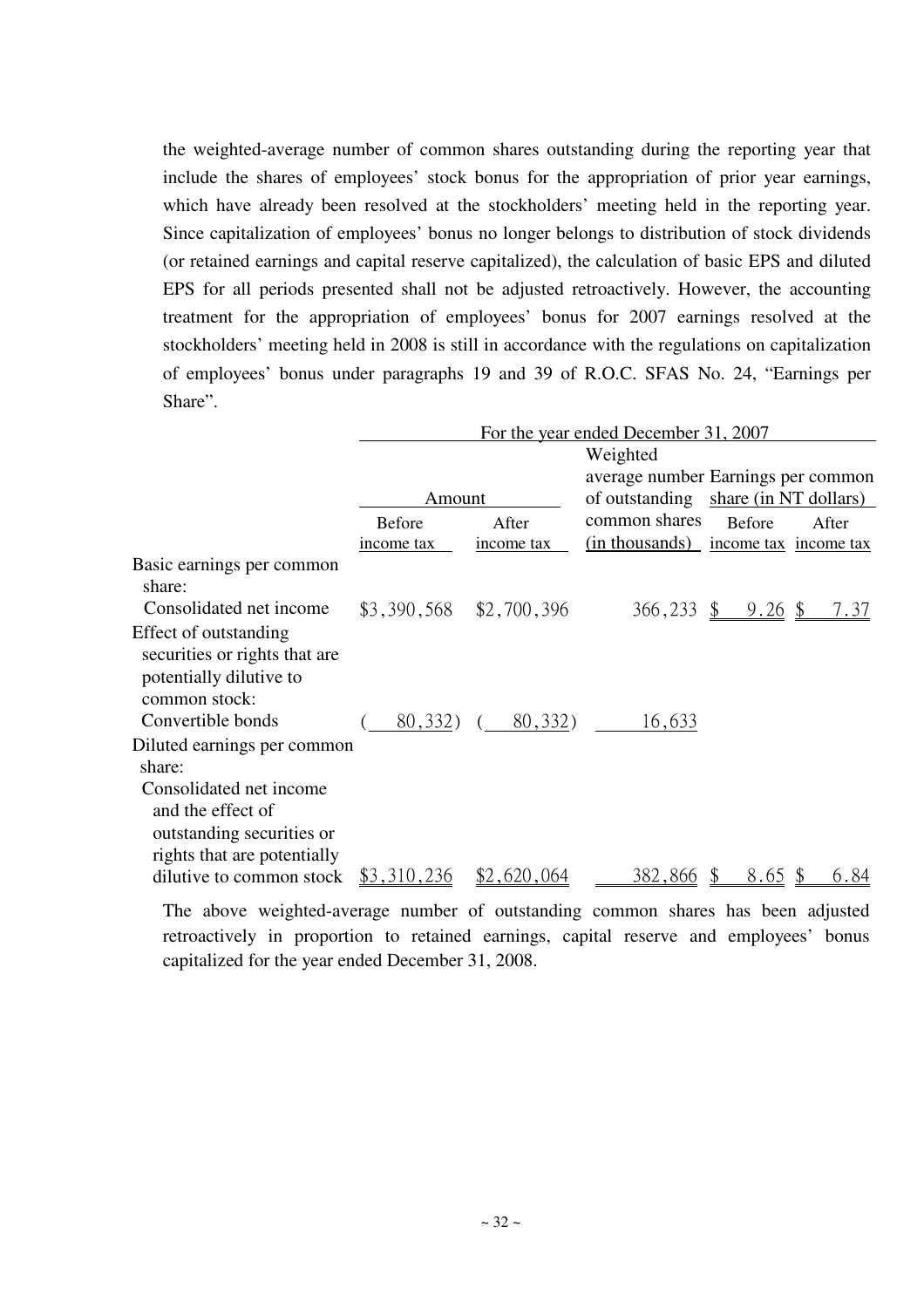the weighted-average number of common shares outstanding during the reporting year that include the shares of employees' stock bonus for the appropriation of prior year earnings, which have already been resolved at the stockholders' meeting held in the reporting year. Since capitalization of employees' bonus no longer belongs to distribution of stock dividends (or retained earnings and capital reserve capitalized), the calculation of basic EPS and diluted EPS for all periods presented shall not be adjusted retroactively. However, the accounting treatment for the appropriation of employees' bonus for 2007 earnings resolved at the stockholders' meeting held in 2008 is still in accordance with the regulations on capitalization of employees' bonus under paragraphs 19 and 39 of R.O.C. SFAS No. 24, "Earnings per Share".

|                               |                           |            | For the year ended December 31, 2007 |                                                          |       |  |
|-------------------------------|---------------------------|------------|--------------------------------------|----------------------------------------------------------|-------|--|
|                               |                           |            | Weighted                             |                                                          |       |  |
|                               |                           |            | average number Earnings per common   |                                                          |       |  |
|                               | Amount                    |            | of outstanding share (in NT dollars) |                                                          |       |  |
|                               | <b>Before</b>             | After      | common shares                        | <b>Before</b>                                            | After |  |
|                               | income tax                | income tax | (in thousands) income tax income tax |                                                          |       |  |
| Basic earnings per common     |                           |            |                                      |                                                          |       |  |
| share:                        |                           |            |                                      |                                                          |       |  |
| Consolidated net income       | $$3,390,568$ $$2,700,396$ |            |                                      | $366,233 \quad \frac{6}{9} \quad 9.26 \quad \frac{6}{9}$ | 7.37  |  |
| Effect of outstanding         |                           |            |                                      |                                                          |       |  |
| securities or rights that are |                           |            |                                      |                                                          |       |  |
| potentially dilutive to       |                           |            |                                      |                                                          |       |  |
| common stock:                 |                           |            |                                      |                                                          |       |  |
| Convertible bonds             | 80,332)                   | 80,332)    | 16,633                               |                                                          |       |  |
| Diluted earnings per common   |                           |            |                                      |                                                          |       |  |
| share:                        |                           |            |                                      |                                                          |       |  |
| Consolidated net income       |                           |            |                                      |                                                          |       |  |
| and the effect of             |                           |            |                                      |                                                          |       |  |
| outstanding securities or     |                           |            |                                      |                                                          |       |  |
| rights that are potentially   |                           |            |                                      |                                                          |       |  |
| dilutive to common stock      | \$3,310,236               | .620,064   | 382,866                              | <u>8.65</u>                                              | 6.84  |  |

The above weighted-average number of outstanding common shares has been adjusted retroactively in proportion to retained earnings, capital reserve and employees' bonus capitalized for the year ended December 31, 2008.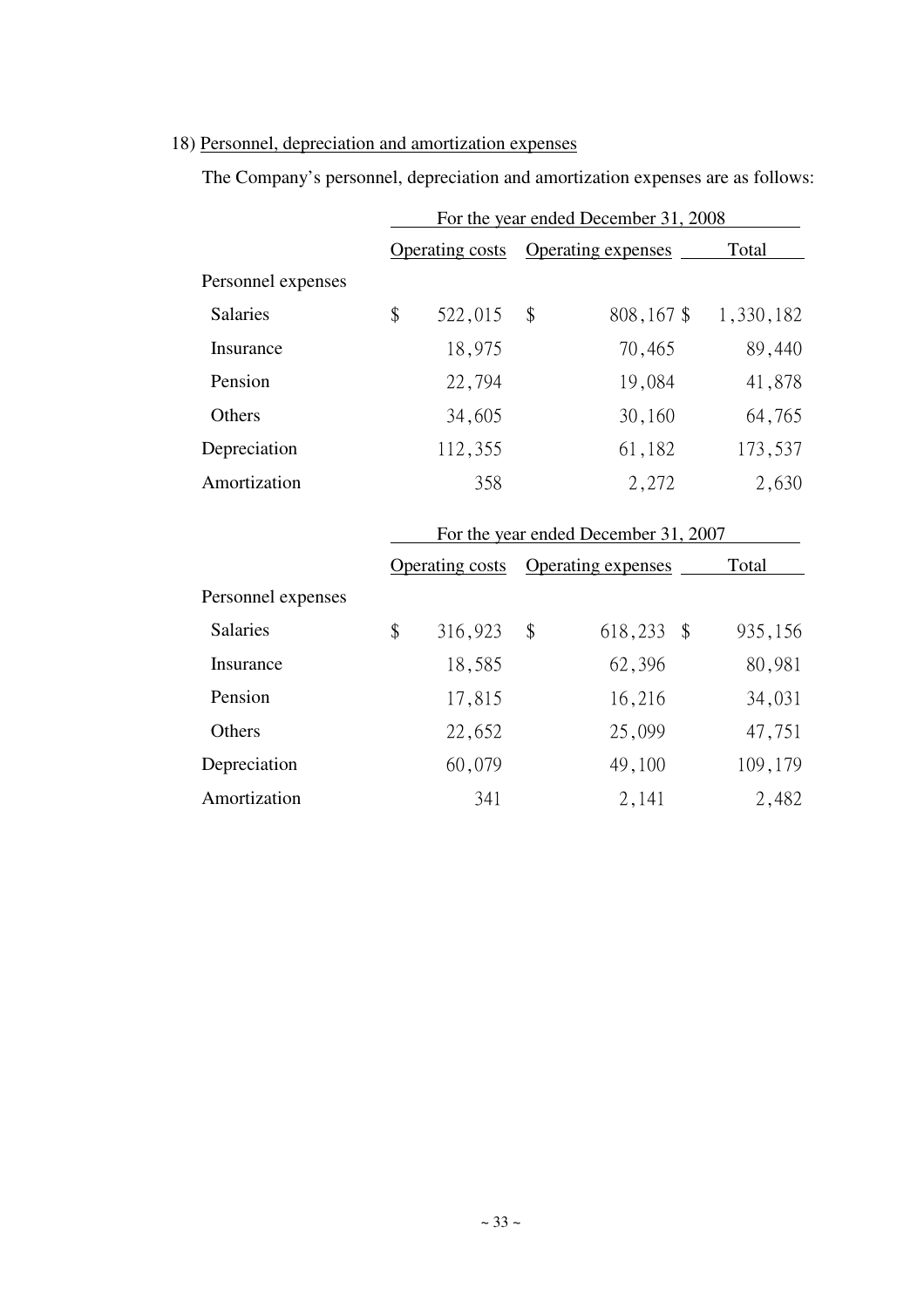# 18) Personnel, depreciation and amortization expenses

The Company's personnel, depreciation and amortization expenses are as follows:

|                    | For the year ended December 31, 2008 |                                      |    |                           |           |  |  |  |
|--------------------|--------------------------------------|--------------------------------------|----|---------------------------|-----------|--|--|--|
|                    |                                      | <b>Operating costs</b>               |    | <b>Operating expenses</b> | Total     |  |  |  |
| Personnel expenses |                                      |                                      |    |                           |           |  |  |  |
| <b>Salaries</b>    | \$                                   | 522,015                              | \$ | 808,167 \$                | 1,330,182 |  |  |  |
| Insurance          |                                      | 18,975                               |    | 70,465                    | 89,440    |  |  |  |
| Pension            |                                      | 22,794                               |    | 19,084                    | 41,878    |  |  |  |
| Others             |                                      | 34,605                               |    | 30,160                    | 64,765    |  |  |  |
| Depreciation       |                                      | 112,355                              |    | 61,182                    | 173,537   |  |  |  |
| Amortization       |                                      | 358                                  |    | 2,272                     | 2,630     |  |  |  |
|                    |                                      | For the year ended December 31, 2007 |    |                           |           |  |  |  |
|                    |                                      | <b>Operating costs</b>               |    | Operating expenses        | Total     |  |  |  |
| Personnel expenses |                                      |                                      |    |                           |           |  |  |  |
| <b>Salaries</b>    | \$                                   | 316,923                              | \$ | 618,233<br>$\sqrt$        | 935,156   |  |  |  |
| Insurance          |                                      | 18,585                               |    | 62,396                    | 80,981    |  |  |  |
| Pension            |                                      | 17,815                               |    | 16,216                    | 34,031    |  |  |  |
| Others             |                                      | 22,652                               |    | 25,099                    | 47,751    |  |  |  |
| Depreciation       |                                      | 60,079                               |    | 49,100                    | 109,179   |  |  |  |
| Amortization       |                                      | 341                                  |    | 2,141                     | 2,482     |  |  |  |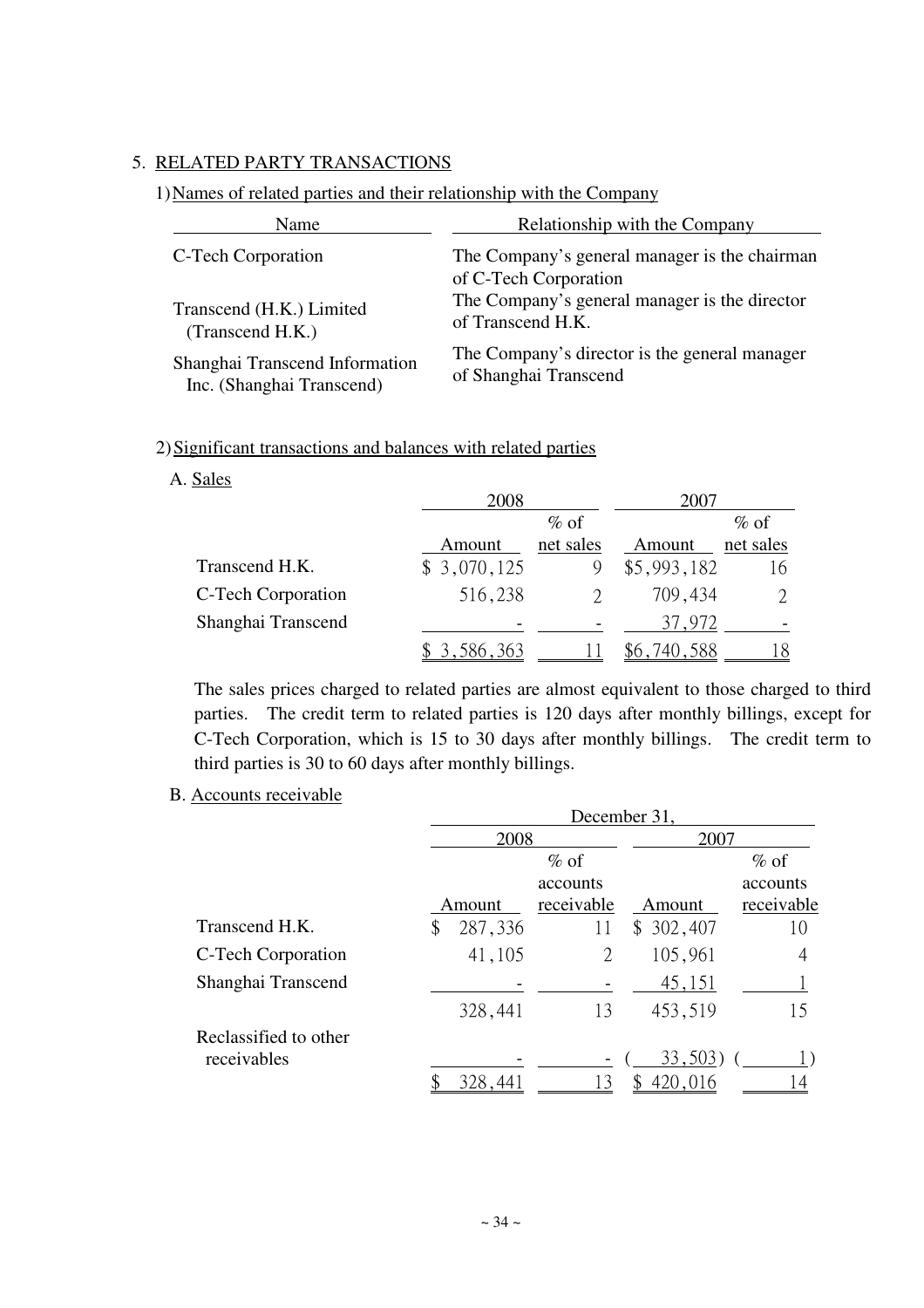## 5. RELATED PARTY TRANSACTIONS

### 1) Names of related parties and their relationship with the Company

| Name                           | <b>Relationship with the Company</b>                                   |
|--------------------------------|------------------------------------------------------------------------|
| C-Tech Corporation             | The Company's general manager is the chairman<br>of C-Tech Corporation |
| Transcend (H.K.) Limited       | The Company's general manager is the director                          |
| (Transcend H.K.)               | of Transcend H.K.                                                      |
| Shanghai Transcend Information | The Company's director is the general manager                          |
| Inc. (Shanghai Transcend)      | of Shanghai Transcend                                                  |

### 2) Significant transactions and balances with related parties

## A. Sales

|                    | 2008        |           | 2007        |             |
|--------------------|-------------|-----------|-------------|-------------|
|                    |             | $\%$ of   |             | $\%$ of     |
|                    | Amount      | net sales | Amount      | net sales   |
| Transcend H.K.     | \$3,070,125 |           | \$5,993,182 | 16          |
| C-Tech Corporation | 516,238     |           | 709,434     | $2^{\circ}$ |
| Shanghai Transcend |             |           | 37,972      |             |
|                    | 3,586,363   |           | 588         | 18.         |

The sales prices charged to related parties are almost equivalent to those charged to third parties. The credit term to related parties is 120 days after monthly billings, except for C-Tech Corporation, which is 15 to 30 days after monthly billings. The credit term to third parties is 30 to 60 days after monthly billings.

### B. Accounts receivable

|                       | December 31, |         |            |           |            |  |  |  |
|-----------------------|--------------|---------|------------|-----------|------------|--|--|--|
|                       |              | 2008    |            |           | 2007       |  |  |  |
|                       |              | $\%$ of |            |           | $\%$ of    |  |  |  |
|                       |              |         | accounts   |           | accounts   |  |  |  |
|                       | Amount       |         | receivable | Amount    | receivable |  |  |  |
| Transcend H.K.        | \$           | 287,336 | 11         | \$302,407 | 10         |  |  |  |
| C-Tech Corporation    |              | 41,105  | 2          | 105,961   | 4          |  |  |  |
| Shanghai Transcend    |              |         |            | 45,151    |            |  |  |  |
|                       |              | 328,441 | 13         | 453,519   | 15         |  |  |  |
| Reclassified to other |              |         |            |           |            |  |  |  |
| receivables           |              |         |            | 33,503)   |            |  |  |  |
|                       |              | 328,441 |            | 420,016   |            |  |  |  |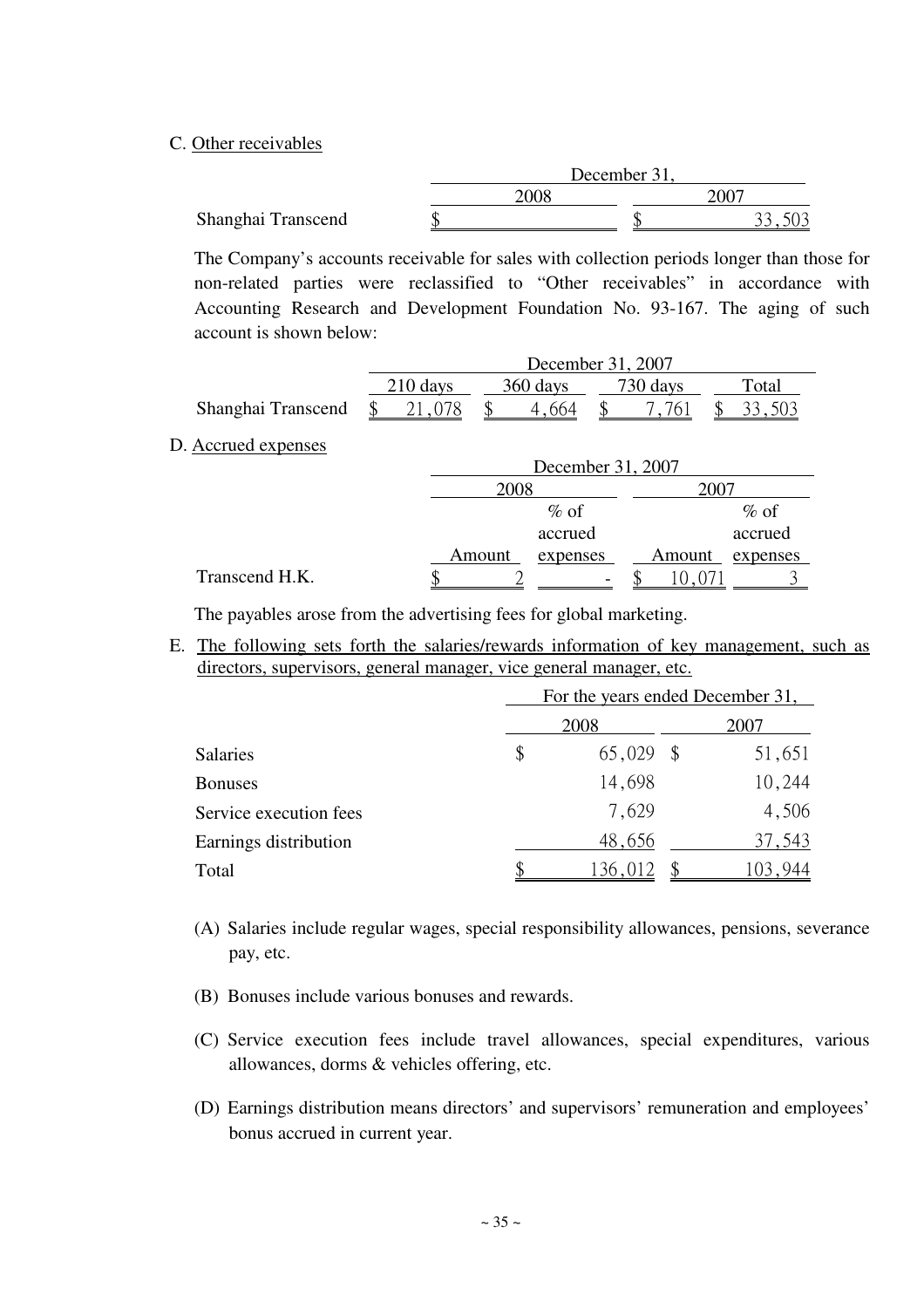### C. Other receivables

| 2008 | 1007         |
|------|--------------|
|      |              |
|      | December 31, |

The Company's accounts receivable for sales with collection periods longer than those for non-related parties were reclassified to "Other receivables" in accordance with Accounting Research and Development Foundation No. 93-167. The aging of such account is shown below:

|                    | December 31, 2007 |          |          |       |  |  |  |  |
|--------------------|-------------------|----------|----------|-------|--|--|--|--|
|                    | $210$ days        | 360 days | 730 days | Total |  |  |  |  |
| Shanghai Transcend |                   |          |          |       |  |  |  |  |

### D. Accrued expenses

|                |        | December 31, 2007 |        |          |  |  |  |  |
|----------------|--------|-------------------|--------|----------|--|--|--|--|
|                | 2008   |                   |        |          |  |  |  |  |
|                |        | $\%$ of           |        | $\%$ of  |  |  |  |  |
|                |        | accrued           |        | accrued  |  |  |  |  |
|                | Amount | expenses          | Amount | expenses |  |  |  |  |
| Transcend H.K. |        |                   |        |          |  |  |  |  |

The payables arose from the advertising fees for global marketing.

E. The following sets forth the salaries/rewards information of key management, such as directors, supervisors, general manager, vice general manager, etc.

|                        |    | For the years ended December 31, |        |  |
|------------------------|----|----------------------------------|--------|--|
|                        |    | 2007                             |        |  |
| <b>Salaries</b>        | \$ | $65,029$ \$                      | 51,651 |  |
| <b>Bonuses</b>         |    | 14,698                           | 10,244 |  |
| Service execution fees |    | 7,629                            | 4,506  |  |
| Earnings distribution  |    | 48,656                           | 37,543 |  |
| Total                  |    | 136,012                          |        |  |

- (A) Salaries include regular wages, special responsibility allowances, pensions, severance pay, etc.
- (B) Bonuses include various bonuses and rewards.
- (C) Service execution fees include travel allowances, special expenditures, various allowances, dorms & vehicles offering, etc.
- (D) Earnings distribution means directors' and supervisors' remuneration and employees' bonus accrued in current year.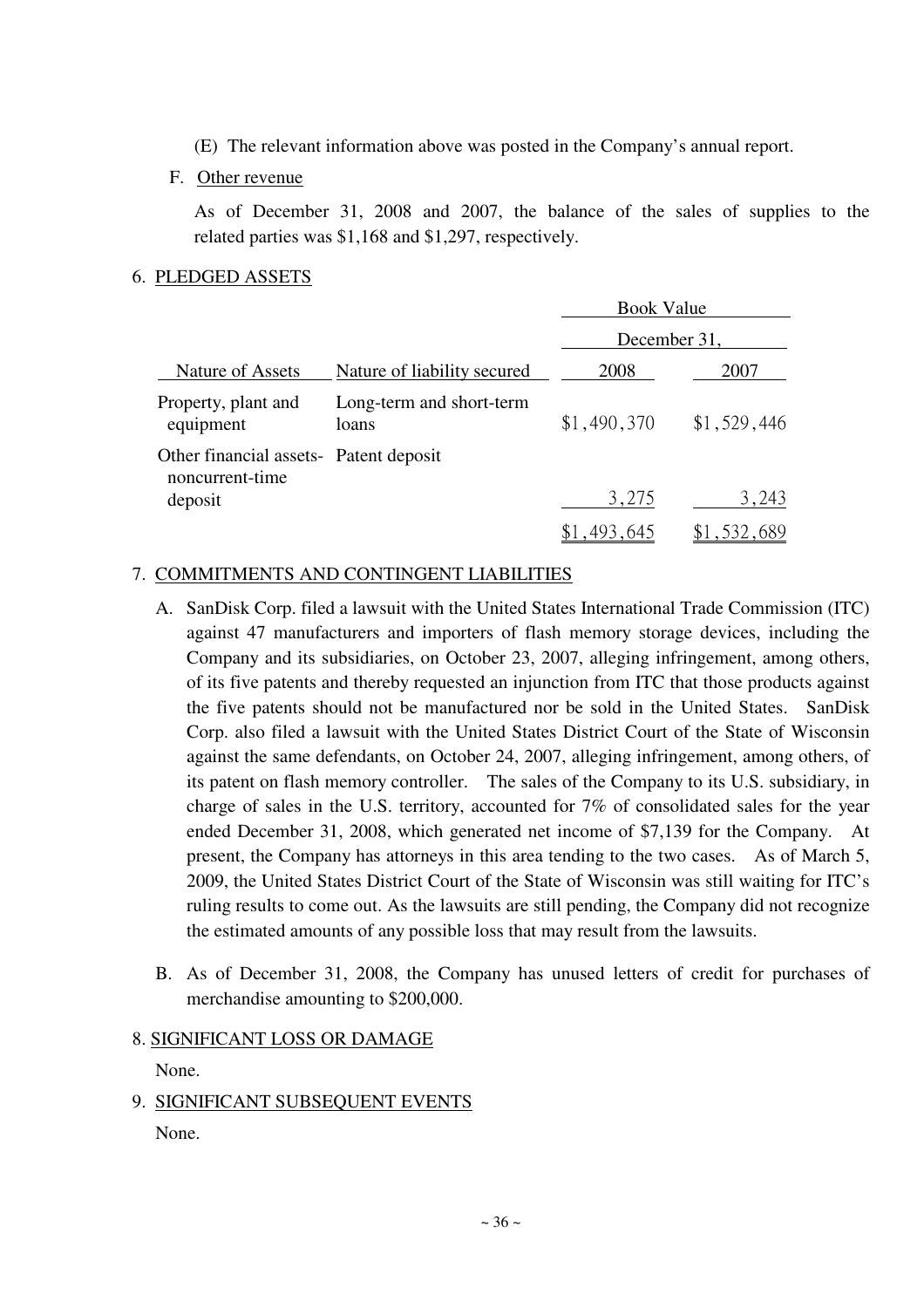- (E) The relevant information above was posted in the Company's annual report.
- F. Other revenue

As of December 31, 2008 and 2007, the balance of the sales of supplies to the related parties was \$1,168 and \$1,297, respectively.

## 6. PLEDGED ASSETS

|                                                           |                                   | <b>Book Value</b> |             |  |  |  |  |
|-----------------------------------------------------------|-----------------------------------|-------------------|-------------|--|--|--|--|
|                                                           |                                   | December 31,      |             |  |  |  |  |
| Nature of Assets                                          | Nature of liability secured       | 2008              | 2007        |  |  |  |  |
| Property, plant and<br>equipment                          | Long-term and short-term<br>loans | \$1,490,370       | \$1,529,446 |  |  |  |  |
| Other financial assets- Patent deposit<br>noncurrent-time |                                   |                   |             |  |  |  |  |
| deposit                                                   |                                   | 3,275             | 3,243       |  |  |  |  |
|                                                           |                                   | \$1,493,645       | \$1,532,689 |  |  |  |  |

## 7. COMMITMENTS AND CONTINGENT LIABILITIES

- A. SanDisk Corp. filed a lawsuit with the United States International Trade Commission (ITC) against 47 manufacturers and importers of flash memory storage devices, including the Company and its subsidiaries, on October 23, 2007, alleging infringement, among others, of its five patents and thereby requested an injunction from ITC that those products against the five patents should not be manufactured nor be sold in the United States. SanDisk Corp. also filed a lawsuit with the United States District Court of the State of Wisconsin against the same defendants, on October 24, 2007, alleging infringement, among others, of its patent on flash memory controller. The sales of the Company to its U.S. subsidiary, in charge of sales in the U.S. territory, accounted for 7% of consolidated sales for the year ended December 31, 2008, which generated net income of \$7,139 for the Company. At present, the Company has attorneys in this area tending to the two cases. As of March 5, 2009, the United States District Court of the State of Wisconsin was still waiting for ITC's ruling results to come out. As the lawsuits are still pending, the Company did not recognize the estimated amounts of any possible loss that may result from the lawsuits.
- B. As of December 31, 2008, the Company has unused letters of credit for purchases of merchandise amounting to \$200,000.

## 8. SIGNIFICANT LOSS OR DAMAGE

None.

9. SIGNIFICANT SUBSEQUENT EVENTS

None.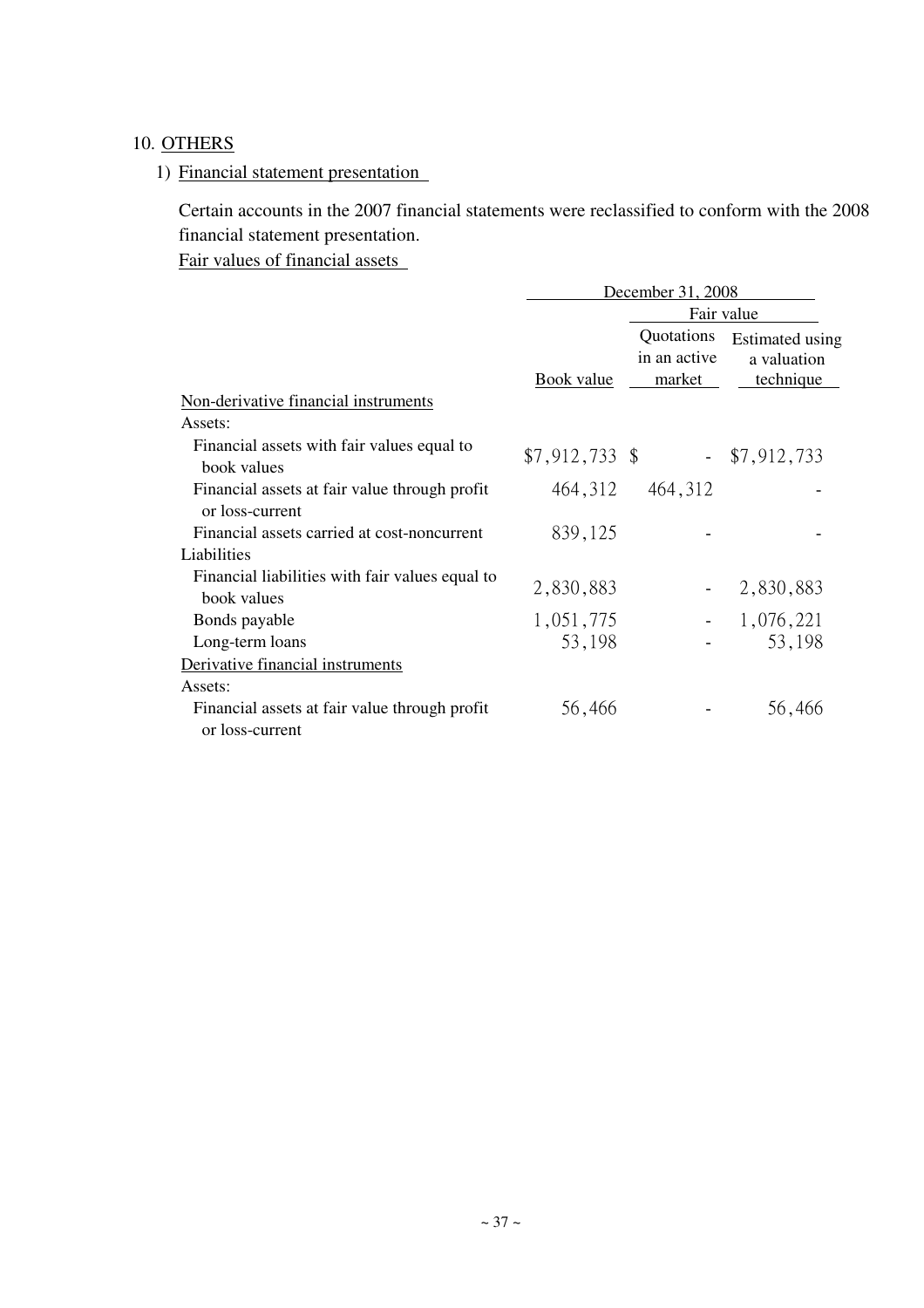## 10. OTHERS

## 1) Financial statement presentation

Certain accounts in the 2007 financial statements were reclassified to conform with the 2008 financial statement presentation.

Fair values of financial assets

|                                                                  | December 31, 2008 |                                      |                                                    |  |  |  |  |  |
|------------------------------------------------------------------|-------------------|--------------------------------------|----------------------------------------------------|--|--|--|--|--|
|                                                                  |                   |                                      | Fair value                                         |  |  |  |  |  |
|                                                                  | <b>Book</b> value | Quotations<br>in an active<br>market | Estimated using<br>a valuation<br><u>technique</u> |  |  |  |  |  |
| Non-derivative financial instruments                             |                   |                                      |                                                    |  |  |  |  |  |
| Assets:                                                          |                   |                                      |                                                    |  |  |  |  |  |
| Financial assets with fair values equal to<br>book values        | $$7,912,733$ \$   |                                      | $-$ \$7,912,733                                    |  |  |  |  |  |
| Financial assets at fair value through profit<br>or loss-current | 464, 312          | 464, 312                             |                                                    |  |  |  |  |  |
| Financial assets carried at cost-noncurrent                      | 839,125           |                                      |                                                    |  |  |  |  |  |
| Liabilities                                                      |                   |                                      |                                                    |  |  |  |  |  |
| Financial liabilities with fair values equal to<br>book values   | 2,830,883         |                                      | 2,830,883                                          |  |  |  |  |  |
| Bonds payable                                                    | 1,051,775         |                                      | 1,076,221                                          |  |  |  |  |  |
| Long-term loans                                                  | 53,198            |                                      | 53,198                                             |  |  |  |  |  |
| Derivative financial instruments                                 |                   |                                      |                                                    |  |  |  |  |  |
| Assets:                                                          |                   |                                      |                                                    |  |  |  |  |  |
| Financial assets at fair value through profit<br>or loss-current | 56,466            |                                      | 56,466                                             |  |  |  |  |  |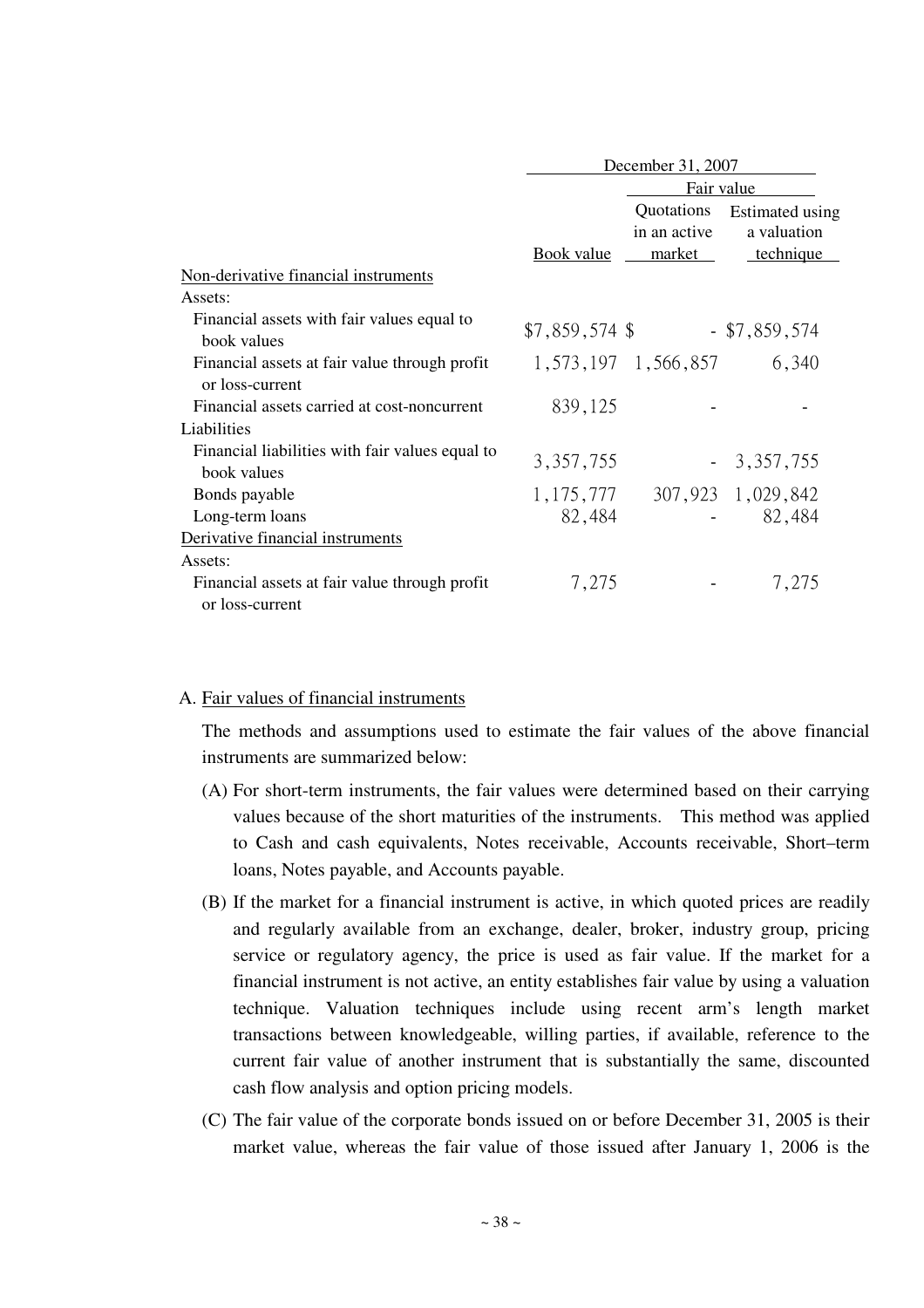|                                                                  | December 31, 2007 |                                      |                                             |  |  |  |  |
|------------------------------------------------------------------|-------------------|--------------------------------------|---------------------------------------------|--|--|--|--|
|                                                                  |                   | Fair value                           |                                             |  |  |  |  |
|                                                                  | Book value        | Quotations<br>in an active<br>market | Estimated using<br>a valuation<br>technique |  |  |  |  |
| Non-derivative financial instruments                             |                   |                                      |                                             |  |  |  |  |
| Assets:                                                          |                   |                                      |                                             |  |  |  |  |
| Financial assets with fair values equal to<br>book values        | $$7,859,574$ \$   |                                      | $-$ \$7,859,574                             |  |  |  |  |
| Financial assets at fair value through profit<br>or loss-current |                   | 1, 573, 197 1, 566, 857              | 6,340                                       |  |  |  |  |
| Financial assets carried at cost-noncurrent                      | 839,125           |                                      |                                             |  |  |  |  |
| Liabilities                                                      |                   |                                      |                                             |  |  |  |  |
| Financial liabilities with fair values equal to<br>book values   | 3, 357, 755       |                                      | $-3,357,755$                                |  |  |  |  |
| Bonds payable                                                    | 1, 175, 777       |                                      | 307,923 1,029,842                           |  |  |  |  |
| Long-term loans                                                  | 82,484            |                                      | 82,484                                      |  |  |  |  |
| Derivative financial instruments                                 |                   |                                      |                                             |  |  |  |  |
| Assets:                                                          |                   |                                      |                                             |  |  |  |  |
| Financial assets at fair value through profit<br>or loss-current | 7,275             |                                      | 7,275                                       |  |  |  |  |

### A. Fair values of financial instruments

The methods and assumptions used to estimate the fair values of the above financial instruments are summarized below:

- (A) For short-term instruments, the fair values were determined based on their carrying values because of the short maturities of the instruments. This method was applied to Cash and cash equivalents, Notes receivable, Accounts receivable, Short–term loans, Notes payable, and Accounts payable.
- (B) If the market for a financial instrument is active, in which quoted prices are readily and regularly available from an exchange, dealer, broker, industry group, pricing service or regulatory agency, the price is used as fair value. If the market for a financial instrument is not active, an entity establishes fair value by using a valuation technique. Valuation techniques include using recent arm's length market transactions between knowledgeable, willing parties, if available, reference to the current fair value of another instrument that is substantially the same, discounted cash flow analysis and option pricing models.
- (C) The fair value of the corporate bonds issued on or before December 31, 2005 is their market value, whereas the fair value of those issued after January 1, 2006 is the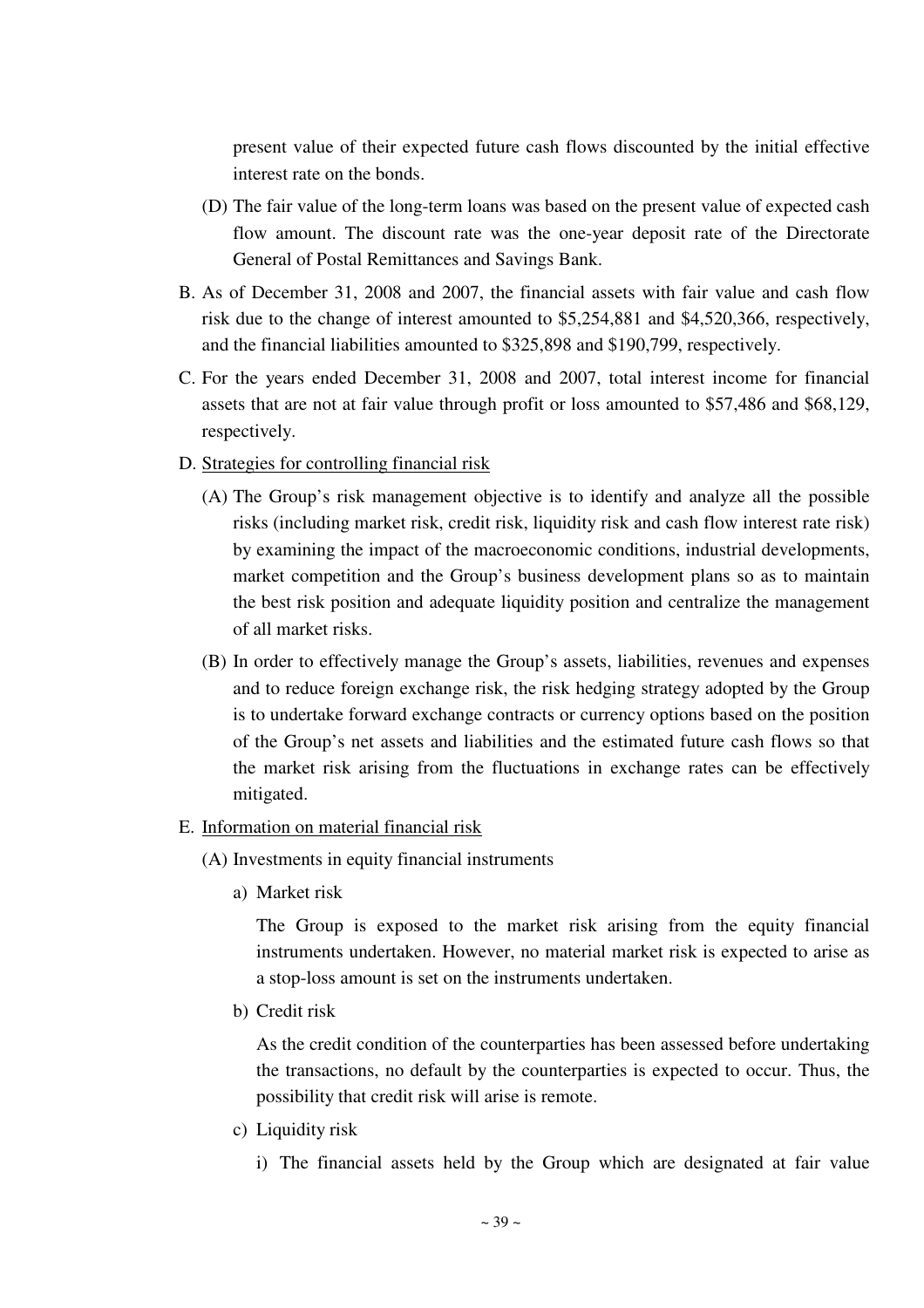present value of their expected future cash flows discounted by the initial effective interest rate on the bonds.

- (D) The fair value of the long-term loans was based on the present value of expected cash flow amount. The discount rate was the one-year deposit rate of the Directorate General of Postal Remittances and Savings Bank.
- B. As of December 31, 2008 and 2007, the financial assets with fair value and cash flow risk due to the change of interest amounted to \$5,254,881 and \$4,520,366, respectively, and the financial liabilities amounted to \$325,898 and \$190,799, respectively.
- C. For the years ended December 31, 2008 and 2007, total interest income for financial assets that are not at fair value through profit or loss amounted to \$57,486 and \$68,129, respectively.
- D. Strategies for controlling financial risk
	- (A) The Group's risk management objective is to identify and analyze all the possible risks (including market risk, credit risk, liquidity risk and cash flow interest rate risk) by examining the impact of the macroeconomic conditions, industrial developments, market competition and the Group's business development plans so as to maintain the best risk position and adequate liquidity position and centralize the management of all market risks.
	- (B) In order to effectively manage the Group's assets, liabilities, revenues and expenses and to reduce foreign exchange risk, the risk hedging strategy adopted by the Group is to undertake forward exchange contracts or currency options based on the position of the Group's net assets and liabilities and the estimated future cash flows so that the market risk arising from the fluctuations in exchange rates can be effectively mitigated.

### E. Information on material financial risk

- (A) Investments in equity financial instruments
	- a) Market risk

The Group is exposed to the market risk arising from the equity financial instruments undertaken. However, no material market risk is expected to arise as a stop-loss amount is set on the instruments undertaken.

b) Credit risk

As the credit condition of the counterparties has been assessed before undertaking the transactions, no default by the counterparties is expected to occur. Thus, the possibility that credit risk will arise is remote.

c) Liquidity risk

i) The financial assets held by the Group which are designated at fair value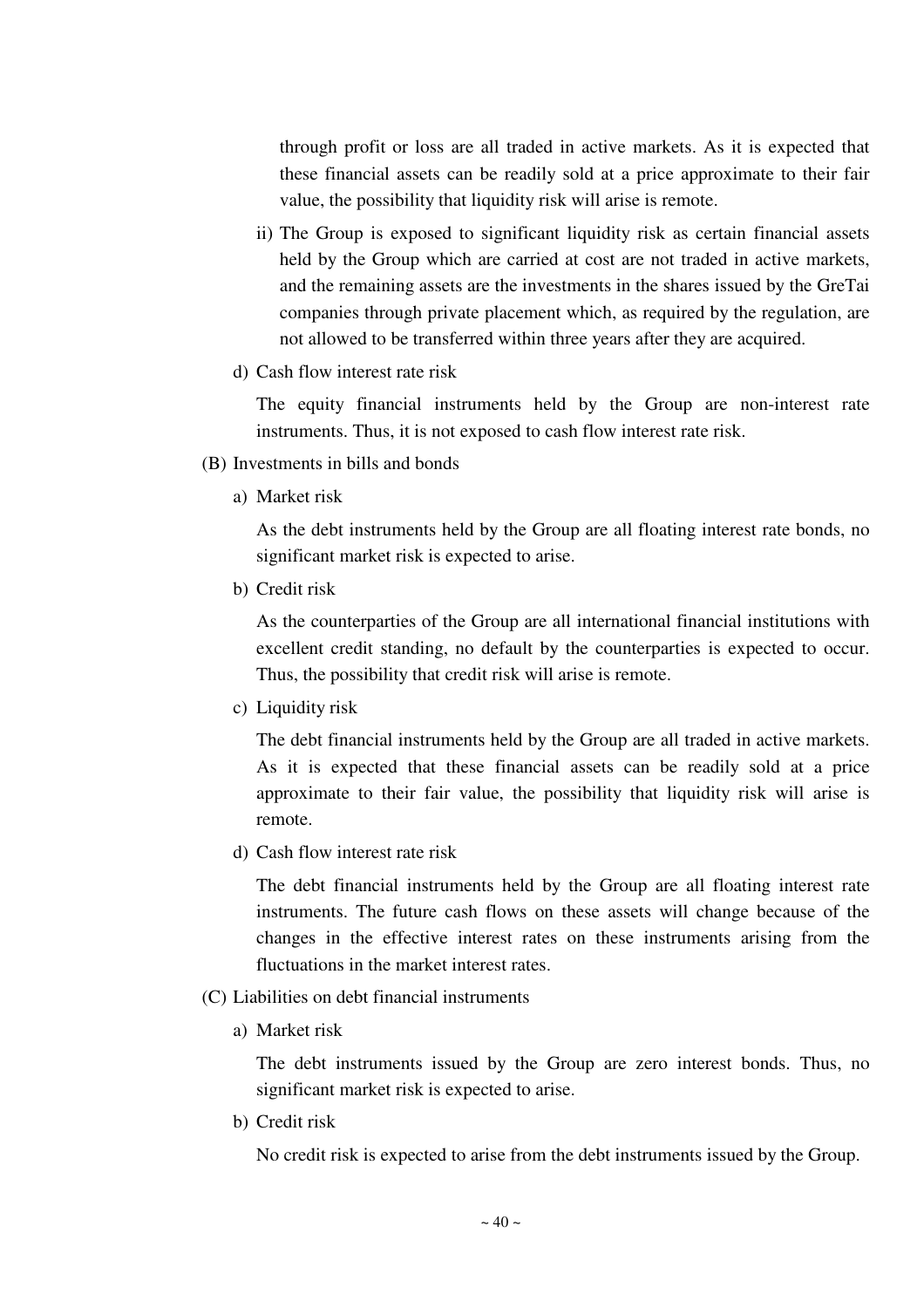through profit or loss are all traded in active markets. As it is expected that these financial assets can be readily sold at a price approximate to their fair value, the possibility that liquidity risk will arise is remote.

- ii) The Group is exposed to significant liquidity risk as certain financial assets held by the Group which are carried at cost are not traded in active markets, and the remaining assets are the investments in the shares issued by the GreTai companies through private placement which, as required by the regulation, are not allowed to be transferred within three years after they are acquired.
- d) Cash flow interest rate risk

The equity financial instruments held by the Group are non-interest rate instruments. Thus, it is not exposed to cash flow interest rate risk.

- (B) Investments in bills and bonds
	- a) Market risk

As the debt instruments held by the Group are all floating interest rate bonds, no significant market risk is expected to arise.

b) Credit risk

As the counterparties of the Group are all international financial institutions with excellent credit standing, no default by the counterparties is expected to occur. Thus, the possibility that credit risk will arise is remote.

c) Liquidity risk

The debt financial instruments held by the Group are all traded in active markets. As it is expected that these financial assets can be readily sold at a price approximate to their fair value, the possibility that liquidity risk will arise is remote.

d) Cash flow interest rate risk

The debt financial instruments held by the Group are all floating interest rate instruments. The future cash flows on these assets will change because of the changes in the effective interest rates on these instruments arising from the fluctuations in the market interest rates.

- (C) Liabilities on debt financial instruments
	- a) Market risk

The debt instruments issued by the Group are zero interest bonds. Thus, no significant market risk is expected to arise.

b) Credit risk

No credit risk is expected to arise from the debt instruments issued by the Group.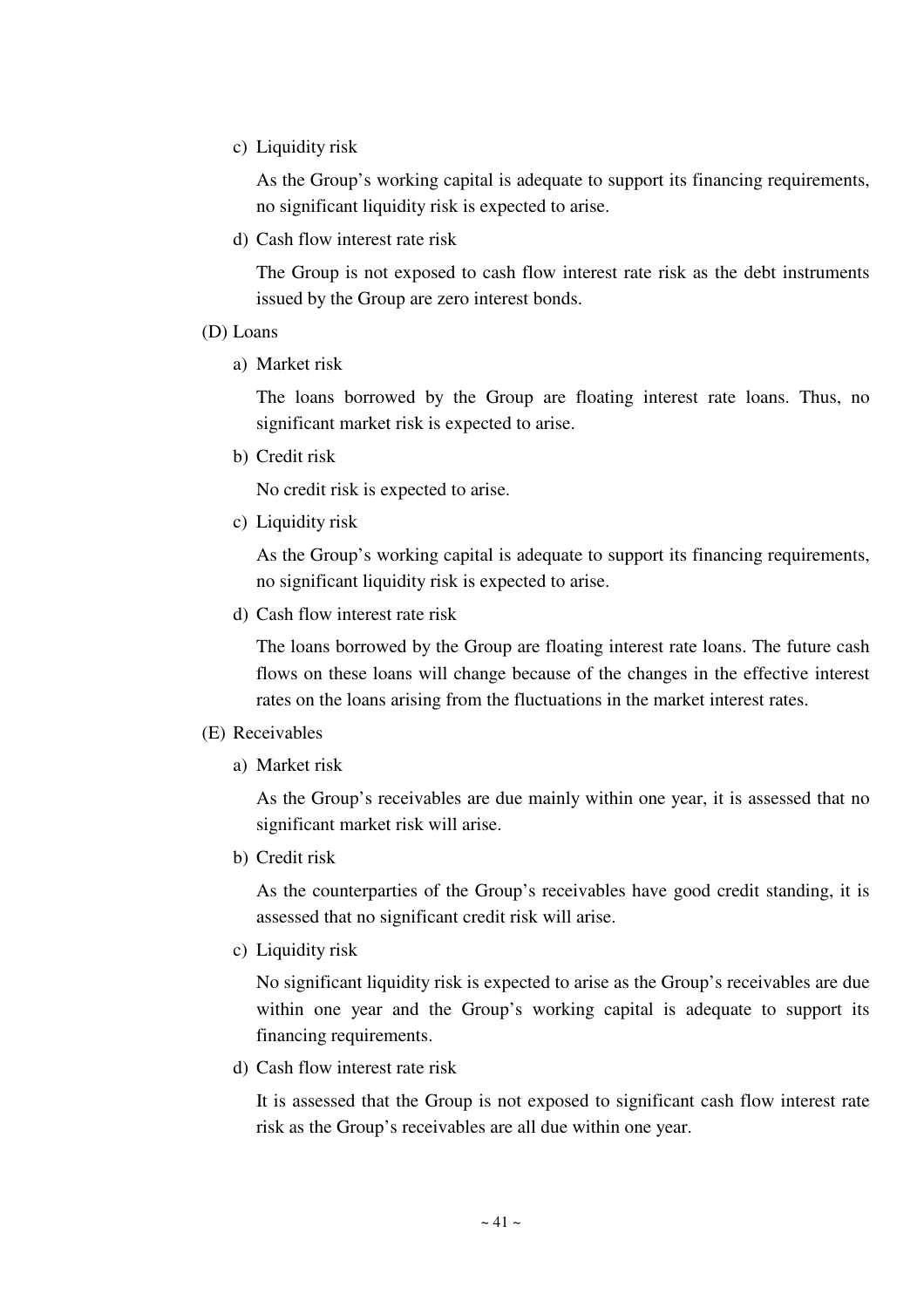c) Liquidity risk

As the Group's working capital is adequate to support its financing requirements, no significant liquidity risk is expected to arise.

d) Cash flow interest rate risk

The Group is not exposed to cash flow interest rate risk as the debt instruments issued by the Group are zero interest bonds.

- (D) Loans
	- a) Market risk

The loans borrowed by the Group are floating interest rate loans. Thus, no significant market risk is expected to arise.

b) Credit risk

No credit risk is expected to arise.

c) Liquidity risk

As the Group's working capital is adequate to support its financing requirements, no significant liquidity risk is expected to arise.

d) Cash flow interest rate risk

The loans borrowed by the Group are floating interest rate loans. The future cash flows on these loans will change because of the changes in the effective interest rates on the loans arising from the fluctuations in the market interest rates.

### (E) Receivables

a) Market risk

As the Group's receivables are due mainly within one year, it is assessed that no significant market risk will arise.

b) Credit risk

As the counterparties of the Group's receivables have good credit standing, it is assessed that no significant credit risk will arise.

c) Liquidity risk

No significant liquidity risk is expected to arise as the Group's receivables are due within one year and the Group's working capital is adequate to support its financing requirements.

d) Cash flow interest rate risk

It is assessed that the Group is not exposed to significant cash flow interest rate risk as the Group's receivables are all due within one year.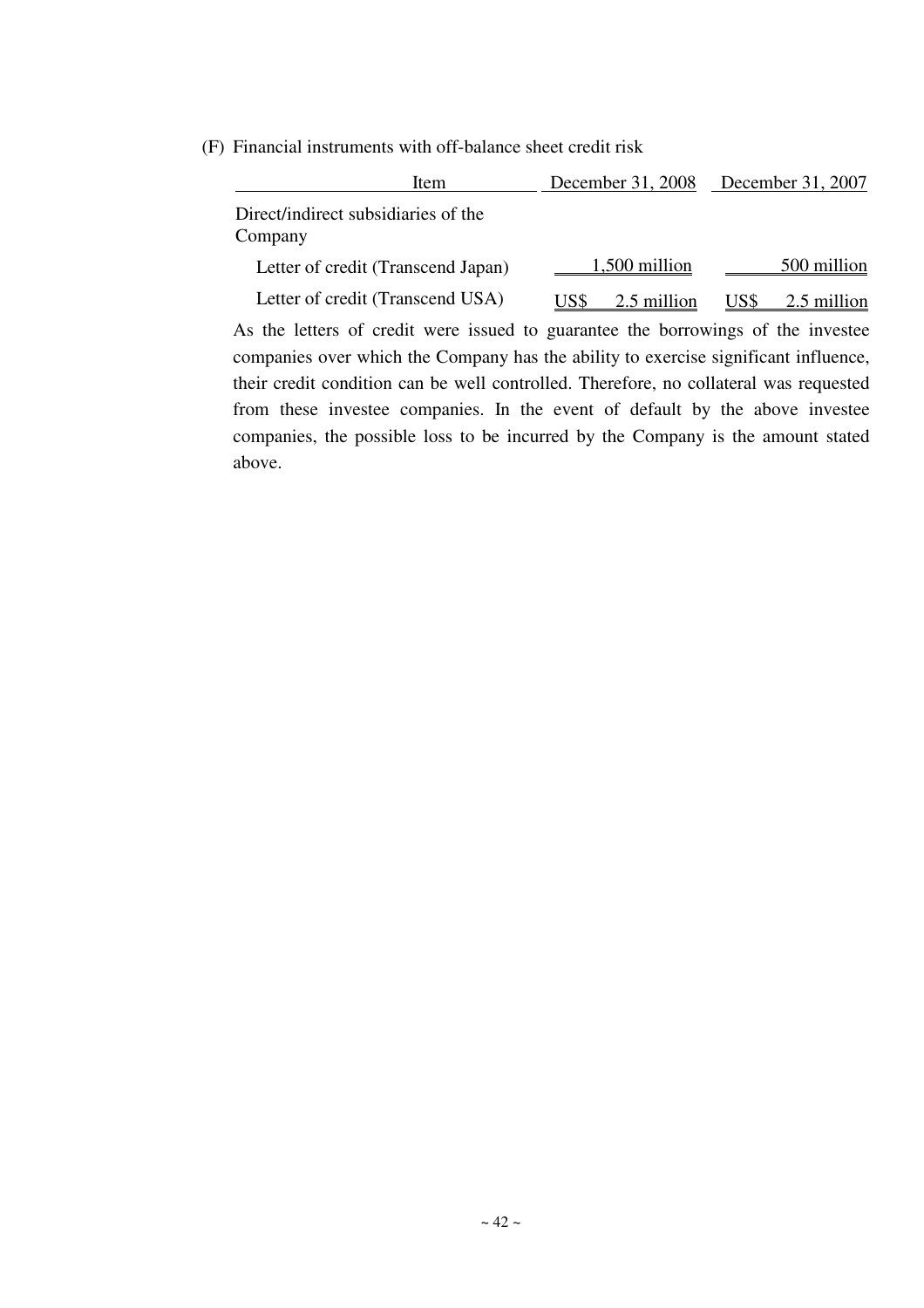(F) Financial instruments with off-balance sheet credit risk

| Item                                                                             | December 31, 2008 December 31, 2007 |                     |
|----------------------------------------------------------------------------------|-------------------------------------|---------------------|
| Direct/indirect subsidiaries of the<br>Company                                   |                                     |                     |
| Letter of credit (Transcend Japan)                                               | 1,500 million                       | 500 million         |
| Letter of credit (Transcend USA)                                                 | 2.5 million<br>US\$                 | US\$<br>2.5 million |
| As the letters of credit were issued to guarantee the borrowings of the investee |                                     |                     |

companies over which the Company has the ability to exercise significant influence, their credit condition can be well controlled. Therefore, no collateral was requested from these investee companies. In the event of default by the above investee companies, the possible loss to be incurred by the Company is the amount stated above.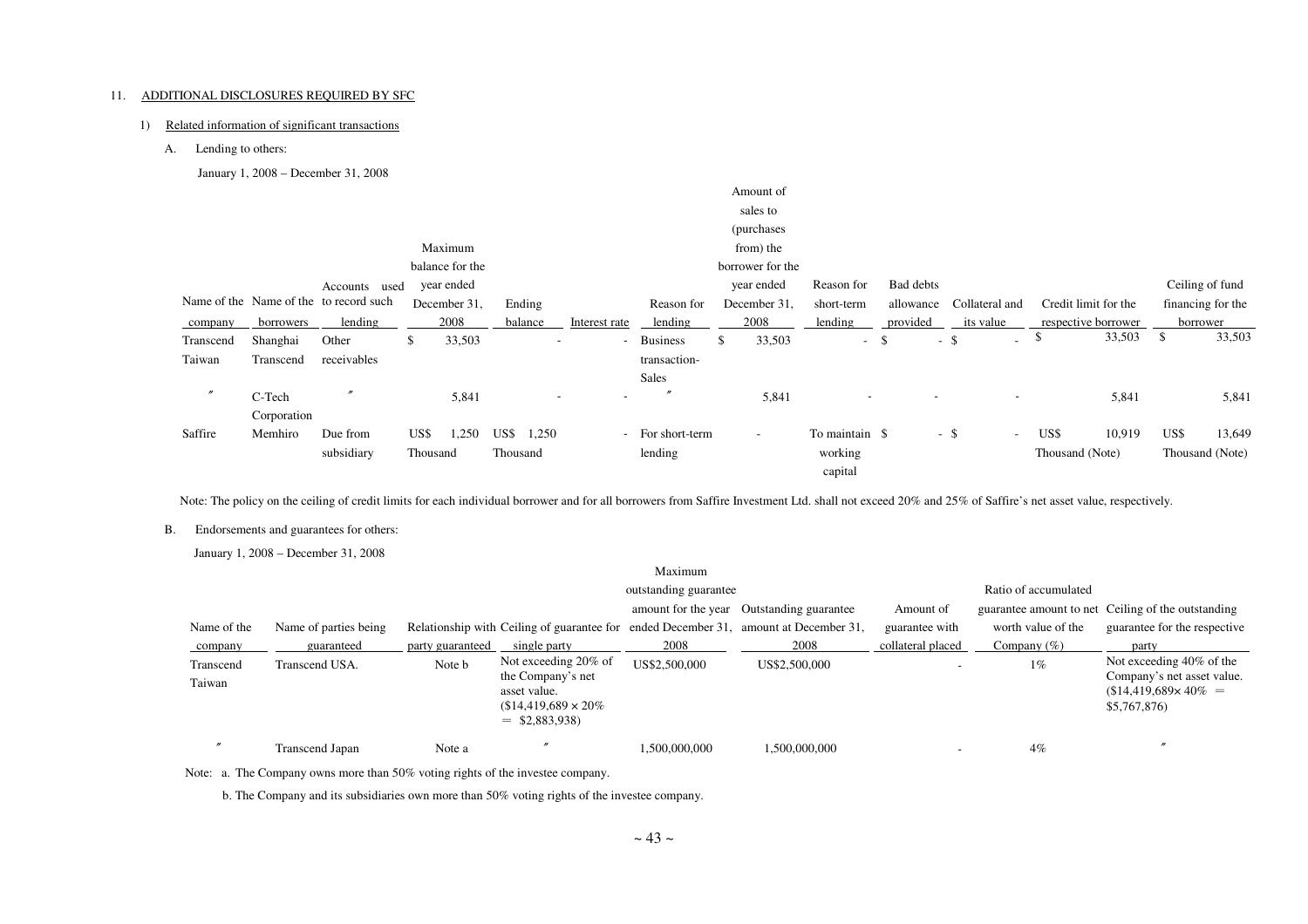#### 11. ADDITIONAL DISCLOSURES REQUIRED BY SFC

#### 1) Related information of significant transactions

A. Lending to others:

January 1, 2008 – December 31, 2008

|                   |             |                                        |          |                 |               |                                    |                   | Amount of        |                    |                          |                          |                 |                      |      |                   |
|-------------------|-------------|----------------------------------------|----------|-----------------|---------------|------------------------------------|-------------------|------------------|--------------------|--------------------------|--------------------------|-----------------|----------------------|------|-------------------|
|                   |             |                                        |          |                 |               |                                    |                   | sales to         |                    |                          |                          |                 |                      |      |                   |
|                   |             |                                        |          |                 |               |                                    |                   | (purchases)      |                    |                          |                          |                 |                      |      |                   |
|                   |             |                                        |          | Maximum         |               |                                    |                   | from) the        |                    |                          |                          |                 |                      |      |                   |
|                   |             |                                        |          | balance for the |               |                                    |                   | borrower for the |                    |                          |                          |                 |                      |      |                   |
|                   |             | Accounts used                          |          | year ended      |               |                                    |                   | year ended       | Reason for         | Bad debts                |                          |                 |                      |      | Ceiling of fund   |
|                   |             | Name of the Name of the to record such |          | December 31,    | Ending        |                                    | Reason for        | December 31,     | short-term         | allowance                | Collateral and           |                 | Credit limit for the |      | financing for the |
| company           | borrowers   | lending                                |          | 2008            | balance       | Interest rate                      | lending           | 2008             | lending            | provided                 | its value                |                 | respective borrower  |      | borrower          |
| Transcend         | Shanghai    | Other                                  | \$       | 33,503          |               | $\sim$<br>$\overline{\phantom{a}}$ | <b>Business</b>   | 33,503<br>\$     | $\sim$             | -\$                      | $-$ \$<br>$\sim$         | \$              | 33,503               | \$   | 33,503            |
| Taiwan            | Transcend   | receivables                            |          |                 |               |                                    | transaction-      |                  |                    |                          |                          |                 |                      |      |                   |
|                   |             |                                        |          |                 |               |                                    | Sales             |                  |                    |                          |                          |                 |                      |      |                   |
| $^{\prime\prime}$ | C-Tech      |                                        |          | 5,841           |               | $\overline{\phantom{a}}$<br>$\sim$ | $^{\prime\prime}$ | 5,841            | $\sim$             | $\overline{\phantom{a}}$ | $\overline{\phantom{a}}$ |                 | 5,841                |      | 5,841             |
|                   | Corporation |                                        |          |                 |               |                                    |                   |                  |                    |                          |                          |                 |                      |      |                   |
| Saffire           | Memhiro     | Due from                               | US\$     | ,250            | US\$<br>1,250 |                                    | - For short-term  | $\sim$           | To maintain \$     |                          | $-$ \$<br>$\sim$         | US\$            | 10,919               | US\$ | 13,649            |
|                   |             | subsidiary                             | Thousand |                 | Thousand      |                                    | lending           |                  | working<br>capital |                          |                          | Thousand (Note) |                      |      | Thousand (Note)   |

Note: The policy on the ceiling of credit limits for each individual borrower and for all borrowers from Saffire Investment Ltd. shall not exceed 20% and 25% of Saffire's net asset value, respectively.

#### B. Endorsements and guarantees for others:

January 1, 2008 – December 31, 2008

|                     |                       |                  |                                                                                                            | Maximum               |                                           |                   |                         |                                                                                                       |
|---------------------|-----------------------|------------------|------------------------------------------------------------------------------------------------------------|-----------------------|-------------------------------------------|-------------------|-------------------------|-------------------------------------------------------------------------------------------------------|
|                     |                       |                  |                                                                                                            | outstanding guarantee |                                           |                   | Ratio of accumulated    |                                                                                                       |
|                     |                       |                  |                                                                                                            | amount for the year   | Outstanding guarantee                     | Amount of         | guarantee amount to net | Ceiling of the outstanding                                                                            |
| Name of the         | Name of parties being |                  | Relationship with Ceiling of guarantee for                                                                 |                       | ended December 31, amount at December 31, | guarantee with    | worth value of the      | guarantee for the respective                                                                          |
| company             | guaranteed            | party guaranteed | single party                                                                                               | 2008                  | 2008                                      | collateral placed | Company $(\% )$         | party                                                                                                 |
| Transcend<br>Taiwan | Transcend USA.        | Note b           | Not exceeding 20% of<br>the Company's net<br>asset value.<br>$$14,419,689 \times 20\%$<br>$=$ \$2,883,938) | US\$2,500,000         | US\$2,500,000                             |                   | $1\%$                   | Not exceeding 40% of the<br>Company's net asset value.<br>$$14,419,689 \times 40\% =$<br>\$5,767,876) |
|                     | Transcend Japan       | Note a           |                                                                                                            | 1.500.000.000         | 1.500.000.000                             |                   | 4%                      |                                                                                                       |

Note: a. The Company owns more than 50% voting rights of the investee company.

b. The Company and its subsidiaries own more than 50% voting rights of the investee company.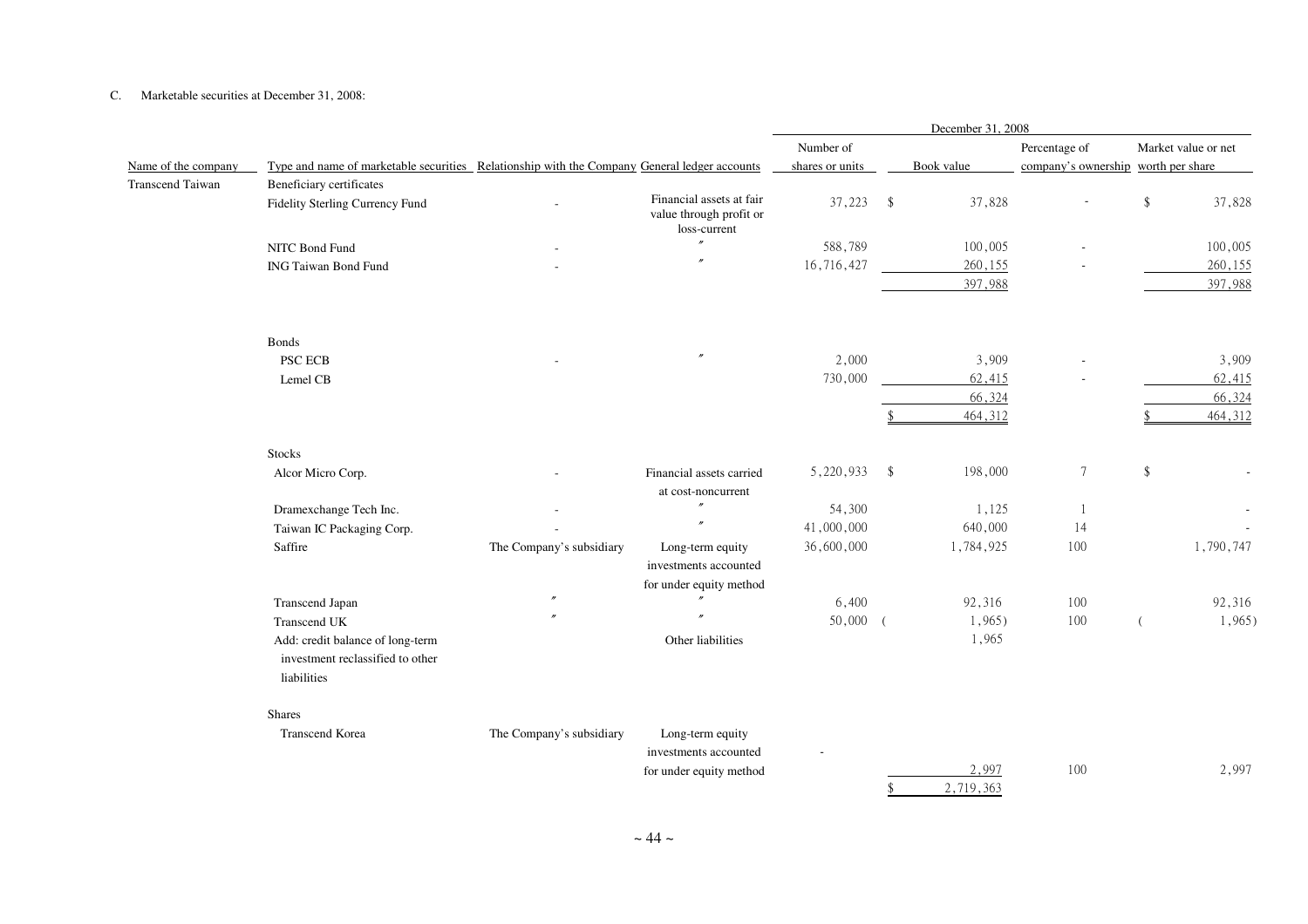#### C. Marketable securities at December 31, 2008:

|                         |                                                                                              |                          |                                                                      | December 31, 2008 |                    |            |                                     |      |                     |
|-------------------------|----------------------------------------------------------------------------------------------|--------------------------|----------------------------------------------------------------------|-------------------|--------------------|------------|-------------------------------------|------|---------------------|
|                         |                                                                                              |                          |                                                                      | Number of         |                    |            | Percentage of                       |      | Market value or net |
| Name of the company     | Type and name of marketable securities Relationship with the Company General ledger accounts |                          |                                                                      | shares or units   |                    | Book value | company's ownership worth per share |      |                     |
| <b>Transcend Taiwan</b> | Beneficiary certificates                                                                     |                          |                                                                      |                   |                    |            |                                     |      |                     |
|                         | Fidelity Sterling Currency Fund                                                              |                          | Financial assets at fair<br>value through profit or<br>loss-current  | 37,223            | $\mathbf{\hat{S}}$ | 37,828     |                                     | \$   | 37,828              |
|                         | NITC Bond Fund                                                                               |                          | $\overline{''}$                                                      | 588,789           |                    | 100,005    |                                     |      | 100,005             |
|                         | <b>ING Taiwan Bond Fund</b>                                                                  |                          |                                                                      | 16,716,427        |                    | 260,155    |                                     |      | 260,155             |
|                         |                                                                                              |                          |                                                                      |                   |                    | 397,988    |                                     |      | 397,988             |
|                         | <b>Bonds</b>                                                                                 |                          |                                                                      |                   |                    |            |                                     |      |                     |
|                         | <b>PSC ECB</b>                                                                               |                          |                                                                      | 2,000             |                    | 3,909      |                                     |      | 3,909               |
|                         | Lemel CB                                                                                     |                          |                                                                      | 730,000           |                    | 62,415     |                                     |      | 62,415              |
|                         |                                                                                              |                          |                                                                      |                   |                    | 66,324     |                                     |      | 66,324              |
|                         |                                                                                              |                          |                                                                      |                   |                    | 464,312    |                                     |      | 464,312             |
|                         | <b>Stocks</b>                                                                                |                          |                                                                      |                   |                    |            |                                     |      |                     |
|                         | Alcor Micro Corp.                                                                            |                          | Financial assets carried<br>at cost-noncurrent                       | 5,220,933         | - \$               | 198,000    | $\boldsymbol{7}$                    | $\,$ |                     |
|                         | Dramexchange Tech Inc.                                                                       |                          |                                                                      | 54,300            |                    | 1,125      | 1                                   |      |                     |
|                         | Taiwan IC Packaging Corp.                                                                    |                          | $\overline{r}$                                                       | 41,000,000        |                    | 640,000    | 14                                  |      |                     |
|                         | Saffire                                                                                      | The Company's subsidiary | Long-term equity<br>investments accounted<br>for under equity method | 36,600,000        |                    | 1,784,925  | 100                                 |      | 1,790,747           |
|                         | Transcend Japan                                                                              |                          |                                                                      | 6,400             |                    | 92,316     | 100                                 |      | 92,316              |
|                         | Transcend UK                                                                                 |                          |                                                                      | 50,000            |                    | $1,965$ )  | 100                                 |      | $1,965$ )           |
|                         | Add: credit balance of long-term<br>investment reclassified to other<br>liabilities          |                          | Other liabilities                                                    |                   |                    | 1,965      |                                     |      |                     |
|                         | <b>Shares</b>                                                                                |                          |                                                                      |                   |                    |            |                                     |      |                     |
|                         | Transcend Korea                                                                              | The Company's subsidiary | Long-term equity<br>investments accounted<br>for under equity method |                   |                    | 2,997      | 100                                 |      | 2,997               |
|                         |                                                                                              |                          |                                                                      |                   | \$                 | 2,719,363  |                                     |      |                     |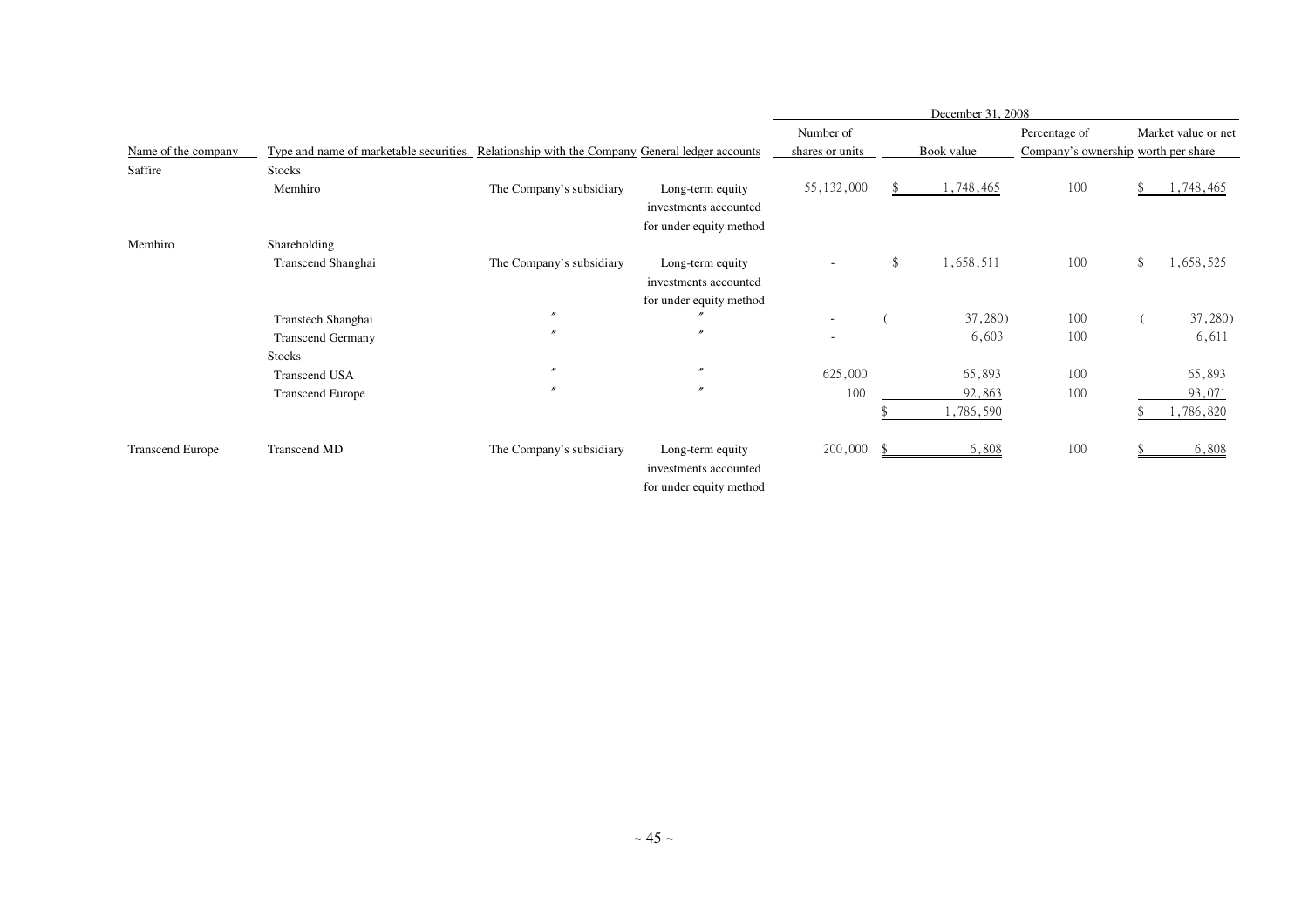|                         |                                                                                              |                          |                         | December 31, 2008 |    |            |               |    |                                     |  |
|-------------------------|----------------------------------------------------------------------------------------------|--------------------------|-------------------------|-------------------|----|------------|---------------|----|-------------------------------------|--|
|                         |                                                                                              |                          |                         | Number of         |    |            | Percentage of |    | Market value or net                 |  |
| Name of the company     | Type and name of marketable securities Relationship with the Company General ledger accounts |                          |                         | shares or units   |    | Book value |               |    | Company's ownership worth per share |  |
| Saffire                 | <b>Stocks</b>                                                                                |                          |                         |                   |    |            |               |    |                                     |  |
|                         | Memhiro                                                                                      | The Company's subsidiary | Long-term equity        | 55, 132, 000      |    | 1,748,465  | 100           |    | 1,748,465                           |  |
|                         |                                                                                              |                          | investments accounted   |                   |    |            |               |    |                                     |  |
|                         |                                                                                              |                          | for under equity method |                   |    |            |               |    |                                     |  |
| Memhiro                 | Shareholding                                                                                 |                          |                         |                   |    |            |               |    |                                     |  |
|                         | Transcend Shanghai                                                                           | The Company's subsidiary | Long-term equity        | ٠                 | \$ | 1,658,511  | 100           | \$ | 1,658,525                           |  |
|                         |                                                                                              |                          | investments accounted   |                   |    |            |               |    |                                     |  |
|                         |                                                                                              |                          | for under equity method |                   |    |            |               |    |                                     |  |
|                         | Transtech Shanghai                                                                           | $^{\prime\prime}$        |                         | ٠                 |    | 37,280)    | 100           |    | 37,280)                             |  |
|                         | <b>Transcend Germany</b>                                                                     | $\prime$                 | $\mathbf{r}$            | ٠                 |    | 6,603      | 100           |    | 6,611                               |  |
|                         | <b>Stocks</b>                                                                                |                          |                         |                   |    |            |               |    |                                     |  |
|                         | Transcend USA                                                                                | $\prime$                 | $^{\prime\prime}$       | 625,000           |    | 65,893     | 100           |    | 65,893                              |  |
|                         | <b>Transcend Europe</b>                                                                      | $\boldsymbol{r}$         | $\prime$                | 100               |    | 92,863     | 100           |    | 93,071                              |  |
|                         |                                                                                              |                          |                         |                   |    | 1,786,590  |               |    | 1,786,820                           |  |
| <b>Transcend Europe</b> | Transcend MD                                                                                 | The Company's subsidiary | Long-term equity        | 200,000           |    | 6,808      | 100           |    | 6,808                               |  |
|                         |                                                                                              |                          | investments accounted   |                   |    |            |               |    |                                     |  |
|                         |                                                                                              |                          | for under equity method |                   |    |            |               |    |                                     |  |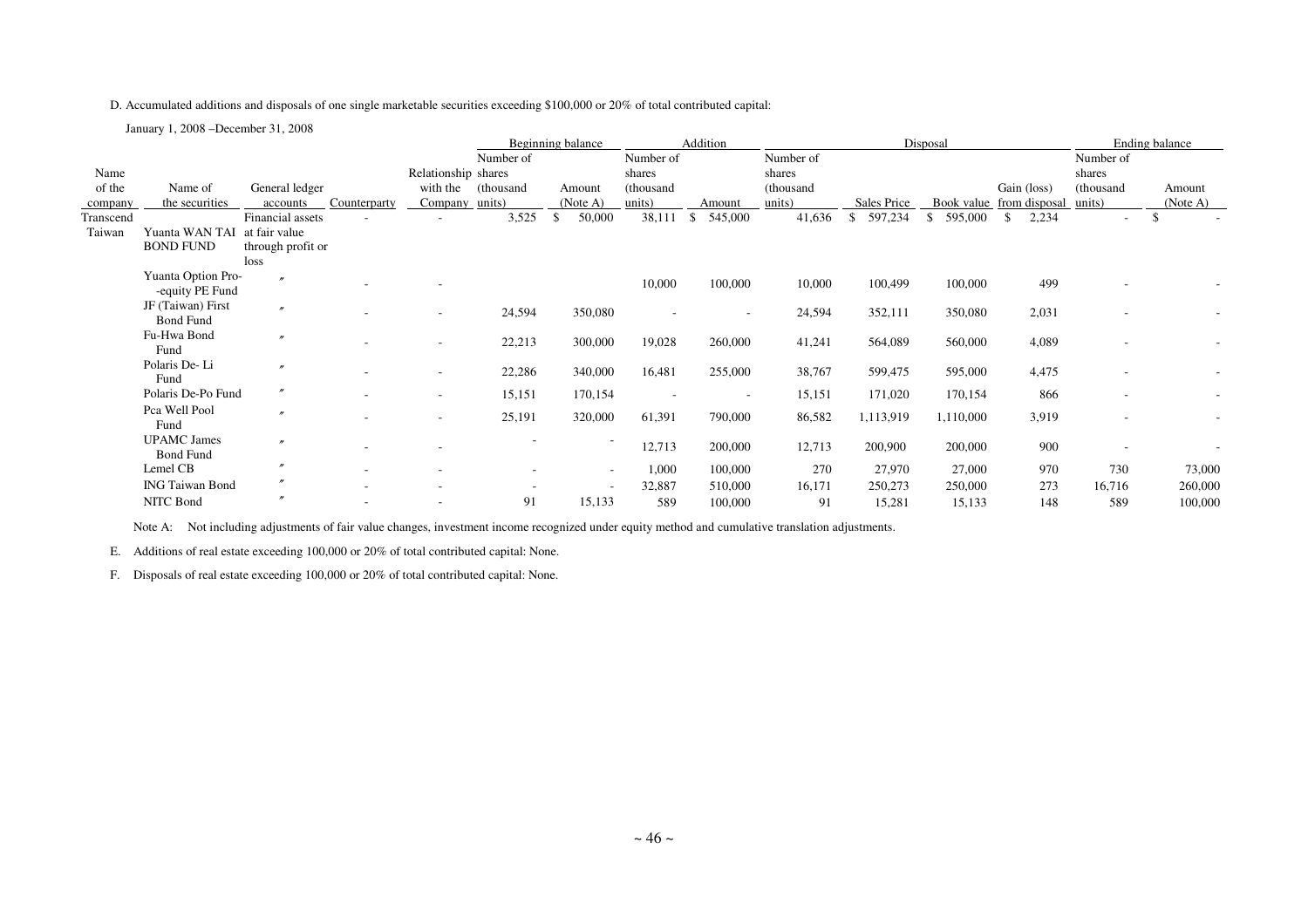D. Accumulated additions and disposals of one single marketable securities exceeding \$100,000 or 20% of total contributed capital:

January 1, 2008 –December 31, 2008

|           |                        |                   |              |                          | Addition<br>Beginning balance |    | Disposal |           |                          |           |                          | Ending balance          |                          |                          |                          |
|-----------|------------------------|-------------------|--------------|--------------------------|-------------------------------|----|----------|-----------|--------------------------|-----------|--------------------------|-------------------------|--------------------------|--------------------------|--------------------------|
|           |                        |                   |              |                          | Number of                     |    |          | Number of |                          | Number of |                          |                         |                          | Number of                |                          |
| Name      |                        |                   |              | Relationship shares      |                               |    |          | shares    |                          | shares    |                          |                         |                          | shares                   |                          |
| of the    | Name of                | General ledger    |              | with the                 | thousand)                     |    | Amount   | (thousand |                          | (thousand |                          |                         | Gain (loss)              | (thousand                | Amount                   |
| company   | the securities         | accounts          | Counterparty | Company units)           |                               |    | (Note A) | units)    | Amount                   | units)    | Sales Price              |                         | Book value from disposal | units)                   | (Note A)                 |
| Transcend |                        | Financial assets  |              |                          | 3,525                         | \$ | 50,000   | 38,111    | 545,000<br>- \$          | 41,636    | 597,234<br><sup>\$</sup> | $\mathbb{S}$<br>595,000 | 2,234<br>-S              | $\overline{\phantom{a}}$ | -\$                      |
| Taiwan    | Yuanta WAN TAI         | at fair value     |              |                          |                               |    |          |           |                          |           |                          |                         |                          |                          |                          |
|           | <b>BOND FUND</b>       | through profit or |              |                          |                               |    |          |           |                          |           |                          |                         |                          |                          |                          |
|           |                        | loss              |              |                          |                               |    |          |           |                          |           |                          |                         |                          |                          |                          |
|           | Yuanta Option Pro-     |                   |              |                          |                               |    |          | 10,000    | 100,000                  | 10,000    | 100,499                  | 100,000                 | 499                      |                          |                          |
|           | -equity PE Fund        |                   |              |                          |                               |    |          |           |                          |           |                          |                         |                          |                          |                          |
|           | JF (Taiwan) First      | $\boldsymbol{r}$  |              | $\overline{\phantom{a}}$ | 24,594                        |    | 350,080  |           | $\sim$                   | 24,594    | 352,111                  | 350,080                 | 2,031                    |                          |                          |
|           | <b>Bond Fund</b>       |                   |              |                          |                               |    |          |           |                          |           |                          |                         |                          |                          |                          |
|           | Fu-Hwa Bond            | $\overline{ }$    |              | $\overline{\phantom{a}}$ | 22,213                        |    | 300,000  | 19,028    | 260,000                  | 41,241    | 564,089                  | 560,000                 | 4,089                    |                          |                          |
|           | Fund                   |                   |              |                          |                               |    |          |           |                          |           |                          |                         |                          |                          |                          |
|           | Polaris De-Li          | $\boldsymbol{r}$  |              | $\overline{\phantom{a}}$ | 22,286                        |    | 340,000  | 16,481    | 255,000                  | 38,767    | 599,475                  | 595,000                 | 4,475                    |                          |                          |
|           | Fund                   |                   |              |                          |                               |    |          |           |                          |           |                          |                         |                          |                          |                          |
|           | Polaris De-Po Fund     | $\prime\prime$    |              | $\overline{\phantom{a}}$ | 15,151                        |    | 170,154  |           | $\overline{\phantom{a}}$ | 15,151    | 171,020                  | 170,154                 | 866                      |                          | $\overline{\phantom{a}}$ |
|           | Pca Well Pool          | $\boldsymbol{r}$  |              |                          | 25,191                        |    | 320,000  | 61,391    | 790,000                  | 86,582    | 1,113,919                | 1,110,000               | 3,919                    |                          |                          |
|           | Fund                   |                   |              | $\overline{\phantom{a}}$ |                               |    |          |           |                          |           |                          |                         |                          |                          |                          |
|           | <b>UPAMC</b> James     | $\boldsymbol{r}$  |              |                          |                               |    |          | 12,713    | 200,000                  | 12,713    | 200,900                  | 200,000                 | 900                      |                          |                          |
|           | <b>Bond Fund</b>       |                   |              |                          |                               |    |          |           |                          |           |                          |                         |                          |                          |                          |
|           | Lemel CB               |                   |              | $\overline{\phantom{a}}$ |                               |    | $\sim$   | 1,000     | 100,000                  | 270       | 27,970                   | 27,000                  | 970                      | 730                      | 73,000                   |
|           | <b>ING Taiwan Bond</b> |                   | $\sim$       | $\overline{\phantom{a}}$ | ۰                             |    | $\sim$   | 32,887    | 510,000                  | 16,171    | 250,273                  | 250,000                 | 273                      | 16,716                   | 260,000                  |
|           | NITC Bond              |                   |              |                          | 91                            |    | 15,133   | 589       | 100,000                  | 91        | 15,281                   | 15,133                  | 148                      | 589                      | 100,000                  |
|           |                        |                   |              |                          |                               |    |          |           |                          |           |                          |                         |                          |                          |                          |

Note A: Not including adjustments of fair value changes, investment income recognized under equity method and cumulative translation adjustments.

E. Additions of real estate exceeding 100,000 or 20% of total contributed capital: None.

F. Disposals of real estate exceeding 100,000 or 20% of total contributed capital: None.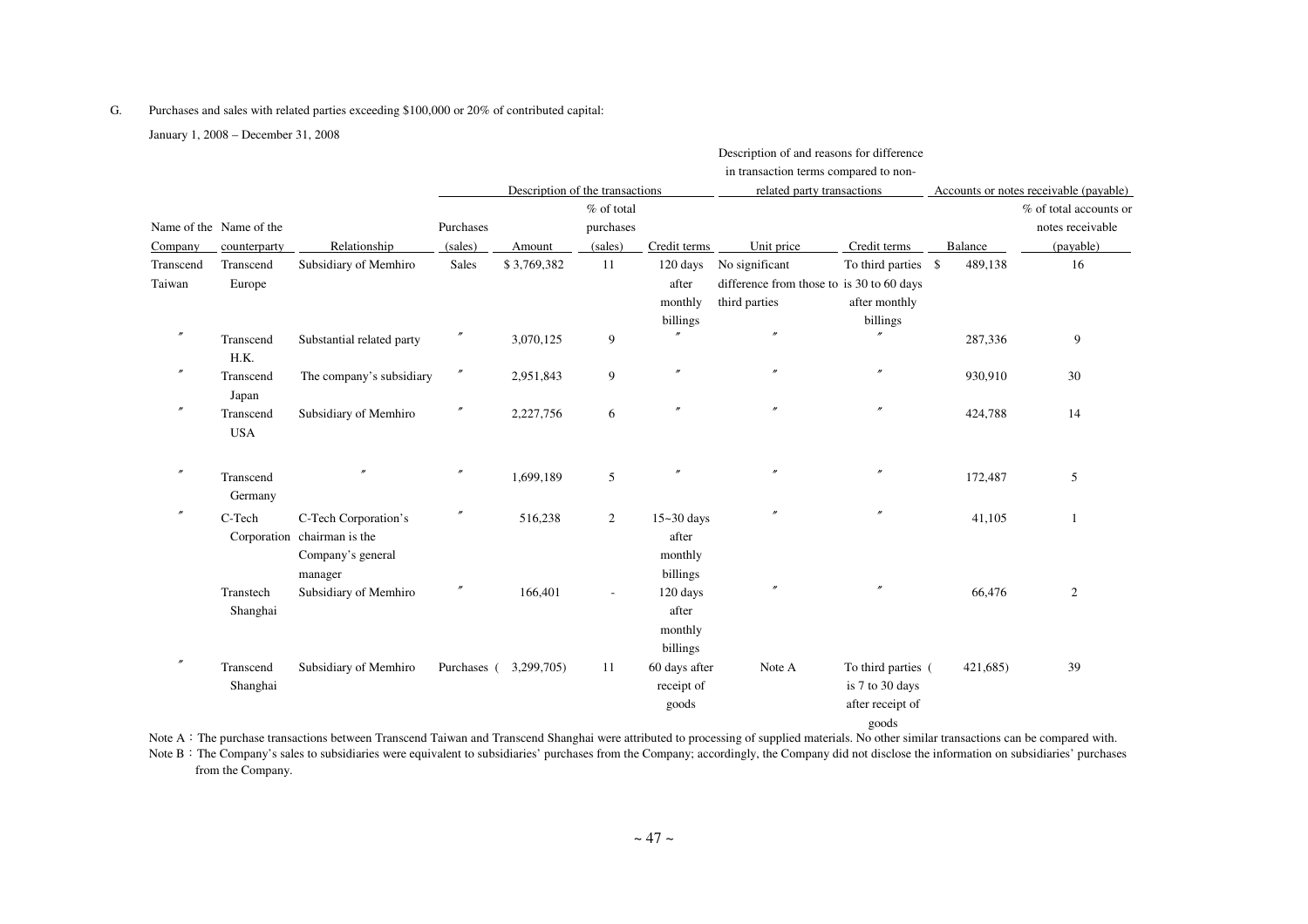#### G. Purchases and sales with related parties exceeding \$100,000 or 20% of contributed capital:

January 1, 2008 – December 31, 2008

|                     |                                         |                                                                                     |                      |                                           |                                    | Description of and reasons for difference<br>in transaction terms compared to non- |                                                                              |                                                                    |          |                                                                                                   |
|---------------------|-----------------------------------------|-------------------------------------------------------------------------------------|----------------------|-------------------------------------------|------------------------------------|------------------------------------------------------------------------------------|------------------------------------------------------------------------------|--------------------------------------------------------------------|----------|---------------------------------------------------------------------------------------------------|
| Company             | Name of the Name of the<br>counterparty | Relationship                                                                        | Purchases<br>(sales) | Description of the transactions<br>Amount | % of total<br>purchases<br>(sales) | Credit terms                                                                       | related party transactions<br>Unit price                                     | Credit terms                                                       | Balance  | Accounts or notes receivable (payable)<br>% of total accounts or<br>notes receivable<br>(payable) |
| Transcend<br>Taiwan | Transcend<br>Europe                     | Subsidiary of Memhiro                                                               | <b>Sales</b>         | \$3,769,382                               | 11                                 | 120 days<br>after<br>monthly<br>billings                                           | No significant<br>difference from those to is 30 to 60 days<br>third parties | To third parties \$<br>after monthly<br>billings                   | 489.138  | 16                                                                                                |
| $^{\prime\prime}$   | Transcend<br>H.K.                       | Substantial related party                                                           | $\prime\prime$       | 3,070,125                                 | 9                                  | $\theta$                                                                           | $\prime$                                                                     | $\overline{v}$                                                     | 287,336  | 9                                                                                                 |
| $\prime\prime$      | Transcend<br>Japan                      | The company's subsidiary                                                            | $\prime\prime$       | 2,951,843                                 | 9                                  | $^{\prime\prime}$                                                                  | $\prime$                                                                     | $^{\prime\prime}$                                                  | 930,910  | 30                                                                                                |
| $^{\prime\prime}$   | Transcend<br><b>USA</b>                 | Subsidiary of Memhiro                                                               | $\prime\prime$       | 2,227,756                                 | 6                                  | $^{\prime\prime}$                                                                  | $\theta$                                                                     | $\overline{''}$                                                    | 424,788  | 14                                                                                                |
| $^{\prime\prime}$   | Transcend<br>Germany                    |                                                                                     | $\prime\prime$       | 1,699,189                                 | 5                                  | $^{\prime\prime}$                                                                  | $\prime\prime$                                                               | $\overline{''}$                                                    | 172,487  | 5                                                                                                 |
| $^{\prime\prime}$   | C-Tech                                  | C-Tech Corporation's<br>Corporation chairman is the<br>Company's general<br>manager | $\prime\prime$       | 516,238                                   | 2                                  | $15 - 30$ days<br>after<br>monthly<br>billings                                     | $\theta$                                                                     |                                                                    | 41,105   | 1                                                                                                 |
|                     | Transtech<br>Shanghai                   | Subsidiary of Memhiro                                                               | $\prime\prime$       | 166,401                                   |                                    | 120 days<br>after<br>monthly<br>billings                                           |                                                                              |                                                                    | 66,476   | 2                                                                                                 |
|                     | Transcend<br>Shanghai                   | Subsidiary of Memhiro                                                               | Purchases (          | 3,299,705)                                | 11                                 | 60 days after<br>receipt of<br>goods                                               | Note A                                                                       | To third parties (<br>is 7 to 30 days<br>after receipt of<br>goods | 421,685) | 39                                                                                                |

Note A: The purchase transactions between Transcend Taiwan and Transcend Shanghai were attributed to processing of supplied materials. No other similar transactions can be compared with.

Note B: The Company's sales to subsidiaries were equivalent to subsidiaries' purchases from the Company; accordingly, the Company did not disclose the information on subsidiaries' purchases from the Company.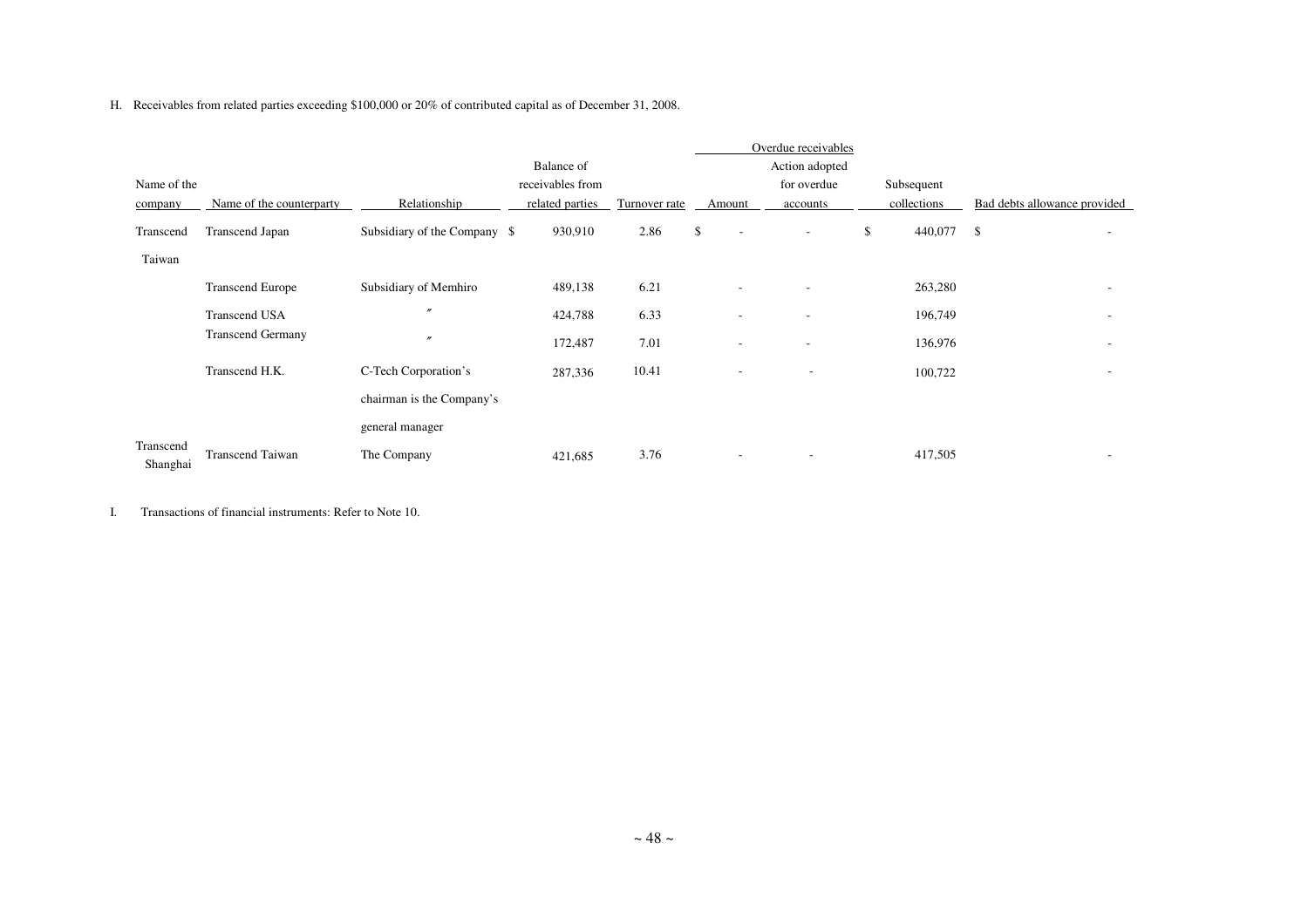H. Receivables from related parties exceeding \$100,000 or 20% of contributed capital as of December 31, 2008.

|                       |                          |                              |                  |               |                                | Overdue receivables      |               |                              |  |
|-----------------------|--------------------------|------------------------------|------------------|---------------|--------------------------------|--------------------------|---------------|------------------------------|--|
|                       |                          |                              | Balance of       |               |                                | Action adopted           |               |                              |  |
| Name of the           |                          |                              | receivables from |               |                                | for overdue              | Subsequent    |                              |  |
| company               | Name of the counterparty | Relationship                 | related parties  | Turnover rate | Amount                         | accounts                 | collections   | Bad debts allowance provided |  |
| Transcend             | Transcend Japan          | Subsidiary of the Company \$ | 930,910          | 2.86          | \$<br>$\overline{\phantom{a}}$ | $\sim$                   | \$<br>440,077 | \$                           |  |
| Taiwan                |                          |                              |                  |               |                                |                          |               |                              |  |
|                       | <b>Transcend Europe</b>  | Subsidiary of Memhiro        | 489,138          | 6.21          | $\overline{\phantom{a}}$       | $\sim$                   | 263,280       |                              |  |
|                       | <b>Transcend USA</b>     | $\prime\prime$               | 424,788          | 6.33          | $\overline{\phantom{a}}$       | $\sim$                   | 196,749       |                              |  |
|                       | <b>Transcend Germany</b> | $\prime$                     | 172,487          | 7.01          | $\overline{\phantom{a}}$       | $\overline{\phantom{a}}$ | 136,976       |                              |  |
|                       | Transcend H.K.           | C-Tech Corporation's         | 287,336          | 10.41         | $\overline{\phantom{a}}$       | $\overline{\phantom{a}}$ | 100,722       |                              |  |
|                       |                          | chairman is the Company's    |                  |               |                                |                          |               |                              |  |
|                       |                          | general manager              |                  |               |                                |                          |               |                              |  |
| Transcend<br>Shanghai | <b>Transcend Taiwan</b>  | The Company                  | 421,685          | 3.76          | $\overline{\phantom{a}}$       | $\overline{\phantom{a}}$ | 417,505       |                              |  |

I. Transactions of financial instruments: Refer to Note 10.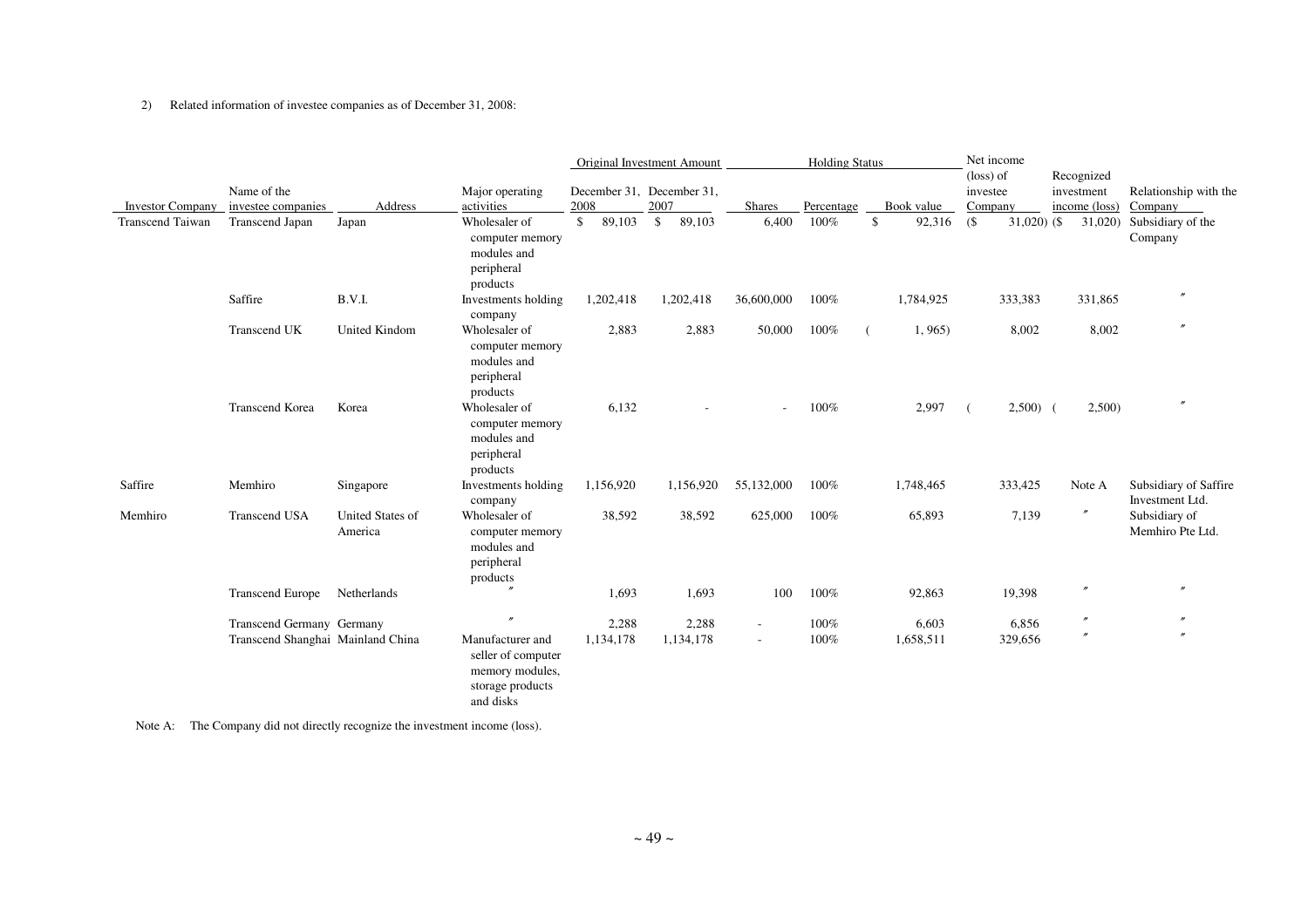#### 2) Related information of investee companies as of December 31, 2008:

|                         |                                   |                             |                                                                                            |              | Original Investment Amount |                          | <b>Holding Status</b> |              | Net income                     |                          |                                          |
|-------------------------|-----------------------------------|-----------------------------|--------------------------------------------------------------------------------------------|--------------|----------------------------|--------------------------|-----------------------|--------------|--------------------------------|--------------------------|------------------------------------------|
|                         | Name of the                       |                             | Major operating                                                                            |              | December 31, December 31,  |                          |                       |              | $(\text{loss})$ of<br>investee | Recognized<br>investment | Relationship with the                    |
| <b>Investor Company</b> | investee companies                | Address                     | activities                                                                                 | 2008         | 2007                       | <b>Shares</b>            | Percentage            | Book value   | Company                        | income (loss)            | Company                                  |
| <b>Transcend Taiwan</b> | Transcend Japan                   | Japan                       | Wholesaler of<br>computer memory<br>modules and<br>peripheral<br>products                  | 89,103<br>\$ | \$<br>89,103               | 6,400                    | 100%                  | \$<br>92,316 | $($ \$<br>$31,020$ (\$)        | 31,020)                  | Subsidiary of the<br>Company             |
|                         | Saffire                           | B.V.I.                      | Investments holding<br>company                                                             | 1,202,418    | 1,202,418                  | 36,600,000               | 100%                  | 1,784,925    | 333,383                        | 331,865                  | $^{\prime\prime}$                        |
|                         | Transcend UK                      | <b>United Kindom</b>        | Wholesaler of<br>computer memory<br>modules and<br>peripheral<br>products                  | 2,883        | 2,883                      | 50,000                   | 100%                  | 1, 965       | 8,002                          | 8,002                    | $^{\prime\prime}$                        |
|                         | Transcend Korea                   | Korea                       | Wholesaler of<br>computer memory<br>modules and<br>peripheral<br>products                  | 6,132        |                            |                          | 100%                  | 2,997        | $2,500$ (                      | 2,500                    | $^{\prime\prime}$                        |
| Saffire                 | Memhiro                           | Singapore                   | Investments holding<br>company                                                             | 1,156,920    | 1,156,920                  | 55,132,000               | 100%                  | 1,748,465    | 333,425                        | Note A                   | Subsidiary of Saffire<br>Investment Ltd. |
| Memhiro                 | <b>Transcend USA</b>              | United States of<br>America | Wholesaler of<br>computer memory<br>modules and<br>peripheral<br>products                  | 38,592       | 38,592                     | 625,000                  | 100%                  | 65,893       | 7,139                          | $^{\prime\prime}$        | Subsidiary of<br>Memhiro Pte Ltd.        |
|                         | <b>Transcend Europe</b>           | Netherlands                 |                                                                                            | 1,693        | 1,693                      | 100                      | 100%                  | 92,863       | 19,398                         | $^{\prime\prime}$        | $\prime$                                 |
|                         | Transcend Germany Germany         |                             | $\overline{v}$                                                                             | 2,288        | 2,288                      | $\overline{a}$           | 100%                  | 6,603        | 6,856                          | $\prime\prime$           |                                          |
|                         | Transcend Shanghai Mainland China |                             | Manufacturer and<br>seller of computer<br>memory modules,<br>storage products<br>and disks | 1,134,178    | 1,134,178                  | $\overline{\phantom{a}}$ | 100%                  | 1,658,511    | 329,656                        | $\prime\prime$           |                                          |

Note A: The Company did not directly recognize the investment income (loss).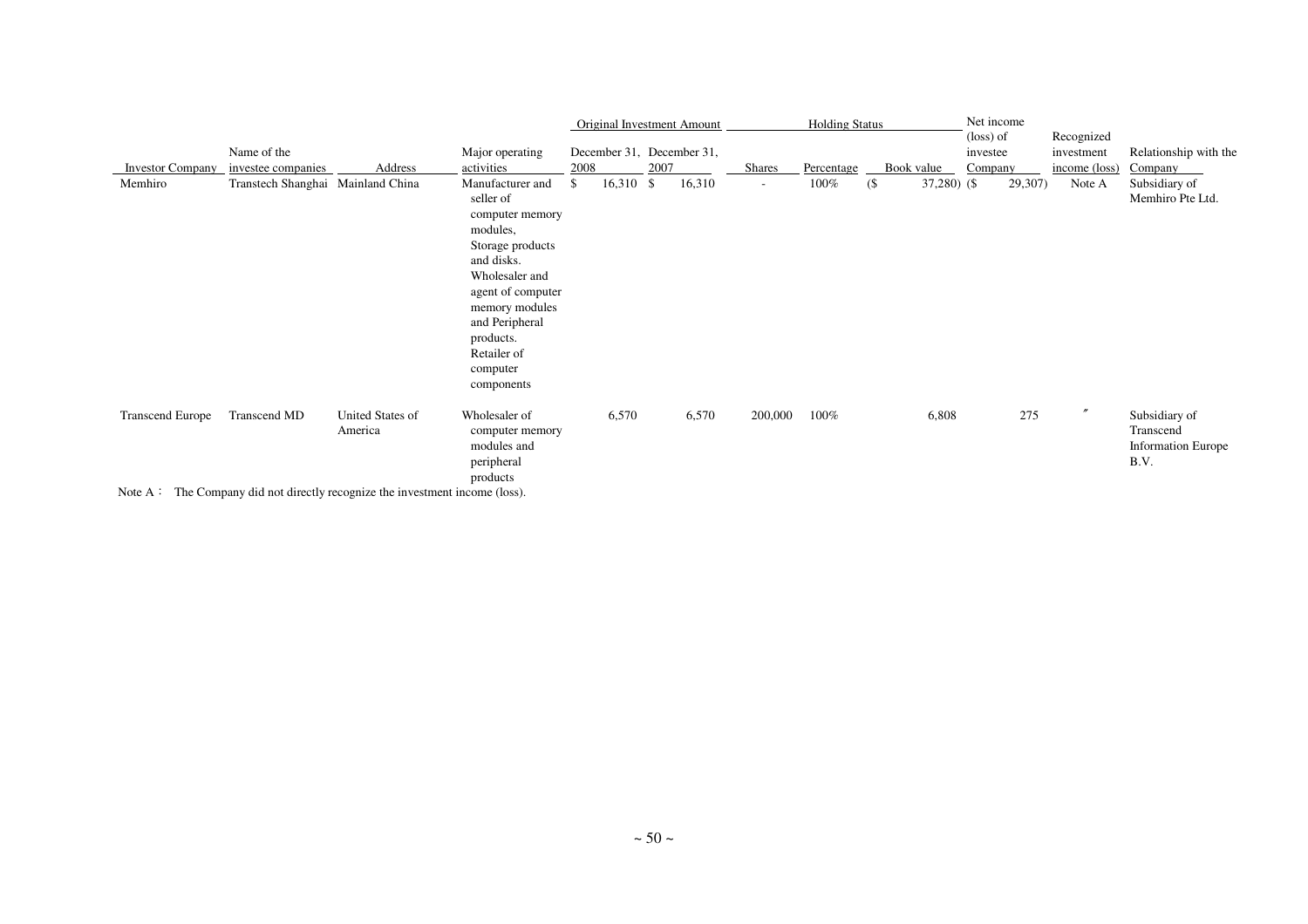|                         |                                                                                                      |                             |                                                                                                                                                                                                                                 |      |                      |      | <b>Original Investment Amount</b> |               | <b>Holding Status</b> |        |               | $(\text{loss})$ of | Net income | Recognized        |                                                                 |
|-------------------------|------------------------------------------------------------------------------------------------------|-----------------------------|---------------------------------------------------------------------------------------------------------------------------------------------------------------------------------------------------------------------------------|------|----------------------|------|-----------------------------------|---------------|-----------------------|--------|---------------|--------------------|------------|-------------------|-----------------------------------------------------------------|
|                         | Name of the                                                                                          |                             | Major operating                                                                                                                                                                                                                 |      |                      |      | December 31, December 31,         |               |                       |        |               | investee           |            | investment        | Relationship with the                                           |
| <b>Investor Company</b> | investee companies                                                                                   | Address                     | activities                                                                                                                                                                                                                      | 2008 |                      | 2007 |                                   | <b>Shares</b> | Percentage            |        | Book value    | Company            |            | income (loss)     | Company                                                         |
| Memhiro                 | Transtech Shanghai Mainland China                                                                    |                             | Manufacturer and<br>seller of<br>computer memory<br>modules,<br>Storage products<br>and disks.<br>Wholesaler and<br>agent of computer<br>memory modules<br>and Peripheral<br>products.<br>Retailer of<br>computer<br>components | \$   | $16,310 \text{ }$ \$ |      | 16,310                            | $\sim$        | 100%                  | $($ \$ | $37,280$ (\$) |                    | 29,307)    | Note A            | Subsidiary of<br>Memhiro Pte Ltd.                               |
| <b>Transcend Europe</b> | Transcend MD<br>Note $\Lambda$ . The Company did not directly recognize the investment income (loss) | United States of<br>America | Wholesaler of<br>computer memory<br>modules and<br>peripheral<br>products                                                                                                                                                       |      | 6,570                |      | 6,570                             | 200,000       | 100%                  |        | 6,808         |                    | 275        | $^{\prime\prime}$ | Subsidiary of<br>Transcend<br><b>Information Europe</b><br>B.V. |

Note A: The Company did not directly recognize the investment income (loss).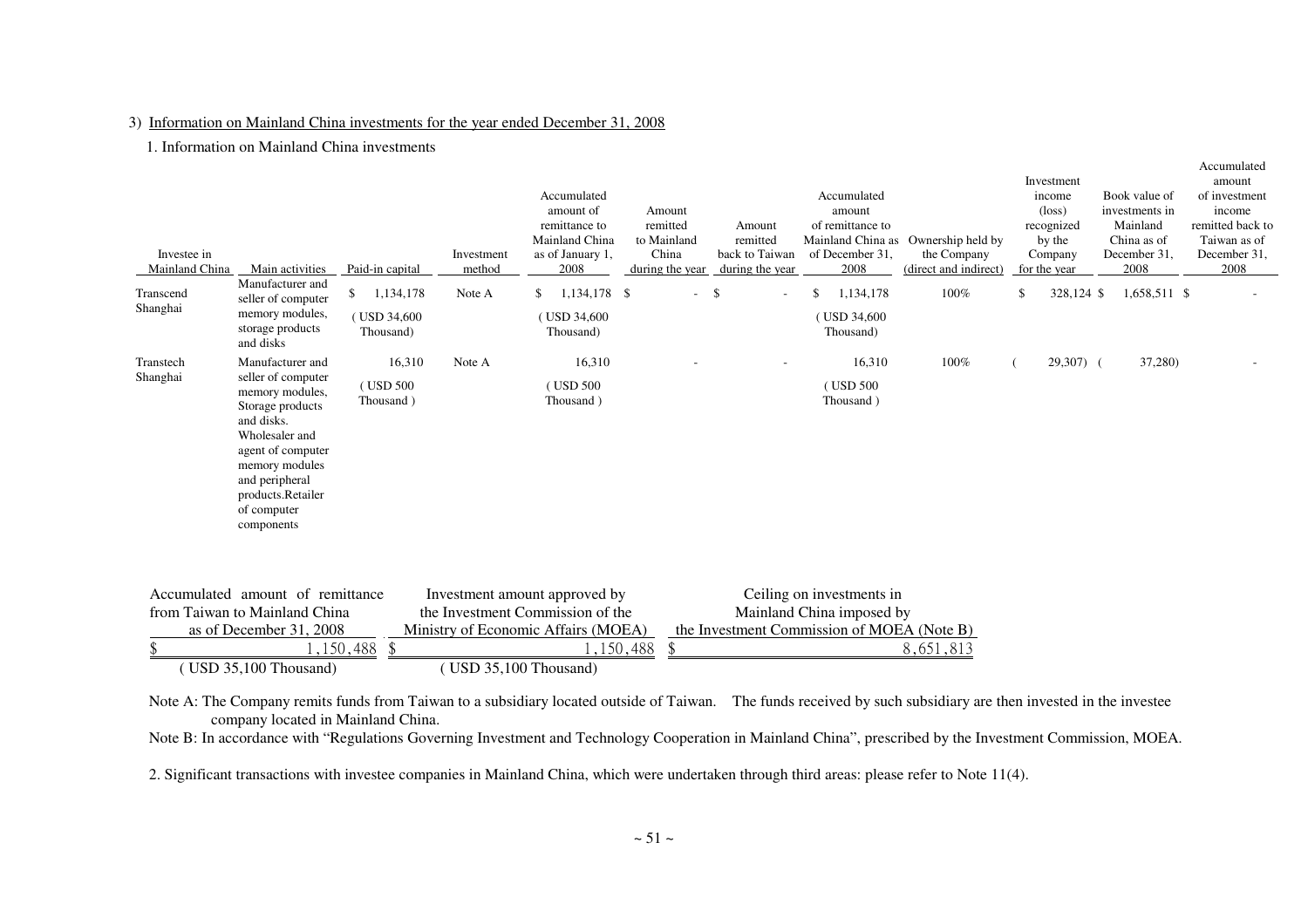### 3) Information on Mainland China investments for the year ended December 31, 2008

1. Information on Mainland China investments

| Investee in<br>Mainland China | Main activities                                                                                                                                                                                                          | Paid-in capital                              | Investment<br>method  | Accumulated<br>amount of<br>remittance to<br>Mainland China<br>as of January 1,<br>2008                  | Amount<br>remitted<br>to Mainland<br>China<br>during the year | Amount<br>remitted<br>back to Taiwan<br>during the year | Accumulated<br>amount<br>of remittance to<br>of December 31.<br>2008                                 | Mainland China as Ownership held by<br>the Company<br>(direct and indirect) | Investment<br>income<br>$(\text{loss})$<br>recognized<br>by the<br>Company<br>for the year |            | Book value of<br>investments in<br>Mainland<br>China as of<br>December 31,<br>2008 | Accumulated<br>amount<br>of investment<br>income<br>remitted back to<br>Taiwan as of<br>December 31,<br>2008 |
|-------------------------------|--------------------------------------------------------------------------------------------------------------------------------------------------------------------------------------------------------------------------|----------------------------------------------|-----------------------|----------------------------------------------------------------------------------------------------------|---------------------------------------------------------------|---------------------------------------------------------|------------------------------------------------------------------------------------------------------|-----------------------------------------------------------------------------|--------------------------------------------------------------------------------------------|------------|------------------------------------------------------------------------------------|--------------------------------------------------------------------------------------------------------------|
| Transcend<br>Shanghai         | Manufacturer and<br>seller of computer<br>memory modules,<br>storage products<br>and disks                                                                                                                               | 1,134,178<br>\$<br>(USD 34,600)<br>Thousand) | Note A                | 1,134,178 \$<br>\$<br>(USD 34,600)<br>Thousand)                                                          | $\sim$                                                        | -\$                                                     | 1,134,178<br>\$<br>(USD 34,600)<br>Thousand)                                                         | 100%                                                                        | \$                                                                                         | 328,124 \$ | 1,658,511 \$                                                                       |                                                                                                              |
| Transtech<br>Shanghai         | Manufacturer and<br>seller of computer<br>memory modules,<br>Storage products<br>and disks.<br>Wholesaler and<br>agent of computer<br>memory modules<br>and peripheral<br>products.Retailer<br>of computer<br>components | 16,310<br>(USD 500)<br>Thousand )            | Note A                | 16,310<br>(USD 500)<br>Thousand )                                                                        |                                                               |                                                         | 16,310<br>(USD 500)<br>Thousand)                                                                     | 100%                                                                        |                                                                                            | $29,307$ ( | 37,280)                                                                            |                                                                                                              |
|                               | Accumulated amount of remittance<br>from Taiwan to Mainland China<br>as of December 31, 2008<br>( USD 35,100 Thousand)                                                                                                   | , 150, 488<br>$\mathcal{S}$                  | (USD 35,100 Thousand) | Investment amount approved by<br>the Investment Commission of the<br>Ministry of Economic Affairs (MOEA) | \$<br>1,150,488                                               |                                                         | Ceiling on investments in<br>Mainland China imposed by<br>the Investment Commission of MOEA (Note B) | 8,651,813                                                                   |                                                                                            |            |                                                                                    |                                                                                                              |

Note A: The Company remits funds from Taiwan to a subsidiary located outside of Taiwan. The funds received by such subsidiary are then invested in the investee company located in Mainland China.

Note B: In accordance with "Regulations Governing Investment and Technology Cooperation in Mainland China", prescribed by the Investment Commission, MOEA.

2. Significant transactions with investee companies in Mainland China, which were undertaken through third areas: please refer to Note 11(4).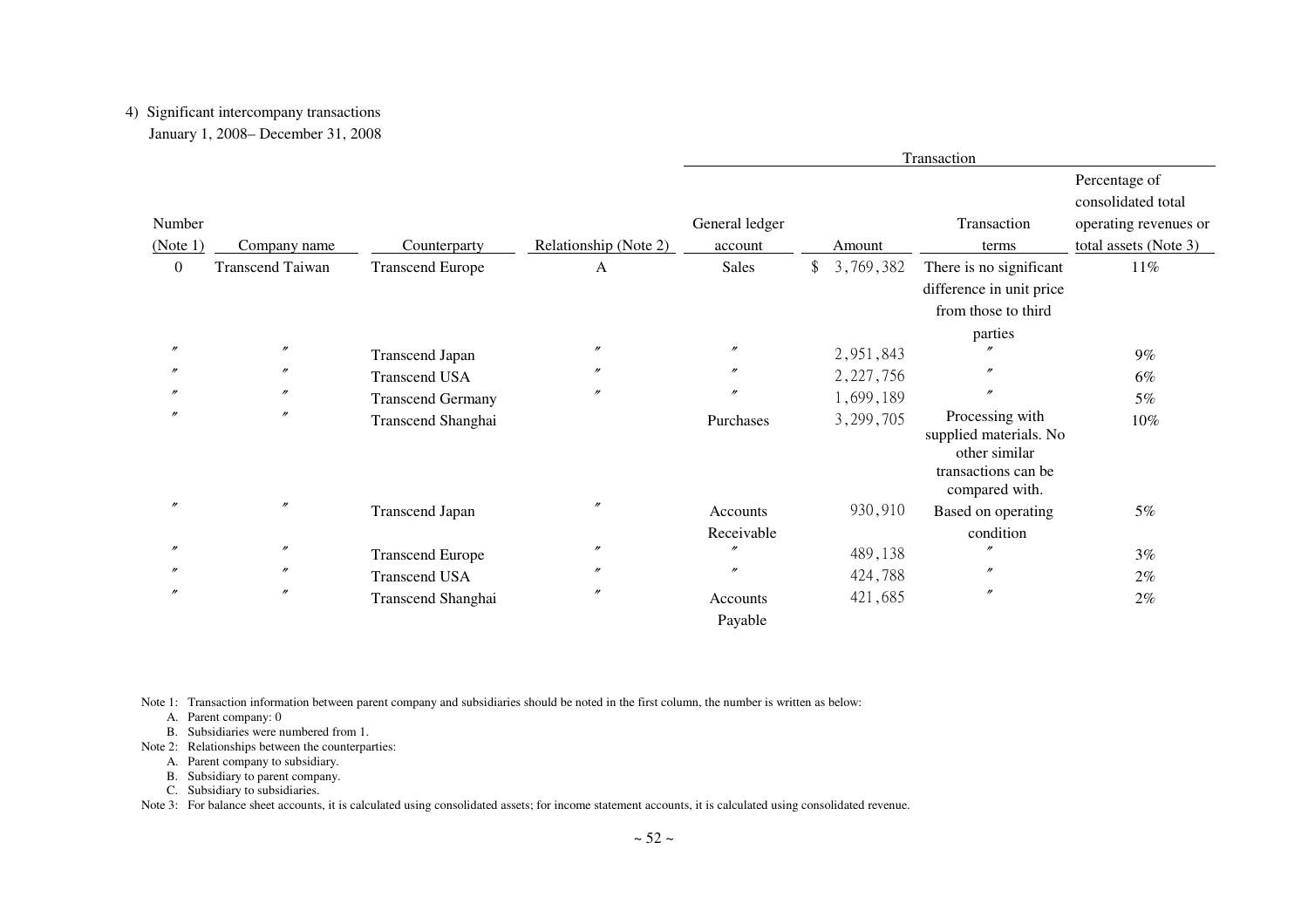# 4) Significant intercompany transactions

|  |  |  | January 1, 2008– December 31, 2008 |  |  |
|--|--|--|------------------------------------|--|--|
|--|--|--|------------------------------------|--|--|

| Number         |                         |                          |                       | General ledger         |                 | Transaction                                                                                         | Percentage of<br>consolidated total<br>operating revenues or |
|----------------|-------------------------|--------------------------|-----------------------|------------------------|-----------------|-----------------------------------------------------------------------------------------------------|--------------------------------------------------------------|
| (Note 1)       | Company name            | Counterparty             | Relationship (Note 2) | account                | Amount          | terms                                                                                               | total assets (Note 3)                                        |
| $\overline{0}$ | <b>Transcend Taiwan</b> | <b>Transcend Europe</b>  | A                     | Sales                  | \$<br>3,769,382 | There is no significant<br>difference in unit price<br>from those to third<br>parties               | 11%                                                          |
| $\prime$       | $\prime\prime$          | <b>Transcend Japan</b>   | $^{\prime\prime}$     | $\prime\prime$         | 2,951,843       |                                                                                                     | $9\%$                                                        |
|                | $^{\prime\prime}$       | <b>Transcend USA</b>     | $^{\prime\prime}$     | $^{\prime\prime}$      | 2, 227, 756     |                                                                                                     | 6%                                                           |
|                | $^{\prime\prime}$       | <b>Transcend Germany</b> | $^{\prime\prime}$     | $^{\prime\prime}$      | 1,699,189       | $\prime$                                                                                            | 5%                                                           |
|                | $\prime\prime$          | Transcend Shanghai       |                       | Purchases              | 3,299,705       | Processing with<br>supplied materials. No<br>other similar<br>transactions can be<br>compared with. | $10\%$                                                       |
| $\prime$       | $\prime\prime$          | <b>Transcend Japan</b>   | $\prime\prime$        | Accounts<br>Receivable | 930,910         | Based on operating<br>condition                                                                     | 5%                                                           |
|                | $\prime\prime$          | <b>Transcend Europe</b>  | $^{\prime\prime}$     | $\prime\prime$         | 489,138         | $\prime\prime$                                                                                      | 3%                                                           |
|                | $^{\prime\prime}$       | <b>Transcend USA</b>     | $\prime$              | $^{\prime\prime}$      | 424,788         | $^{\prime\prime}$                                                                                   | 2%                                                           |
|                | $\prime\prime$          | Transcend Shanghai       | $\prime$              | Accounts<br>Payable    | 421,685         | $^{\prime\prime}$                                                                                   | 2%                                                           |

Note 1: Transaction information between parent company and subsidiaries should be noted in the first column, the number is written as below:

A. Parent company: 0

- B. Subsidiaries were numbered from 1.
- Note 2: Relationships between the counterparties:
	- A. Parent company to subsidiary.
	- B. Subsidiary to parent company.
	- C. Subsidiary to subsidiaries.

Note 3: For balance sheet accounts, it is calculated using consolidated assets; for income statement accounts, it is calculated using consolidated revenue.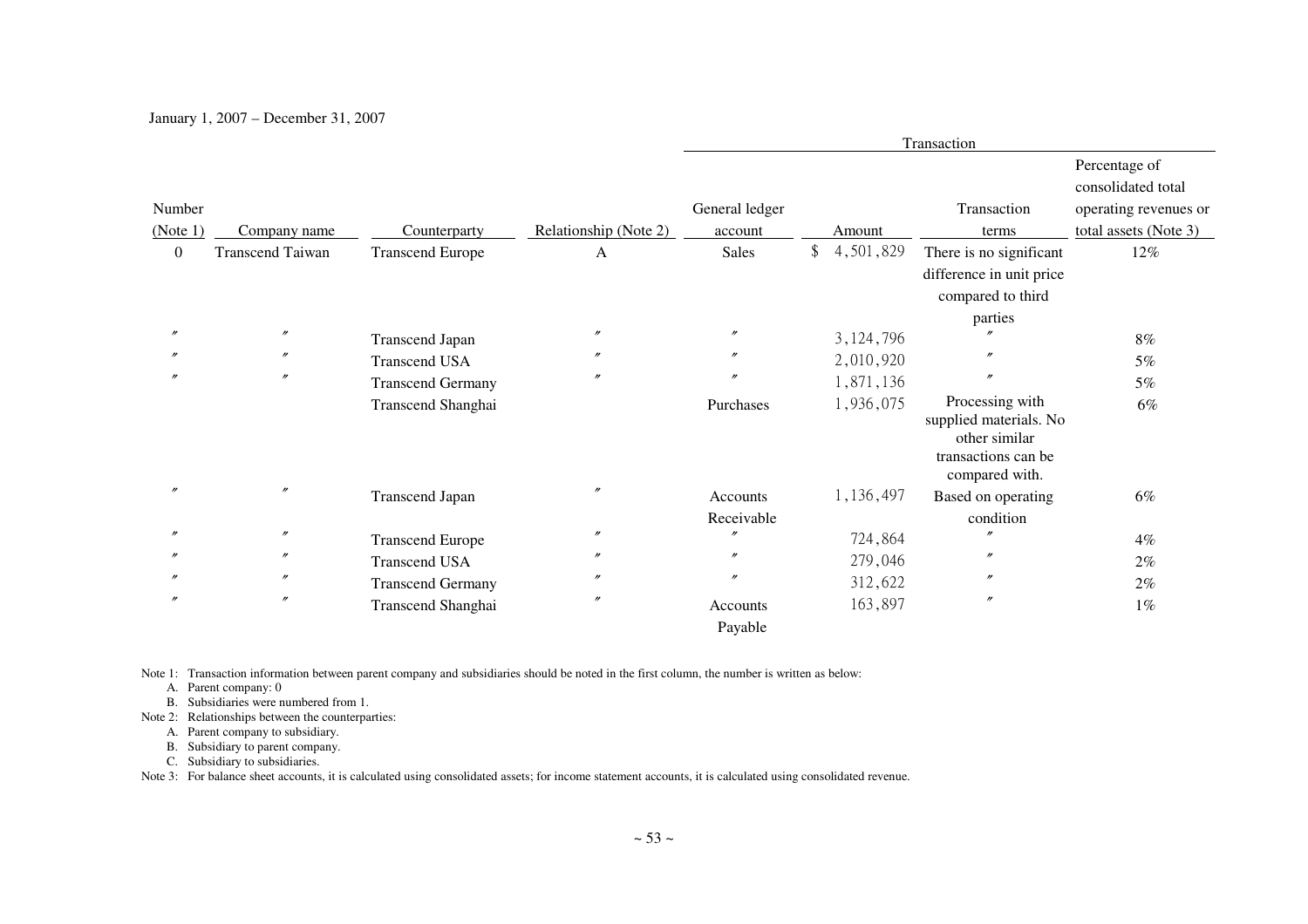January 1, 2007 – December 31, 2007

|                   |                         |                          |                       |                     |                            | Transaction                                                                                         |                                                              |
|-------------------|-------------------------|--------------------------|-----------------------|---------------------|----------------------------|-----------------------------------------------------------------------------------------------------|--------------------------------------------------------------|
| Number            |                         |                          |                       | General ledger      |                            | Transaction                                                                                         | Percentage of<br>consolidated total<br>operating revenues or |
| (Note 1)          | Company name            | Counterparty             | Relationship (Note 2) | account             | Amount                     | terms                                                                                               | total assets (Note 3)                                        |
| $\overline{0}$    | <b>Transcend Taiwan</b> | <b>Transcend Europe</b>  | A                     | Sales               | $\frac{1}{2}$<br>4,501,829 | There is no significant<br>difference in unit price<br>compared to third                            | 12%                                                          |
|                   | $\prime\prime$          |                          | $^{\prime\prime}$     | $\prime\prime$      |                            | parties                                                                                             |                                                              |
|                   |                         | <b>Transcend Japan</b>   |                       |                     | 3, 124, 796                | n                                                                                                   | $8\%$                                                        |
|                   | $^{\prime\prime}$       | <b>Transcend USA</b>     | $^{\prime\prime}$     | $^{\prime\prime}$   | 2,010,920                  |                                                                                                     | 5%                                                           |
|                   | $^{\prime\prime}$       | <b>Transcend Germany</b> | $^{\prime\prime}$     | $^{\prime\prime}$   | 1,871,136                  | $\prime\prime$                                                                                      | 5%                                                           |
|                   |                         | Transcend Shanghai       |                       | Purchases           | 1,936,075                  | Processing with<br>supplied materials. No<br>other similar<br>transactions can be<br>compared with. | 6%                                                           |
| $^{\prime\prime}$ | $^{\prime\prime}$       | <b>Transcend Japan</b>   | $\prime$              | Accounts            | 1,136,497                  | Based on operating                                                                                  | 6%                                                           |
|                   |                         |                          |                       | Receivable          |                            | condition                                                                                           |                                                              |
|                   | $\prime\prime$          | <b>Transcend Europe</b>  | $^{\prime\prime}$     | $\prime\prime$      | 724,864                    |                                                                                                     | $4\%$                                                        |
|                   | $\prime\prime$          | <b>Transcend USA</b>     | $^{\prime\prime}$     | $\prime\prime$      | 279,046                    | $\prime\prime$                                                                                      | $2\%$                                                        |
|                   | $^{\prime\prime}$       | <b>Transcend Germany</b> | $^{\prime\prime}$     | $\prime\prime$      | 312,622                    | n                                                                                                   | 2%                                                           |
| $\prime$          | $^{\prime\prime}$       | Transcend Shanghai       | $^{\prime\prime}$     | Accounts<br>Payable | 163,897                    | $^{\prime\prime}$                                                                                   | $1\%$                                                        |

Note 1: Transaction information between parent company and subsidiaries should be noted in the first column, the number is written as below:

A. Parent company: 0

B. Subsidiaries were numbered from 1.

Note 2: Relationships between the counterparties:

A. Parent company to subsidiary.

B. Subsidiary to parent company.

C. Subsidiary to subsidiaries.

Note 3: For balance sheet accounts, it is calculated using consolidated assets; for income statement accounts, it is calculated using consolidated revenue.